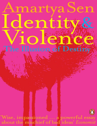# Amartya Sen <u>Identity&</u> Violence

Wise, impassioned ... a powerful essay<br>about the mischief of bad ideas' Economist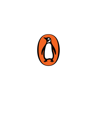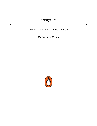Amartya Sen

# IDENTITY AND VIOLENCE

*The Illusion of Destiny*

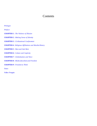# **Contents**

#### *[Prologue](#page-7-0)*

#### *[Preface](#page-10-0)*

**[CHAPTER](#page-13-0) 1** : *The Violence of Illusion*

**[CHAPTER](#page-22-0) 2** : *Making Sense of Identity*

**CHAPTER 3** : *[Civilizational](#page-34-0) Confinement*

**[CHAPTER](#page-44-0) 4** : *Religious Affiliations and Muslim History*

**[CHAPTER](#page-57-0) 5** : *West and Anti-West*

**[CHAPTER](#page-67-0) 6** : *Culture and Captivity*

**CHAPTER 7** : *[Globalization](#page-77-0) and Voice*

**CHAPTER 8** : *[Multiculturalism](#page-93-0) and Freedom*

**[CHAPTER](#page-105-0) 9** : *Freedom to Think*

*[Notes](#page-114-0)*

Follow [Penguin](#page-124-0)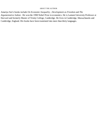#### ABOUT THE AUTHOR

Amartya Sen's books include *On Economic Inequality* , *Development as Freedom* and *The Argumentative Indian* . He won the 1998 Nobel Prize in economics. He is Lamont University Professor at Harvard and formerly Master of Trinity College, Cambridge. He lives in Cambridge, Massachusetts and Cambridge, England. His books have been translated into more than thirty languages.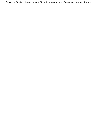*To Antara, Nandana, Indrani, and Kabir with the hope of a world less imprisoned by illusion*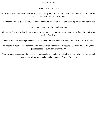#### PENGUIN BOOKS

#### IDENTITY AND VIOLENCE

'Closely argued, extremely well written and clearly the work of a highly civilized, cultivated and decent man … a model of its kind' *Spectator*

'A superb book – a great vision, deep understanding, muscular prose and dazzling relevance' *Asian Age*

'Lucid and convincing' Francis Fukuyama

'One of the few world intellectuals on whom we may rely to make sense out of our existential confusion' Nadine Gordimer

'The world's poor and dispossessed could have no more articulate or insightful a champion' Kofi Annan

'An important book whose lessons all thinking British Asians should absorb … one of the leading moral philosophers of our time' *Eastern Eye*

'Explains and encourages the need for tolerance, honest and constant self-questioning in the strange and anxious period we've found ourselves living in' *New Statesman*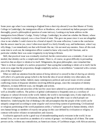## Prologue

<span id="page-7-0"></span>Some years ago when I was returning to England from a short trip abroad (I was then Master of Trinity College in Cambridge), the immigration officer at Heathrow, who scrutinized my Indian passport rather thoroughly, posed a philosophical question of some intricacy. Looking at my home address on the immigration form (Master's Lodge, Trinity College, Cambridge), he asked me whether the Master, whose hospitality I evidently enjoyed, was a close friend of mine. This gave me pause since it was not altogether clear to me whether I could claim to be a friend of myself. On some reflection, I came to the conclusion that the answer must be yes, since I often treat myself in a fairly friendly way, and furthermore, when I say silly things, I can immediately see that with friends like me, I do not need any enemies. Since all this took some time to work out, the immigration officer wanted to know why exactly did I hesitate, and in particular whether there was some irregularity in my being in Britain.

Well, that practical issue was eventually resolved, but the conversation was a reminder, if one were needed, that identity can be a complicated matter. There is, of course, no great difficulty in persuading ourselves that an object is identical to itself. Wittgenstein, the great philosopher, once remarked that "there is no finer example of a useless proposition" than saying that something is identi cal to itself, but he went on to argue that the proposition, though completely useless, is nevertheless "connected with a certain play of the imagination."

When we shift our attention from the notion of *being identical to oneself* to that of *sharing an identity with others* of a particular group (which is the form the idea of social identity very often takes), the complexity increases further. Indeed, many contemporary political and social issues revolve around conflicting claims of disparate identities involving different groups, since the conception of identity influences, in many different ways, our thoughts and actions.

The violent events and atrocities of the last few years have ushered in a period of terrible confusion as well as dreadful conflicts. The politics of global confrontation is frequently seen as a corollary of religious or cultural divisions in the world. Indeed, the world is increasingly seen, if only implicitly, as a federation of religions or of civilizations, thereby ignoring all the other ways in which people see themselves. Underlying this line of thinking is the odd presumption that the people of the world can be uniquely categorized according to some *singular and overarching* system of partitioning. Civilizational or religious partitioning of the world population yields a "solitarist" approach to human identity, which sees human beings as members of exactly one group (in this case defined by civilization or religion, in contrast with earlier reliance on nationalities and classes).

A solitarist approach can be a good way of misunderstanding nearly everyone in the world. In our normal lives, we see ourselves as members of a variety of groups—we belong to all of them. The same person can be, without any contradiction, an American citizen, of Caribbean origin, with African ancestry,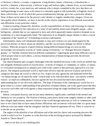a Christian, a liberal, a woman, a vegetarian, a long-distance runner, a historian, a schoolteacher, a novelist, a feminist, a heterosexual, a believer in gay and lesbian rights, a theater lover, an environmental activist, a tennis fan, a jazz musician, and someone who is deeply committed to the view that there are intelligent beings in outer space with whom it is extremely urgent to talk (preferably in English). Each of these collectivities, to all of which this person simultaneously belongs, gives her a particular identity. None of them can be taken to be the person's only identity or singular membership category. Given our inescapably plural identities, we have to decide on the relative importance of our different associations and affiliations in any particular context.

Central to leading a human life, therefore, are the responsibilities of choice and reasoning. In contrast, violence is promoted by the cultivation of a sense of inevitability about some allegedly unique—often belligerent—identity that we are supposed to have and which apparently makes extensive demands on us (sometimes of a most disagreeable kind). The imposition of an allegedly unique identity is often a crucial component of the "martial art" of fomenting sectarian confrontation.

Unfortunately, many well-intentioned attempts to stop such violence are also handicapped by the perceived absence of choice about our identities, and this can seriously damage our ability to defeat violence. When the prospects of good relations among different human beings are seen (as they increasingly are) primarily in terms of "amity among civilizations," or "dialogue between religious groups," or "friendly relations between different communities" (ignoring the great many different ways in which people relate to each other), a serious miniaturization of human beings precedes the devised programs for peace.

Our shared humanity gets savagely challenged when the manifold divisions in the world are unified into one allegedly dominant system of classification—in terms of religion, or community, or culture, or nation, or civilization (treating each as uniquely pow erful in the context of that particular approach to war and peace). The uniquely partitioned world is much more divisive than the universe of plural and diverse categories that shape the world in which we live. It goes not only against the old-fashioned belief that "we human beings are all much the same" (which tends to be ridiculed these days—not entirely without reason—as much too softheaded), but also against the less discussed but much more plausible understanding that we are *diversely different* . The hope of harmony in the contemporary world lies to a great extent in a clearer understanding of the pluralities of human identity, and in the appreciation that they cut across each other and work against a sharp separation along one single hardened line of impenetrable division.

Indeed, conceptual disarray, and not just nasty intentions, significantly contribute to the turmoil and barbarity we see around us. The illusion of destiny, particularly about some singular identity or other (and their alleged implications), nurtures violence in the world through omissions as well as commissions. We have to see clearly that we have many distinct affiliations and can interact with each other in a great many different ways (no matter what the instigators and their flustered opponents tell us). There is room for us to decide on our priorities.

The neglect of the plurality of our affiliations and of the need for choice and reasoning obscures the world in which we live. It pushes us in the direction of the terrifying prospects portrayed by Matthew Arnold in "Dover Beach":

And we are here as on a darkling plain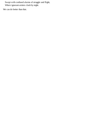Swept with confused alarms of struggle and flight, Where ignorant armies clash by night.

We can do better than that.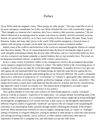## Preface

<span id="page-10-0"></span>Oscar Wilde made the enigmatic claim, "Most people are other people." This may sound like of one of his more outrageous conundrums, but in this case Wilde defended his view with considerable cogency: "Their thoughts are someone else's opinions, their lives a mimicry, their passions a quotation." We are indeed influenced to an amazing extent by people with whom we identify. Actively promoted sectarian hatreds can spread like wild-fire, as we have seen recently in Kosovo, Bosnia, Rwanda, Timor, Israel, Palestine, Sudan, and many other places in the world. With suitable instigation, a fostered sense of identity with one group of people can be made into a powerful weapon to brutalize another.

Indeed, many of the conflicts and barbarities in the world are sustained through the illusion of a unique and choiceless identity. The art of constructing hatred takes the form of invoking the magical power of some allegedly predominant identity that drowns other affiliations, and in a conveniently bellicose form can also overpower any human sympathy or natural kindness that we may normally have. The result can be homespun elemental violence, or globally artful violence and terrorism.

In fact, a major source of potential conflict in the contemporary world is the presumption that people can be uniquely categorized based on religion or culture. The implicit belief in the overarching power of a singular classification can make the world thoroughly inflammable. A uniquely divisive view goes not only against the old-fashioned belief that all human beings are much the same but also against the less discussed but much more plausible understanding that we are diversely different. The world is frequently taken to be a collection of religions (or of "civilizations" or "cultures"), ignoring the other identities that people have and value, involving class, gender, profession, language, science, morals, and politics. This unique divisiveness is much more confrontational than the universe of plural and diverse classifications that shape the world in which we actually live. The reductionism of high theory can make a major contribution, often inadvertently, to the violence of low politics.

Also, global attempts to overcome such violence are often handicapped by a similar conceptual disarray, with the acceptance—explicitly or by implication—of a unique identity forestalling many of the obvious avenues of resistance. As a consequence, religion-based violence might end up being challenged not through the strengthening of civil society (obvious as that course is), but through the deployment of different religious leaders of apparently "moderate" persuasion who are charged with vanquishing the extremists in an intrareligious battle, possibly through suitably redefining the demands of the religion involved. When interpersonal relations are seen in singular intergroup terms, as "amity" or "dialogue" among civilizations or religious ethnicities, paying no attention to other groups to which the same persons also belong (involving economic, social, political, or other cultural connections), then much of importance in human life is altogether lost, and individuals are put into little boxes.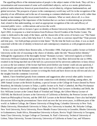The appalling effects of the miniaturization of people is the subject matter of this book. They call for a reexamination and reassessment of some well-established subjects, such as eco nomic globalization, political multiculturalism, historical postcolonialism, social ethnicity, religious fundamentalism, and global terrorism. The prospects of peace in the contemporary world may well lie in the recognition of the plurality of our affiliations and in the use of reasoning as common inhabitants of a wide world, rather than making us into inmates rigidly incarcerated in little containers. What we need, above all, is a clearheaded understanding of the importance of the freedom that we can have in determining our priorities. And, related to that understanding, we need an appropriate recognition of the role and efficacy of reasoned public voice—within nations and across the world.

The book began with six lectures I gave on identity at Boston University between November 2001 and April 2002, in response to a kind invitation from Professor David Fromkin of the Pardee Center. The center is dedicated to the study of the future, and the chosen title of the series of lectures was "The Future of Identity." However, with a little help from T. S. Eliot, I was able to convince myself that "Time present and time past, / Are both perhaps present in time future." By the time the book was done, it was as much concerned with the role of identity in historical and contemporary situations as with prognostications of hereafter.

In fact, two years before those Boston talks, in November 1998, I had given a public lecture at Oxford University on the role of reasoning in the choice of identity, under the title "Reason before Identity." Although the organization of the thoroughly formal "Romanes Lecture," delivered regularly at Oxford University (William Gladstone had given the first one in 1892; Tony Blair delivered the one in 1999), resulted in my being marched out of the hall (in a procession led by university authorities in fancy dress) as soon as the last sentence of the lecture had been aired (before any listener could ask any question), I did eventually get some helpful comments later on because of a little pamphlet that was made out of the lecture. I have used the Romanes Lecture in writing this book and have drawn on my old text and also on the insights from the comments I received.

Indeed, I have benefited greatly from comments and suggestions after several other public lectures I gave on an array of related subjects (with some connection with identity) including, among others, the 2000 Annual Lecture at the British Academy, a special lecture at the College de France (hosted by Pierre Bourdieu), the Ishizaka Lectures in Tokyo, a public lecture at St. Paul's Cathedral, the Phya Prichanusat Memorial Lecture at Vajiravudh College in Bangkok, the Dorab Tata Lectures in Bombay and Delhi, the Eric Williams Lecture at the Central Bank of Trinidad and Tobago, the Gilbert Murray Lecture of OXFAM, the Hitchcock Lectures at the University of California at Berkeley, the Penrose Lecture at the American Philosophical Society, and the 2005 B.P. Lecture at the British Museum. I have also had helpful discussions following the presentations I have tried out over the last seven years, in different parts of the world: at Amherst College, the Chinese University of Hong Kong, Columbia University in New York, Dhaka University, Hitotsubashi University in Tokyo, Koc University in Istanbul, Mt. Holyoke College, New York University, Pavia University, Pierre Mendès France University in Grenoble, Rhodes University in Grahamstown, South Africa, Ritsumeikan University in Kyoto, Rovira Virgili University in Tarragona, Santa Clara University, Scripps College at Claremont, St. Paul's University, Technical University of Lisbon, Tokyo University, Toronto University, University of California at Santa Cruz, and Villanova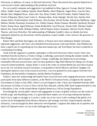University, in addition, of course, to Harvard University. These discussions have greatly helped me to work toward a better understanding of the problems involved.

For very useful comments and suggestions I am indebted to Bina Agarwal, George Akerlof, Sabina Alkire, Sudhir Anand, Anthony Appiah, Homi Bhabha, Akeel Bilgrami, Sugata Bose, Lincoln Chen, Martha Chen, Meghnad Desai, Antara Dev Sen, Henry Finder, David Fromkin, Sakiko Fukuda-Parr, Francis Fukuyama, Henry Louis Gates Jr., Rounaq Jahan, Asma Jahangir, Devaki Jain, Ayesha Jalal, Ananya Kabir, Pratik Kanjilal, Sunil Khilnani, Alan Kirman, Seiichi Kondo, Sebastiano Maffetone, Jugnu Mohsin, Martha Nussbaum, Kenzaburo Oe, Siddiq Osmani, Robert Putnam, Mozaffar Qizilbash, Richard Parker, Kumar Rana, Ingrid Robeyns, Emma Rothschild, Carol Rovane, Zainab Salbi, Michael Sandel, Indrani Sen, Najam Sethi, Rehman Sobhan, Alfred Stepan, Kotaro Suzumura, Miriam Teschl, Shashi Tharoor, and Leon Wieseltier. My understanding of Mahatma Gandhi's ideas on identity has been immensely helped by my discussions with his grandson, Gopal Gandhi, writer and now the governor of West Bengal.

Robert Weil and Roby Harrington, my editors at Norton, have been immensely helpful with many important suggestions, and I have also benefited from discussions with Lynn Nesbit. Amy Robbins has done a superb job of copyediting my less-than-neat manuscript, and Tom Mayer has been wonderful in coordinating everything.

Aside from the supportive academic atmosphere at Harvard University where I teach, I have also benefited from the facilities at Trinity College, Cambridge, particularly during the summer months. The Centre for History and Economics at King's College, Cambridge, has helped me by providing a remarkably efficient research base; and I am most grateful to Inga Huld Markan for taking care of many research-related problems. Ananya Kabir's work at the center on related themes has also been of great use to me. For excellent research assistance, I am grateful to David Mericle and Rosie Vaughan. For meeting the material costs of my research activities, I am very grateful for joint support from the Ford Foundation, the Rockefeller Foundation, and the Mellon Foundation.

Finally, I must also acknowledge the benefit I have received from wide-ranging discussions, involving participants from many different countries, at the World Civilization Forum, arranged by the Japanese Government in Tokyo in July 2005, which I was privileged to chair. I have also benefited from the 2004 discussions of Globus et Locus in Turin, led by Piero Bassetti, and the 2005 Symi Symposium held in July in Heraklion, Crete, on the related theme of global democracy, led by George Papandreou.

Even though the current public interest and engagement in issues of global violence are the results of terribly tragic and disturbing events, it is good that these matters are receiving widespread attention. Since I try to argue as strongly as I can for a wider use of our voice in the working of the global civil society (to be distinguished from military initiatives and strategic activities of governments and their alliances), I am encouraged by these interactive developments. I suppose that makes me an optimist, but much will depend on how we rise to the challenge that we face.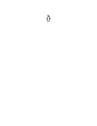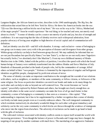# CHAPTER 1 The Violence of Illusion

Langston Hughes, the African-American writer, describes in his 1940 autobiography, *The Big Sea,* the exhilaration that seized him as he left New York for Africa. He threw his American books into the sea: "[I]t was like throwing a million bricks out of my heart." He was on his way to his "Africa, Motherland of the negro people!" Soon he would experience "the real thing, to be touched and seen, not merely read about in a book." <sup>[1](#page-114-1)</sup> A sense of identity can be a source not merely of pride and joy, but also of strength and confidence. It is not surprising that the idea of identity receives such widespread admiration, from popular advocacy of loving your neighbor to high theories of social capital and of communitarian selfdefinition.

And yet identity can also kill—and kill with abandon. A strong—and exclusive—sense of belonging to one group can in many cases carry with it the perception of distance and divergence from other groups. Within-group solidarity can help to feed between-group discord. We may suddenly be informed that we are not just Rwandans but specifically Hutus ("we hate Tutsis"), or that we are not really mere Yugoslavs but actually Serbs ("we absolutely don't like Muslims"). From my own childhood memory of Hindu-Muslim riots in the 1940s, linked with the politics of partition, I recollect the speed with which the broad human beings of January were suddenly transformed into the ruthless Hindus and fierce Muslims of July. Hundreds of thousands perished at the hands of people who, led by the commanders of carnage, killed others on behalf of their "own people." Violence is fomented by the imposition of singular and belligerent identities on gullible people, championed by proficient artisans of terror.

The sense of identity can make an important contribution to the strength and the warmth of our relations with others, such as neighbors, or members of the same community, or fellow citizens, or followers of the same religion. Our focus on particular identities can enrich our bonds and make us do many things for each other and can help to take us beyond our self-centered lives. The recent literature on "social capital," powerfully explored by Robert Putnam and others, has brought out clearly enough how an identity with others in the same social community can make the lives of all go much better in that community; a sense of belonging to a community is thus seen as a resource—like capital.  $2$  That understanding is important, but it has to be supplemented by a further recognition that a sense of identity can firmly exclude many people even as it warmly embraces others. The well-integrated community in which residents instinctively do absolutely wonderful things for each other with great immediacy and solidarity can be the very same community in which bricks are thrown through the windows of immigrants who move into the region from elsewhere. The adversity of exclusion can be made to go hand in hand with the gifts of inclusion.

The cultivated violence associated with identity conflicts seems to repeat itself around the world with increasing persistence. <sup>[3](#page-114-3)</sup> Even though the balance of power in Rwanda and Congo may have changed, the targeting of one group by another continues with much force. The marshaling of an aggressive Sudanese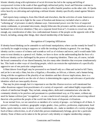Islamic identity along with exploitation of racial divisions has led to the raping and killing of overpowered victims in the south of that appallingly militarized polity. Israel and Palestine continue to experience the fury of dichotomized identities ready to inflict hateful penalties on the other side. Al Qaeda relies heavily on cultivating and exploiting a militant Islamic identity specifically aimed against Western people.

And reports keep coming in, from Abu Ghraib and elsewhere, that the activities of some American or British soldiers sent out to fight for the cause of freedom and democracy included what is called a "softening-up" of prisoners in utterly inhuman ways. Unrestrained power over the lives of suspected enemy combatants, or presumed miscreants, sharply bifurcates the prisoners and the custodians across a hardened line of divisive identities ("they are a separate breed from us"). It seems to crowd out, often enough, any consideration of other, less confrontational features of the people on the opposite side of the breach, including, among other things, their shared membership of the human race.

## Recognition of Competing Affiliations

If identity-based thinking can be amenable to such brutal manipulation, where can the remedy be found? It can hardly be sought in trying to suppress or stifle the invoking of identity in general. For one thing, identity can be a source of richness and warmth as well as of violence and terror, and it would make little sense to treat identity as a general evil. Rather, we have to draw on the understanding that the force of a bellicose identity can be challenged by the power of *competing* identities. These can, of course, include the broad commonality of our shared humanity, but also many other identities that everyone simultaneously has. This leads to other ways of classifying people, which can restrain the exploitation of a specifically aggressive use of one particular categorization.

A Hutu laborer from Kigali may be pressured to see himself only as a Hutu and incited to kill Tutsis, and yet he is not only a Hutu, but also a Kigalian, a Rwandan, an African, a laborer, and a human being. Along with the recognition of the plurality of our identities and their diverse implications, there is a critically important need to see the role of *choice* in determining the cogency and relevance of particular identities which are inescapably diverse.

That may be plain enough, but it is important to see that this illusion receives well-intentioned but rather disastrous support from practitioners of a variety of respected—and indeed highly respectable schools of intellectual thought. They include, among others, dedicated communitarians who take the community identity to be peerless and paramount in a predetermined way, as if by nature, without any need for human volition (just "recognition"—to use a much-loved concept), and also unswerving cultural theorists who partition the people of the world into little boxes of disparate civilizations.

In our normal lives, we see ourselves as members of a variety of groups—we belong to all of them. A person's citizenship, residence, geographic origin, gender, class, politics, profession, employment, food habits, sports interests, taste in music, social commitments, etc., make us members of a variety of groups. Each of these collectivities, to all of which this person simultaneously belongs, gives her a particular identity. None of them can be taken to be the person's only identity or singular membership category.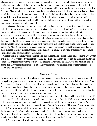Many communitarian thinkers tend to argue that a dominant communal identity is only a matter of selfrealization, not of choice. It is, however, hard to believe that a person really has no choice in deciding what relative importance to attach to the various groups to which he or she belongs, and that she must just "discover" her identities, as if it were a purely natural phenomenon (like determining whether it is day or night). In fact, we are all constantly making choices, if only implicitly, about the priorities to be attached to our different affiliations and associations. The freedom to determine our loyalties and priorities between the different groups to all of which we may belong is a peculiarly important liberty which we have reason to recognize, value, and defend.

The existence of choice does not, of course, indicate that there are no constraints restricting choice. Indeed, choices are always made within the limits of what are seen as feasible. The feasibilities in the case of identities will depend on individual characteristics and circumstances that determine the alternative possibilities open to us. This, however, is *not* a remarkable fact. It is just the way every choice in any field is actually faced. Indeed, nothing can be more elementary and universal than the fact that choices of all kinds in every area are always made within particular limits. For example, when we decide what to buy at the market, we can hardly ignore the fact that there are limits on how much we can spend. The "budget constraint," as economists call it, is omnipresent. The fact that every buyer has to make choices does not indicate that there is no budget constraint, but only that choices have to be made *within* the budget constraint the person faces.

What is true in elementary economics is also true in complex political and social decisions. Even when one is inescapably seen—by oneself as well as by others—as French, or Jewish, or Brazilian, or African-American, or (particularly in the context of the present-day turmoil) as an Arab or as a Muslim, one still has to decide what exact importance to attach to that identity over the relevance of other categories to which one also belongs.

## Convincing Others

However, even when we are clear about how we want to see ourselves, we may still have difficulty in being able to persuade *others* to see us in just that way. A nonwhite person in apartheid-dominated South Africa could not insist that she be treated just as a human being, irrespective of her racial characteristics. She would typically have been placed in the category that the state and the dominant members of the society reserved for her. Our freedom to assert our personal identities can sometimes be extraordinarily limited in the eyes of others, no matter how we see ourselves.

Indeed, sometimes we may not even be fully aware how others identify us, which may differ from selfperception. There is an interesting lesson in an old Italian story—from the 1920s when support for fascist politics was spreading rapidly across Italy— concerning a political recruiter from the Fascist Party arguing with a rural socialist that he should join the Fascist Party instead. "How can I," said the potential recruit, "join your party? My father was a socialist. My grandfather was a socialist. I cannot really join the Fascist Party." "What kind of an argument is this?" said the Fascist recruiter, reasonably enough. "What would you have done," he asked the rural socialist, "if your father had been a murderer and your grandfather had also been a murderer? What would you have done then?" "Ah, then," said the potential recruit, "then, of course, I would have joined the Fascist Party."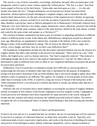This may be a case of fairly reasonable, even benign, attribution, but quite often ascription goes with denigration, which is used to incite violence against the vilified person. "The Jew is a man," Jean-Paul Sartre argued in *Portrait of the Anti-Semite,* "whom other men look upon as a Jew; … it is the anti-Semite who *makes* the Jew." Charged attributions can incorporate two distinct but interrelated distortions: misdescription of people belonging to a targeted category, and an insistence that the misdescribed characteristics are the only relevant features of the targeted person's identity. In opposing external imposition, a person can both try to resist the ascription of particular characteristics and point to other identities a person has, much as Shylock attempted to do in Shakespeare's brilliantly cluttered story: "Hath not a Jew eyes? hath not a Jew hands, organs, dimensions, senses, affections, passions? fed with the same food, hurt with the same weapons, subject to the same diseases, healed by the same means, warmed and cooled by the same winter and summer, as a Christian is?"  $5$ 

The assertion of human commonality has been a part of resistance to degrading attributions in different cultures at different points in time. In the Indian epic *Mahabharata,* dating from around two thousand years ago, Bharadvaja, an argumentative interlocutor, responds to the defense of the caste system by Bhrigu (a pillar of the establishment) by asking: "We all seem to be affected by desire, anger, fear, sorrow, worry, hunger, and labor; how do we have caste differences then?"

The foundations of degradation include not only descriptive misrepresentation, but also the illusion of a singular identity that others must attribute to the person to be demeaned. "There used to be a me," Peter Sellers, the English actor, said in a famous interview, "but I had it surgically removed." That removal is challenging enough, but no less radical is the surgical implantation of a "real me" by others who are determined to make us different from what we think we are. Organized attribution can prepare the ground for persecution and burial.

Furthermore, even if in particular circumstances people have difficulty in convincing others to acknowledge the relevance of identities other than what is marshaled for the purpose of denigration (along with descriptive distortions of the ascribed identity), that is not reason enough to ignore those other identities when circumstances are different. This applies, for example, to Jewish people in Israel today, rather than in Germany in the 1930s. It would be a long-run victory of Nazism if the barbarities of the 1930s eliminated forever a Jewish person's freedom and ability to invoke any identity other than his or her Jewishness.

Similarly, the role of reasoned choice needs emphasis in resisting the ascription of singular identities and the recruitment of foot soldiers in the bloody campaign to terrorize targeted victims. Campaigns to switch perceived self-identities have been responsible for many atrocities in the world, making old friends into new enemies and odious sectarians into suddenly powerful political leaders. The need to recognize the role of reasoning and choice in identity-based thinking is thus both exacting and extremely important.

#### Denial of Choice and Responsibility

If choices do exist and yet it is assumed that they are not there, the use of reasoning may well be replaced by uncritical acceptance of conformist behavior, no matter how rejectable it may be. Typically, such conformism tends to have conservative implications, and works in the direction of shielding old customs and practices from intelligent scrutiny. Indeed, traditional inequalities, such as unequal treatment of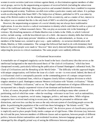women in sexist societies (and even violence against them), or discrimination against members of other racial groups, survive by the unquestioning acceptance of received beliefs (including the subservient roles of the traditional underdog). Many past practices and assumed identities have crumbled in response to questioning and scrutiny. Traditions can shift even within a particular country and culture. It is perhaps worth recollecting that John Stuart Mill's *The Subjection of Women,* published in 1874, was taken by many of his British readers to be the ultimate proof of his eccentricity, and as a matter of fact, interest in the subject was so minimal that this is the only book of Mill's on which his publisher lost money.  $^6$  $^6$ 

However, the unquestioning acceptance of a social identity may not always have traditionalist implications. It can also involve a radical reorientation in identity which could then be sold as a piece of alleged "discovery" without reasoned choice. This can play an awesome role in the fomenting of violence. My disturbing memories of Hindu-Muslim riots in India in the 1940s, to which I referred earlier, include seeing—with the bewildered eyes of a child—the massive identity shifts that followed divisive politics. A great many persons' identities as Indians, as subcontinentals, as Asians, or as members of the human race, seemed to give way— quite suddenly—to sectarian identification with Hindu, Muslim, or Sikh communities. The carnage that followed had much to do with elementary herd behavior by which people were made to "discover" their newly detected belligerent identities, without subjecting the process to critical examination. The same people were suddenly different.

#### Civilizational Incarceration

A remarkable use of imagined singularity can be found in the basic classificatory idea that serves as the intellectual background to the much-discussed thesis of "the clash of civilizations," which has been championed recently, particularly following the publication of Samuel Huntington's influential book, *The Clash of Civilizations and the Remaking of the World Order* . [7](#page-114-6) The difficulty with this approach begins with unique categorization, well before the issue of a clash—or not—is even raised. Indeed, the thesis of a civilizational *clash* is conceptually parasitic on the commanding power of a unique *categorization* along so-called civilizational lines, which as it happens closely follows religious divisions to which singular attention is paid. Huntington contrasts Western civilization with "Islamic civilization," "Hindu civilization," "Buddhist civilization," and so on. The alleged confrontations of religious differences are incorporated into a sharply carpentered vision of one dominant and hardened divisiveness.

In fact, of course, the people of the world can be classified according to many other systems of partitioning, each of which has some—often far-reaching—relevance in our lives: such as nationalities, locations, classes, occupations, social status, languages, politics, and many others. While religious categories have received much airing in recent years, they cannot be presumed to obliterate other distinctions, and even less can they be seen as the only relevant system of classifying people across the globe. In partitioning the population of the world into those belonging to "the Islamic world," "the Western world," "the Hindu world," "the Buddhist world," the divisive power of classificatory priority is implicitly used to place people firmly inside a unique set of rigid boxes. Other divisions (say, between the rich and the poor, between members of different classes and occupations, between people of different politics, between distinct nationalities and residential locations, between language groups, etc.) are all submerged by this allegedly primal way of seeing the differences between people.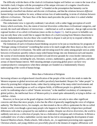The difficulty with the thesis of the clash of civilizations begins well before we come to the issue of an inevitable clash; it begins with the presumption of the unique relevance of a singular classification. Indeed, the question "do civilizations clash?" is founded on the presumption that humanity can be preeminently classified into distinct and discrete civilizations, and that the relations *between different human beings* can somehow be seen, without serious loss of understanding, in terms of relations *between different civilizations* . The basic flaw of the thesis much precedes the point where it is asked whether civilizations must *clash* .

This reductionist view is typically combined, I am afraid, with a rather foggy perception of world history which overlooks, first, the extent of *internal* diversities within these civilizational categories, and second, the reach and influence of *interactions* —intellectual as well as material—that go right across the regional borders of so-called civilizations (more on this in [chapter](#page-34-0) 3 ). And its power to befuddle can trap not only those who would like to support the thesis of a clash (varying from Western chauvinists to Islamic fundamentalists), but also those who would like to *dispute* it and yet try to respond within the straitjacket of its prespecified terms of reference.

The limitations of such civilization-based thinking can prove to be just as treacherous for programs of "dialogue among civilizations" (something that seems to be much sought after these days) as they are for theories of a clash of civilizations. The noble and elevating search for amity among people seen as amity between civilizations speedily reduces many-sided human beings into one dimension each and muzzles the variety of involvements that have provided rich and diverse grounds for cross-border interactions over many centuries, including the arts, literature, science, mathematics, games, trade, politics, and other arenas of shared human interest. Well-meaning attempts at pursuing global peace can have very counterproductive consequences when these attempts are founded on a fundamentally illusory understanding of the world of human beings.

## More than a Federation of Religions

Increasing reliance on religion-based classification of the people of the world also tends to make the Western response to global terrorism and conflict peculiarly ham-handed. Respect for "other people" is shown by praising their religious books, rather than by taking note of the many-sided involvements and achievements, in nonreligious as well as religious fields, of different people in a globally interactive world. In confronting what is called "Islamic terrorism," in the muddled vocabulary of contemporary global politics, the intellectual force of Western policy is aimed quite substantially at trying to define—or redefine—Islam.

However, to focus just on the grand religious classification is not only to miss other significant concerns and ideas that move people, it also has the effect of generally magnifying the voice of religious authority. The Muslim clerics, for example, are then treated as the ex officio spokesmen for the so-called Islamic world, even though a great many people who happen to be Muslim by religion have profound differences with what is proposed by one mullah or another. Despite our *diverse diversities,* the world is suddenly seen not as a collection of people, but as a federation of religions and civilizations. In Britain a confounded view of what a multiethnic society must do has led to encouraging the development of statefinanced Muslim schools, Hindu schools, Sikh schools, etc., to supplement preexisting state-supported Christian schools, and young children are powerfully placed in the domain of singular affiliations well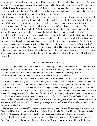before they have the ability to reason about different systems of identification that may compete for their attention. Earlier on, state-run denominational schools in Northern Ireland had fed the political distancing of Catholics and Protestants along one line of divisive categorization assigned at infancy, and the same predetermination of "discovered" identities is now being allowed and, in effect, encouraged to sow even more alienation among a different part of the British population.

Religious or civilizational classification can, of course, be a source of belligerent distortion as well. It can, for example, take the form of crude beliefs well exemplified by U.S. Lieutenant General William Boykin's blaring—and by now well-known—remark describing his battle against Muslims with disarming coarseness: "I knew that my God was bigger than his," and that the Christian God "was a real God, and [the Muslim's] was an idol." <sup>[8](#page-114-7)</sup> The idiocy of such dense bigotry is, of course, easy to diagnose, and for this reason there is, I believe, comparatively limited danger in the uncouth hurling of such unguided missiles. There is, in contrast, a much more serious problem in the use in Western public policy of intellectual "guided missiles" that present a superficially nobler vision to woo Muslim activists away from opposition through the apparently benign strategy of defining Islam appropriately. They try to wrench Islamic terrorists from violence by insisting that Islam is a religion of peace, and that a "true Muslim" must be a tolerant individual ("so come off it and be peaceful"). The rejection of a confrontational view of Islam is certainly appropriate and extremely important at this time, but we must also ask whether it is at all necessary or useful, or even possible, to try to define in largely political terms what a "true Muslim" must be like. [9](#page-114-8)

#### Muslims and Intellectual Diversity

A person's religion need not be his or her all-encompassing and exclusive identity. In particular, Islam, as a religion, does not obliterate responsible choice for Muslims in many spheres of life. Indeed, it is possible for one Muslim to take a confrontational view and another to be thoroughly tolerant of heterodoxy without either of them ceasing to be a Muslim for that reason alone.

The response to Islamic fundamentalism and to the terrorism linked with it also becomes particularly confused when there is a general failure to distinguish between Islamic history and the history of Muslim people. Muslims, like all other people in the world, have many different pursuits, and not all of their priorities and values need be placed within their singular identity of being Islamic (I shall go more into this issue in [chapter](#page-44-0) 4 ). It is, of course, not surprising at all that the champions of Islamic fundamentalism would like to suppress all other identities of Muslims in favor of being only Islamic. But it is extremely odd that those who want to overcome the tensions and conflicts linked with Islamic fundamentalism also seem unable to see Muslim people in any form other than their being just Islamic, which is combined with attempts to redefine Islam, rather than seeing the many-dimensional nature of diverse human beings who happen to be Muslim.

People see themselves—and have reason to see themselves—in many different ways. For example, a Bangladeshi Muslim is not only a Muslim but also a Bengali and a Bangladeshi, typically quite proud of the Bengali language, literature, and music, not to mention the other identities he or she may have connected with class, gender, occupation, politics, aesthetic taste, and so on. Bangladesh's separation from Pakistan was not based on religion at all, since a Muslim identity was shared by the bulk of the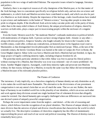population in the two wings of undivided Pakistan. The separatist issues related to language, literature, and politics.

Similarly, there is no empirical reason at all why champions of the Muslim past, or for that matter of the Arab heritage, have to concentrate specifically on religious beliefs only, and not also on science and mathematics, to which Arab and Muslim societies have contributed so much, and which can also be part of a Muslim or an Arab identity. Despite the importance of this heritage, crude classifications have tended to put science and mathematics in the basket of "Western science," leaving other people to mine their pride in religious depths. If the disaffected Arab activist today can take pride only in the purity of Islam, rather than in the many-sided richness of Arab history, the unique prioritization of religion, shared by warriors on both sides, plays a major part in incarcerating people within the enclosure of a singular identity.

Even the frantic Western search for "the moderate Muslim" confounds moderation in political beliefs with moderateness of religious faith. A person can have strong religious faith—Islamic or any other along with tolerant politics. Emperor Saladin, who fought valiantly for Islam in the Crusades in the twelfth century, could offer, without any contradiction, an honored place in his Egyptian royal court to Maimonides as that distinguished Jewish philosopher fled an intolerant Europe. When, at the turn of the sixteenth century, the heretic Giordano Bruno was burned at the stake in Campo dei Fiori in Rome, the Great Mughal emperor Akbar (who was born a Muslim and died a Muslim) had just finished, in Agra, his large project of legally codifying minority rights, including religious freedom for all.

The point that needs particular attention is that while Akbar was free to pursue his liberal politics without ceasing to be a Muslim, that liberality was in no way ordained—nor of course prohibited—by Islam. Another Mughal emperor, Aurangzeb, could deny minority rights and persecute non-Muslims without, for that reason, failing to be a Muslim, in exactly the same way that Akbar did not terminate being a Muslim because of his tolerantly pluralist politics.

## The Flames of Confusion

The insistence, if only implicitly, on a choiceless singularity of human identity not only diminishes us all, it also makes the world much more flammable. The alternative to the divisiveness of one preeminent categorization is not any unreal claim that we are all much the same. That we are not. Rather, the main hope of harmony in our troubled world lies in the plurality of our identities, which cut across each other and work against sharp divisions around one single hardened line of vehement division that allegedly cannot be resisted. Our shared humanity gets savagely challenged when our differences are narrowed into one devised system of uniquely powerful categorization.

Perhaps the worst impairment comes from the neglect—and denial—of the role of reasoning and choice, which follows from the recognition of our plural identities. The illusion of unique identity is much more divisive than the universe of plural and diverse classifications that characterize the world in which we actually live. The descriptive weakness of choiceless singularity has the effect of momentously impoverishing the power and reach of our social and political reasoning. The illusion of destiny exacts a remarkably heavy price.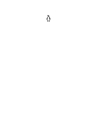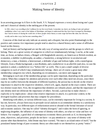## CHAPTER 2

## Making Sense of Identity

In an arresting passage in *A Turn in the South,* V. S. Naipaul expresses a worry about losing one's past and one's historical identity in the melting pot of the present.

In 1961, when I was travelling in the Caribbean for my first travel book, I remember my shock, my feeling of taint and spiritual annihilation, when I saw some of the Indians of Martinique, and began to understand that they have been swamped by Martinique, that I had no means of sharing the world view of these people whose history at some stage had been like mine, but who now, racially and in other ways, had become something other.  $^{\rm 1}$  $^{\rm 1}$  $^{\rm 1}$ 

Concerns of this kind not only indicate an anxiety and a disquiet, but also point illuminatingly to the positive and construc tive importance people tend to attach to a shared history and a sense of affiliation based on this history.

And yet history and background are not the only way of seeing ourselves and the groups to which we belong. There are a great variety of categories to which we simultaneously belong. I can be, at the same time, an Asian, an Indian citizen, a Bengali with Bangladeshi ancestry, an American or British resident, an economist, a dabbler in philosophy, an author, a Sanskritist, a strong believer in secularism and democracy, a man, a feminist, a heterosexual, a defender of gay and lesbian rights, with a nonreligious lifestyle, from a Hindu background, a non-Brahmin, and a nonbeliever in an afterlife (and also, in case the question is asked, a nonbeliever in a "before-life" as well). This is just a small sample of diverse categories to each of which I may simultaneously belong—there are of course a great many other membership categories too which, depending on circumstances, can move and engage me.

Belonging to each one of the membership groups can be quite important, depending on the particular context. When they compete for attention and priority over each other (they need not always, since there may be no conflict between the demands of different loyalties), the person has to decide on the relative importance to attach to the respective identities, which will, again, depend on the exact context. There are two distinct issues here. First, the recognition that identities are robustly plural, and that the importance of one identity need not obliterate the importance of others. Second, a person has to make choices explicitly or by implication—about what relative importance to attach, in a particular context, to the divergent loyalties and priorities that may compete for precedence.

Identifying with others, in various different ways, can be extremely important for living in a society. It has not, however, always been easy to persuade social analysts to accommodate identity in a satisfactory way. In particular, two different types of reductionism seem to abound in the formal literature of social and economic analysis. One may be called "identity disregard," and it takes the form of ignoring, or neglecting altogether, the influence of any sense of identity with others, on what we value and how we behave. For example, a good deal of contemporary economic theory proceeds as if, in choosing their aims, objectives, and priorities, people do not have—or pay attention to—any sense of identity with anyone other than themselves. John Donne may have warned, "No man is an island entire of itself," but the postulated human beings of pure economic theory are often made to see themselves as pretty "entire."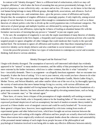In contrast with "identity disregard," there is a different kind of reductionism, which we may call "singular affiliation," which takes the form of assuming that any person preeminently belongs, for all practical purposes, to one collectivity only—no more and no less. Of course, we do know in fact that any real human being belongs to many different groups, through birth, associations, and alliances. Each of these group identities can—and sometimes does—give the person a sense of affiliation and loyalty. Despite that, the assumption of singular affiliation is amazingly popular, if only implicitly, among several groups of social theorists. It seems to appeal often enough to communitarian thinkers as well as to those theorists of cultural politics who like to divide up the world population into civilizational categories. The intricacies of plural groups and multiple loyalties are obliterated by seeing each person as firmly embedded in exactly one affiliation, replacing the richness of leading an abundant human life with the formulaic narrowness of insisting that any person is "situated" in just one organic pack.

To be sure, the assumption of singularity is not only the staple nourishment of many theories of identity, it is also, as I discussed in the first chapter, a frequently used weapon of sectarian activists who want the targeted people to ignore altogether all other linkages that could moderate their loyalty to the specially marked herd. The incitement to ignore all affiliation and loyalties other than those emanating from one restrictive identity can be deeply delusive and also contribute to social tension and violence.  $^2$  $^2$ 

Given the powerful presence of these two types of reductionism in contemporary social and economic thinking, both deserve serious attention.

#### Identity Disregard and the Rational Fool

I begin with identity disregard. The assumption of narrowly self-interested individuals has evidently appeared to be "natural" to many modern economists, and the oddity of that presumption has been made more extreme by the further insistence, which too is rather common, that this is what "rationality"—no less—invariably demands. There is an argument—an allegedly knockout argument—that we encounter too frequently. It takes the form of asking: "if it is not in your interest, why would you have chosen to do what you did?" This wise-guy skepticism makes huge idiots out of Mohandas Gandhi, Martin Luther King Jr., Mother Teresa, and Nelson Mandela, and rather smaller idiots out of the rest of us, by thoroughly ignoring the variety of motivations that move human beings living in a society, with various affiliations and commitments. The single-minded self-loving human being, who provides the behavioral foundations of a great many economic theories, has been adorned often enough by elevating nomenclature, such as being called "the economic man," or "the rational agent."

There have, of course, been critiques of the presumption of single-mindedly self-seeking economic behavior (even Adam Smith, who is frequently taken to be the founding father of "the economic man," had expressed profound skepticism of such an assumption), but much of modern economic theory tended to proceed as if these doubts were of marginal concern and could be easily brushed off. <sup>[3](#page-114-11)</sup> In recent years these general critiques have, however, been supplemented by criticisms coming from results of experimental games and other behavioral tests, which have brought out serious tensions between the assumption of pure self-seeking with singular affiliation and how people are actually observed to behave. These observations have empirically reinforced conceptual doubts about the coherence and sustainability of the presumed mental makeup of such single-focus people because of the philosophical and psychological limitation involved in not being able to make any effective difference between entirely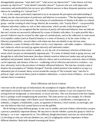distinguishable questions: "what shall I do?" "what serves my interest best?" "what choices will best promote my objectives?" "what should I rationally choose?" A person who acts with impeccable consistency and predictability but can *never* give different answers to these disparate questions can be taken to be something of a "rational fool."<sup>[4](#page-114-12)</sup>

It is, in this context, particularly important to try to incorporate the perception and understanding of identity into the characterization of preference and behavior in economics. <sup>[5](#page-115-0)</sup> This has happened in many different ways in the recent literature. The inclusion of considerations of identity with others in a shared group—and the working of what George Akerlof, the economist, calls "loyalty filters"—can powerfully influence individual conduct as well as their interactions, which can take richly divergent forms.  $^6$  $^6$ 

It must, of course, be recognized that the rejection of purely self-interested behavior does not indicate that one's actions are necessarily influenced by a sense of identity with others. It is quite possible that a person's behavior may be swayed by other types of considerations, such as her adherence to some norms of acceptable conduct (such as financial honesty or a sense of fairness), or by her sense of duty—or fiduciary responsibility—toward others with whom one does not identify in any obvious sense. Nevertheless, a sense of identity with others can be a very important—and rather complex—influence on one's behavior which can easily go against narrowly self-interested conduct.

That broad question also relates to another, to wit, the role of evolutionary selection of behavioral norms which can play an instrumentally important part.  $\frac{7}{1}$  $\frac{7}{1}$  $\frac{7}{1}$  If a sense of identity leads to group success, and through that to individual betterment, then those identity-sensitive behavioral modes may end up being multiplied and promoted. Indeed, both in *reflective* choice and in *evolutionary* selection, ideas of identity can be important, and mixtures of the two—combining critical reflection and selective evolution—can also, obviously, lead to the prevalence of identity-influenced behavior. The time has certainly come to displace the presumption of "identity disregard" from the exalted position it has tended to occupy in a substantial part of economic theory woven around the concept of "the economic man," and also in political, legal, and social theory (used in imitative admiration—a sincere form of flattery—of so-called rational-choice economics).

#### Plural Affiliations and Social Contexts

I turn now to the second type of reductionism: the assumption of singular affiliation. We are all individually involved in identities of various kinds in disparate contexts, in our own respective lives, arising from our background, or associations, or social activities. This was discussed in the first chapter, but it is perhaps worth reemphasizing the point here. The same person can, for example, be a British citizen, of Malaysian origin, with Chinese racial characteristics, a stockbroker, a nonvegetarian, an asthmatic, a linguist, a bodybuilder, a poet, an opponent of abortion, a bird-watcher, an astrologer, and one who believes that God created Darwin to test the gullible.

We do belong to many different groups, in one way or another, and each of these collectivities can give a person a potentially important identity. We may have to decide whether a particular group to which we belong is—or is not—important for us. Two different, though interrelated, exercises are involved here: (1) deciding on what our relevant identities are, and (2) weighing the relative importance of these different identities. Both tasks demand reasoning and choice.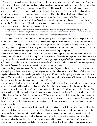The search for a unique way of classifying people for social analysis is not, of course, new. Even the political grouping of people into workers and nonworkers, much used in classical socialist literature, had this simple feature. That such a two-class partition could be very deceptive for social and economic analysis (even for those with a commitment to the underdogs of society) is now widely acknowledged, and it is perhaps worth recollecting, in this context, that Karl Marx himself subjected this unique identification to severe criticism in his *Critique of the Gotha Programme* , in 1875 (a quarter century after *The Communist Manifesto* ). Marx's critique of the German Workers Party's proposed plan of action (the "Gotha Programme") included an argument, among others, against seeing workers "only" as workers, ignoring their diversities as human beings:

[U]nequal individuals (and they would not be different individuals if they were not unequal) are measurable only by an equal standard in so far as they are brought under an equal point of view, are taken from one *definite* side only, *e.g.,* in the present case are regarded *only as workers,* and nothing more is seen in them, everything else being ignored. [8](#page-115-3)

The singular-affiliation view would be hard to justify by the crude presumption that any person belongs to one group and one group only. Each of us patently belongs to many. But nor can that view be easily vindicated by claiming that despite the plurality of groups to which any person belongs, there is, in every situation, some one group that is naturally the preeminent collectivity for her, and she can have no choice in deciding on the relative importance of her different membership categories.

I shall have to come back to the question of multiple memberships and the role of choice in the idea of identity, but before that it is worth noting that in the variation of the relative importance of identities, there may be significant external influences as well: not everything turns specifically on the nature of reasoning and choice. This clarification is needed since the role of choice has to be understood after taking note of the other influences that restrict or restrain the choices one can make.

For one thing, the importance of a particular identity will depend on the social context. For example, when going to a dinner, one's identity as a vegetarian may be rather more crucial than one's identity as a linguist, whereas the latter may be particularly important if one considers going to a lecture on linguistic studies. This variability does nothing to rehabilitate the assumption of singular affiliation, but it illustrates the need to see the role of choice in a context-specific way.

Also, not all identities need have durable importance. Indeed, sometimes an identity group may have a very fleeting and highly contingent existence. Mort Sahl, the American comedian, is supposed to have responded to the intense tedium of a four-hour-long film, directed by Otto Preminger, called *Exodus* (the name was inspired by the ancient Jewish migration out of Egypt, led by Moses), by demanding on behalf of his fellow sufferers: "Otto, let my people go!" That group of tormented filmgoers did have reason for fellow feeling, but one can see the massive contrast between such an ephemeral group of "my people" and the well-knit and seriously tyrannized community of people led by Moses—the original subject of that famous entreaty.

To consider the acceptance issue first, classifications can take many different forms, and not all of the categories that can be consistently generated would serve as a plausible basis for an important identity. Consider the set of people in the world who were born between nine and ten in the morning, local time. This is a distinct and quite well-defined group, but it is hard to imagine that many people would get excited about sustaining the solidarity of such a group and the identity it could potentially produce. Similarly, people who wear size 8 shoes are typically not linked with each other with a strong sense of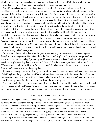identity on that shoe-size ground (rather important as that descriptive specificity is, when it comes to buying shoes and, more importantly, trying cheerfully to walk around in them).

Classification is certainly cheap, but identity is not. More interestingly, whether a particular classification can plausibly generate a sense of identity or not must depend on social circumstances. For example, if size 8 shoes become extremely difficult to find for some complicated bureaucratic reason (to grasp the intelligibility of such a supply shortage, one might have to place oneself somewhere in Minsk or Pinsk at the high noon of Soviet civilization), then the need for shoes of that size may indeed become a shared predicament and can give reason enough for solidarity and identity. Social clubs might even be set up (preferably with a liquor license) to exchange information about the availability of size 8 shoes.

Similarly, if it were to emerge that people born between 9 and 10 A.M . are, for reasons we do not yet understand, particularly vulnerable to some specific ailment (Harvard Medical School might be marshaled to look into this), then again there is a shared quandary which can provide a reason for a sense of identity. To consider a different variant of this example, if some authoritarian ruler wants to curb the freedom of people born in that particular hour because of the ruler's supernatural belief in the perfidy of people born then (perhaps some Macbethian witches have told him that he will be killed by someone born between 9 and 10 A.M .), then again a case for solidarity and identity based on that classificatory unity and persecution may indeed emerge here.

Sometimes a classification that is hard to justify intellectually may nevertheless be made important through social arrangements. Pierre Bourdieu, the French philosopher and sociologist, has pointed out how a social action can end up "producing a difference when none existed," and "social magic can transform people by telling them that they are different." That is what competitive examinations do (the 300th candidate is still something, the 301st is nothing). In other words, the social world constitutes differences by the mere fact of designing them. <sup>[9](#page-115-4)</sup>

Even when a categorization is arbitrary or capricious, once they are articulated and recognized in terms of dividing lines, the groups thus classified acquire derivative relevance (in the case of the civil service examination, it may involve the difference between having a fine job and having none), and this can be a plausible enough basis for identities on both sides of the separating line.

The reasoning in the choice of relevant identities must, therefore, go well beyond the purely intellectual into contingent social significance. Not only is reason involved in the choice of identity, but the reasoning may have to take note of the social context and contingent relevance of being in one category or another.

## Contrasting and Noncontrasting Identities

We can also distinguish between "contrasting" and "noncontrasting" identities. The different groups may belong to the same category, dealing with the same kind of membership (such as citizenship), or to different categories (such as citizenship, profession, class, or gender). In the former case, there is some contrast between different groups within the same category, and thus between the different identities with which they are associated. But when we deal with groups classified on different bases (such as profession and citizenship, respectively), there may be no real contrast between them as far as "belonging" is concerned. However, even though these noncontrasting identities are not involved in any territorial dispute as far as "belonging" is concerned, they can compete with each other for our attention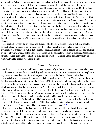and priorities. When one has to do one thing or another, the loyalties can conflict between giving priority to, say, race, or religion, or political commitments, or professional obligations, or citizenship.

In fact, we can have plural identities even within contrasting categories. One citizenship does, in an elementary sense, contrast with another in a person's identity. But as this example itself indicates, even contrasting identities need not demand that one and one only of the unique specifications can survive, overthrowing all the other alternatives. A person can be a dual citizen of, say, both France and the United States. Citizenship can, of course, be made exclusive, as is the case with, say, China or Japan (this was, in fact, the case even with the United States until quite recently). But even when exclusivity is insisted on, the conflict of dual loyalty need not disappear. For example, if a Japanese citizen resident in Britain is unwilling to take British citizenship because she does not want to lose her Japanese national identity, she may still have quite a substantial loyalty to her British attachments and to other features of her British identity which no Japanese court can outlaw. Similarly, an erstwhile Japanese citizen who has given up that citizenship to become a UK citizen may still retain considerable loyalties to her sense of Japanese identity.

The conflict between the priorities and demands of different identities can be significant both for contrasting and for noncontrasting categories. It is not so much that a person has to deny one identity to give priority to another, but rather that a person with plural identities has to decide, in case of a conflict, on the relative importance of the different identities for the particular decision in question. Reasoning and scrutiny can thus play a major role both in the specification of identities and in thinking through the relative strengths of their respective claims.

#### Choice and Constraints

In each social context, there would be a number of potentially viable and relevant identities which one could assess in terms of their acceptability and their relative importance. In many situations, the plurality may become central because of the widespread relevance of durable and frequently invoked characteristics, such as nationality, language, ethnicity, politics, or profession. The person may have to decide on the relative significance of the different affiliations, which could vary depending on the context. It is quite hard to imagine that a person can really be bereft of the possibility of considering alternative identifications, and that she must just "discover" her identities, as if it were a purely natural phenomenon. In fact, we are all constantly making choices, if only implicitly, about priorities to be attached to our different affiliations and associations. Often such choices are quite explicit and carefully argued, as when Mohandas Gandhi deliberately decided to give priority to his identification with Indians seeking independence from the British rule over his identity as a trained barrister pursuing English legal justice, or when E. M. Forster famously concluded, "[I]f I had to choose between betraying my county and betraying my friend, I hope I should have the guts to betray my country."  $^{10}$  $^{10}$  $^{10}$ 

It seems unlikely that the thesis of singular affiliation can have any kind of plausibility given the constant presence of different categories and groups to which any human being belongs. It is possible that the often repeated belief, common among advocates of singular affiliation, that identity is a matter of "discovery" is encouraged by the fact that the choices we can make are constrained by feasibility (I cannot readily choose the identity of a blue-eyed teenage girl from Lapland who is entirely comfortable with six-month-long nights), and these constraints would rule out all kinds of alternatives as being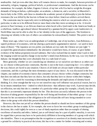nonfeasible. And yet even after that, there will remain choices to make, for example, between priorities of nationality, religion, language, political beliefs, or professional commitments. And the decisions can be momentous: for example, the father, Eugenio Colorni, of my late wife Eva had to weigh the divergent demands of being an Italian, a philosopher, an academic, a democrat, and a socialist, in Mussolini's fascist Italy in the 1930s, and chose to abandon the academic pursuit of philosophy to join the Italian resistance (he was killed by the fascists in Rome two days before American soldiers arrived there).

The constraints may be especially strict in defining the extent to which we can persuade *others,* in particular, to take us to be different from (or more than) what they insist on taking us to be. A Jewish person in Nazi Germany, or an African-American when faced with a lynch mob in the American South, or a rebellious, landless agricultural laborer threatened by a gunman hired by upper-caste landowners in North Bihar may not be able to alter his or her identity in the eyes of the aggressors. The freedom in choosing our identity in the eyes of others can sometimes be extraordinarily limited. This point is not in dispute.

Many years ago, when I was an undergraduate at Cambridge, one of my teachers, Joan Robinson, a superb professor of economics, told me (during a particularly argumentative tutorial—we used to have many of those): "The Japanese are too polite; you Indians are too rude; the Chinese are just right." I accepted this generalization immediately: the alternative would have been, of course, to give further evidence of the Indian propensity toward rudeness. But I also realized that no matter what I said or did, the imaging would not quickly change in my teacher's mind (Joan Robinson, by the way, was very fond of Indians: she thought that they were absolutely fine in a rude kind of way).

More generally, whether we are considering our identities as we ourselves see them or as others see us, we choose within particular constraints. But this is not in the least a surprising fact—it is rather just the way choices are faced in any situation. Choices of all kinds are always made within particular constraints, and this is perhaps the most elementary aspect of any choice. As was discussed in the first chapter, any student of economics knows that consumers always choose within a budget constraint, but that does not indicate that they have no choice, but only that they have to choose within their budgets.

There is also a need for reasoning in determining the demands and implications of identity-based thinking. It is clear enough that the way we see ourselves may well influence our practical reason, but it is by no means immediate how—indeed in which direction—that influence may work. A person may decide, on reflection, not only that she is a member of a particular ethnic group (for example, a Kurd), but also that this is an extremely important identity for her. This decision can easily influence the person in the direction of taking greater responsibility for the well-being and freedoms of that ethnic group—it can become for her an extension of the obligation to be self-reliant (the self now being extended to cover others in the group with which this person identifies).

However, this does not yet tell us whether the person should or should not favor members of this group in the choices she has to make. If, for example, she were to favor her own ethnic group in making public decisions, this could rightly be seen as a case of shady nepotism rather than an example of shining excellence of morality and ethics. Indeed, just as self-denial may be a part of public morality, it can even be argued that a person may have to be particularly diffident in favoring members of a group with which she identifies. There is no presumption that the recognition or assertion of an identity must necessarily be a ground for solidarity in practical decisions; this has to be a matter for further reasoning and scrutiny.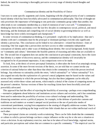Indeed, the need for reasoning is thoroughly pervasive at every stage of identity-based thoughts and decisions.

#### Communitarian Identity and the Possibility of Choice

I turn now to some specific arguments and claims, beginning with the alleged priority of one's communitybased identity which has been forcefully advocated in communitarian philosophy. That line of thought not only prioritizes the importance of belonging to one particular community group rather than another, but often tends to see community membership as a kind of extension of one's own self. <sup>[11](#page-115-6)</sup> Communitarian thinking has been in the ascendancy over the last few decades in contemporary social, political, and moral theorizing, and the dominant and compelling role of social identity in governing behavior as well as knowledge has been widely investigated and championed.  $^{12}$  $^{12}$  $^{12}$ 

In some versions of communitarian thinking, it is presumed—explicitly or by implication—that one's identity with one's community must be the principal or dominant (perhaps even the only significant) identity a person has. This conclusion can be linked to two alternative—related but distinct—lines of reasoning. One line argues that a person does not have access to other community-independent conceptions of identity and to other ways of thinking about identity. Her social background, firmly based on "community and culture," determines the feasible patterns of reasoning and ethics that are available to her. The second line of argument does not anchor the conclusion to perceptual constraints, but to the claim that identity is a matter of discovery anyway, and the communitarian identity will invariably be recognized to be of paramount importance, if any comparisons were to be made.

To look, first, at the thesis of severe perceptual limitation, it often takes the form of an amazingly strong assertion. In some of the more fervent versions of the thesis, we are told that we cannot invoke any criterion of rational behavior other than those that obtain in the community to which the person involved belongs. Any reference to rationality yields the retort, "*which* rationality?" or "*whose* rationality?" It is also argued not only that the *explanation* of a person's moral judgments must be based on the values and norms of the community to which the person belongs, but also that these judgments can be ethically assessed *only within* those values and norms, which entails a denial of the claims of competing norms on the person's attention. Various versions of these far-reaching claims have been forcefully aired and powerfully advocated.

This approach has had the effect of rejecting the feasibility of assessing—perhaps even comprehending —normative judgments about behavior and institutions across cultures and societies, and it has sometimes been used to undermine the possibility of serious cross-cultural exchange and understanding. This distancing sometimes serves a political purpose, for example, in the defense of particular customs and traditions on such matters as women's unequal social position or the use of particular modes of conventional punishment, varying from amputation to the stoning of allegedly adulterous women. There is an insistence here on splitting up the large world into little islands that are not within intellectual reach of each other.

These perceptual claims are certainly worth scrutinizing. There can be little doubt that the community or culture to which a person belongs can have a major influence on the way he or she sees a situation or views a decision. In any explanatory exercise, note has to be taken of local knowledge, regional norms, and particular perceptions and values that are common in a specific community. <sup>[13](#page-116-0)</sup> The empirical case for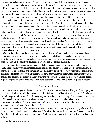this recognition is certainly strong. But this does not, in any plausible way, undermine or eliminate the possibility and role of choice and reasoning about identity. This is so for at least two specific reasons.

First, even though certain basic cultural attitudes and beliefs may *influence* the nature of our reasoning, they cannot invariably *determine* it fully. There are various influences on our reasoning, and we need not lose our ability to consider other ways of reasoning just because we identify with, and have been influenced by membership in, a particular group. Influence is not the same thing as complete determination, and choices do remain despite the existence—and importance—of cultural influences.

Second, the so-called cultures need not involve any *uniquely* defined set of attitudes and beliefs that can shape our reasoning. Indeed, many of these "cultures" contain considerable internal variations, and different attitudes and beliefs may be entertained within the same broadly defined culture. For example, Indian traditions are often taken to be intimately associated with religion, and indeed in many ways they are, and yet Sanskrit and Pali have a larger atheistic and agnostic literature than any other classical language: Greek or Roman or Hebrew or Arabic. When a doctrinal anthology such as the fourteenthcentury Sanskrit book *Sarvadarshanasamgraha* (literally translated as "collection of all philosophies") presents sixteen chapters respectively sympathetic to sixteen different positions on religious issues (beginning with atheism), the aim is to cater to informed and discerning choice, rather than to indicate incomprehension of each other's positions.  $^{14}$  $^{14}$  $^{14}$ 

Our ability to think clearly may, of course, vary with training and talent, but we can, as adult and competent human beings, question and begin to challenge what has been taught to us if we are given the opportunity to do so. While particular circumstances may not sometimes encourage a person to engage in such questioning, the ability to doubt and to question is not beyond our reach.

The point is often made, plausibly enough, that one cannot reason from nowhere. But this does not imply that no matter what the antecedent associations of a person are, those associations must remain unchallenged, unrejectable, and permanent. The alternative to the "discovery" view is not choice from positions "unencumbered" with any identity (as some communitarian polemicists seem to imply), but choices that continue to exist even in any *encumbered* position one happens to occupy. Choice does not require jumping out of nowhere into somewhere, but it can lead to a move from one place to another.

#### Priorities and Reason

I turn now from the argument based on perceptual limitation to the other possible ground for relying on choiceless identities, to wit, the alleged centrality of discovery in "knowing who you are." As Michael Sandel, the political theorist, has illuminatingly explained this claim (among other communitarian claims), "[C]ommunity describes not just what they *have* as fellow citizens but also what they *are,* not a relationship they choose (as in a voluntary association) but an attachment they discover, not merely an attribute but a constituent of their identity." <sup>[15](#page-116-2)</sup>

However, an enriching identity need not, in fact, be obtained only through discovering where we find ourselves. It can also be acquired and earned. When Lord Byron considered leaving Greece and parting from the people with whom this quintessential Englishman had come to identify so closely, he had reason to lament:

Maid of Athens, ere we part,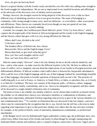Give, oh, give me back my heart!

Byron's acquired identity with the Greeks vastly enriched his own life while also adding some strength to the Greek struggle for independence. We are not as imprisoned in our installed locations and affiliations as the advocates of the discovery view of identity seem to presume.

Perhaps, however, the strongest reason for being skeptical of the discovery view is that we have different ways of identifying ourselves even in our given locations. The sense of belonging to a community, while strong enough in many cases, need not obliterate—or overwhelm—other associations and affiliations. These choices are constantly faced (even though we may not spend all our time articulating the choices we are actually making).

Consider, for example, the Caribbean poet Derek Walcott's poem "A Far Cry from Africa," which captures the divergent pulls of his historical African background and his loyalty to the English language and the literary culture that goes with it (a very strong affiliation for Walcott):

Where shall I turn, divided to the vein? I who have cursed The drunken officer of British rule, how choose Between this Africa and the English tongue I love? Betray them both, or give back what they give? How can I face such slaughter and be cool? How can I turn from Africa and live?

Walcott cannot simply "discover" what is his true identity; he has to decide what he should do, and how—and to what extent—to make room for the different loyalties in his life. We have to address the issue of conflict, real or imagined, and ask about the implications of our loyalty to divergent priorities and differentiated affinities. If Walcott wonders what conflict there is between his inseparable attachment to Africa and his love of the English language and his use of that language (indeed his astonishingly beautiful use of that language), that points to broader questions of disparate pulls on one's life. The presence of conflicting pulls is as real in France, or America, or South Africa, or India, or anywhere else, as it clearly is in Walcott's Caribbean. The basic seri ousness of the disparate pulls—of history, culture, language, politics, profession, family, comradeship, and so on—have to be adequately recognized, and they cannot all be drowned in a single-minded celebration only of community.

The point at issue is not whether *any* identity whatever can be chosen (that would be an absurd claim), but whether we do indeed have choices over alternative identities or combinations of identities, and perhaps more importantly, substantial freedom regarding what *priority* to give to the various identities we may simultaneously have. <sup>[16](#page-116-3)</sup> To consider an illustration that was discussed in the last chapter, a person's choice may be constrained by the recognition that she is, say, Jewish, but she still has a decision to make regarding what importance to give to that particular identity over others that she may also have (related for example, to her political beliefs, sense of nationality, humanitarian commitments, or professional attachments).

In the Bengali novel *Gora* by Rabindranath Tagore published a century ago, the problematic hero, also called Gora, differs from most of his friends and family in urban Bengal by strongly championing oldfashioned Hindu customs and traditions and is a staunch religious conservative. However, Tagore places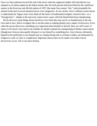Gora in a big confusion toward the end of the novel when his supposed mother tells him that he was adopted as an infant orphan by the Indian family after his Irish parents had been killed by the rebellious sepoys in the ferocious anti-British mutiny of 1857 (the name Gora means "fair," and presumably his unusual looks had received attention but no clear diagnosis). At one stroke, Gora's militant conservatism is undermined by Tagore since Gora finds all the doors of traditionalist temples closed to him—as a "foreign-born"—thanks to the narrowly conservative cause which he himself had been championing.

We do discover many things about ourselves even when they may not be as foundational as the one Gora had to face. But to recognize this is not the same as making identity just a matter of discovery. Even when the person discovers something very important about himself or herself, there are still issues of choice to be faced. Gora had to ask whether he should continue his championing of Hindu conservatism (though now from an inescapable distance) or see himself as something else. Gora chooses ultimately, helped by his girlfriend, to see himself just as a human being who is at home in India, not delineated by religion or caste or class or complexion. Important choices have to be made even when crucial discoveries occur. Life is not mere destiny.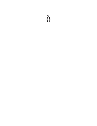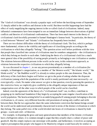## CHAPTER 3

## Civilizational Confinement

The "clash of civilizations" was already a popular topic well before the horrifying events of September 11 sharply added to the conflicts and distrust in the world. But these terrible happenings have had the effect of vastly magnifying the ongoing interest in the so-called clash of civilizations. Indeed, many influential commentators have been tempted to see an immediate linkage between observations of global conflicts and theories of civilizational confrontations. There has been much interest in the theory of civilizational clash forcefully presented in Samuel Huntington's famous book. [1](#page-116-4) In particular, the theory of a clash between "Western" and "Islamic" civilizations has frequently been invoked.

There are two distinct difficulties with the theory of civilizational clash. The first, which is perhaps more fundamental, relates to the viability and significance of classifying people according to the civilizations to which they allegedly "belong." This question arises well before problems with the view that people thus classified into cartons of civilizations must be somehow antagonistic—the civilizations to which they belong are hostile to each other. Underlying the thesis of a civilizational clash lies a much more general idea of the possibility of seeing people primarily as belonging to one civilization or another. The relations between different persons in the world can be seen, in this reductionist approach, as relations between the respective civilizations to which they allegedly belong.

As was discussed in [chapter](#page-13-0) 1 , to see any person preeminently as a member of a civilization (for example, in Huntington's categorization, as a member of "the Western world," "the Islamic world," "the Hindu world," or "the Buddhist world") is already to reduce people to this one dimension. Thus, the deficiency of the clash thesis begins well before we get to the point of asking whether the disparate civilizations (among which the population of the world is neatly partitioned out) must necessarily—or even typically—clash. No matter what answer we give to that question, even by pursuing the question in this restrictive form, we implicitly give credibility to the allegedly unique importance of that one categorization over all the other ways in which people of the world can be classified.

Indeed, even the *opponents* of the theory of a "civilizational clash" can, in effect, contribute to propping up its intellectual foundation if they begin by accepting the same singular classification of the world population. The heartwarming belief in an underlying goodwill among people belonging to discrete civilizations is, of course, very different from the cold pessimism of seeing only conflict and strife between them. But the two approaches share the same reductionist conviction that human beings around the world can be understood and preeminently characterized in terms of the distinct civilizations to which they belong. The same pallid view of the world divided into boxes of civilizations is shared by both groups—warm and cold—of theorists.

For example, in disputing the gross and nasty generalization that members of the Islamic civilization have a belligerent culture, it is common enough to argue that they actually share a culture of peace and goodwill. But this simply replaces one stereotype with another, and furthermore, it involves accepting an implicit presumption that people who happen to be Muslim by religion would basically be similar in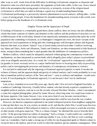other ways as well. Aside from all the difficulties in defining civilizational categories as disparate and disjunctive units (on which more presently), the arguments on both sides suffer, in this case, from a shared faith in the presumption that seeing people exclusively, or primarily, in terms of the religion-based civilizations to which they are taken to belong is a good way of understanding human beings. Civilizational partitioning is a pervasively intrusive phenomenon in social analysis, stifling other—richer —ways of seeing people. It lays the foundations for misunderstanding nearly everyone in the world, even before going on to the drumbeats of a civilizational clash.

# Singular Visions and the Appearance of Depth

If clashing civilizations is a remarkably grand thesis about conflicts, there are lesser, but also influential, claims that relate contrasts of cultures and identities to the conflicts and the profusion of atrocities we see in different parts of the world today. Instead of one majestically momentous partition that splits the world population into contending civilizations, as in Huntington's imagined uni verse, the lesser variants of the approach see local populations as being split into clashing groups with divergent cultures and disparate histories that tend, in an almost "natural" way, to breed enmity toward each other. Conflicts involving, say, Hutus and Tutsis, Serbs and Albanians, Tamils and Sinhalese, are then reinterpreted in lofty historical terms, seeing in them something that is much grander than the shabbiness of contemporary politics.

Modern conflicts, which cannot be adequately analyzed without going into contemporary events and machinations, are then interpreted as ancient feuds which allegedly place today's players in preordained roles in an allegedly ancestral play. As a result, the "civilizational" approach to contemporary conflicts (in grander or lesser versions) serves as a major intellectual barrier to focusing more fully on prevailing politics and to investigating the processes and dynamics of contemporary incitements to violence.

It is not hard to understand why the imposing civilizational approach appeals so much. It invokes the richness of history and the apparent depth and gravity of cultural analysis, and it seeks profundity in a way that an immediate political analysis of the "here and now"—seen as ordinary and mundane—would seem to lack. If I am disputing the civilizational approach, it is not because I don't see its intellectual temptations.

I am, in fact, reminded of an event fifty years ago, shortly after I first arrived in England from India, as a student at Cambridge University. A kindly fellow student, who had already acquired a reputation for insightful political analysis, took me to see the recently released film *Rear Window* , where I encountered a canny but crippled photographer, played by James Stewart, observing some very suspicious events in the house opposite. Like James Stewart, I too, in my naive kind of way, became convinced that a gruesome murder may have been committed in the apartment that could be seen from the rear window.

However, my theorist companion explained to me (amid whispered protests from neighbors urging him to shut up) that there was, he was certain, no murder at all, and that the whole film, I would soon discover, was a serious indictment of McCarthyism in America, which encouraged everyone to watch the activities of other people with great suspicion. "This is a robust critique," he informed this novice from the third world, "of the growing American culture of snooping." Such a critique, I could readily see, could have yielded quite a profound film, but I kept wondering whether it was, in fact, the film we were watching. Later on, I remember, I had to make a strong cup of coffee for my disappointed guide to Western culture to reconcile him to the shallow and trivial world in which the murderer got his mundane comeuppance. What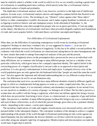must be similarly asked is whether in the world in which we live we are actually watching a grand clash of civilizations or something much more ordinary which merely looks like a civilizational clash to determined seekers of depth and profundity.

The depth that civilizational analysis seeks is not, however, exclusive to the high road of intellectual analysis. In some ways, civilizational analysis mirrors and magnifies common beliefs that flourish in not particularly intellectual circles. The invoking of, say, "Western" values against what "those others" believe is rather commonplace in public discussions, and it makes regular headlines in tabloids as well as figuring in political rhetoric and anti-immigrant oratory. In the aftermath of September 11, the stereotyping of Muslims came often enough from people who are no great specialists, if I am any judge, on the subject. But theories of civilizational clash have often provided allegedly sophisticated foundations of crude and coarse popular beliefs. Cultivated theory can bolster uncomplicated bigotry.

## Two Difficulties of Civilizational Explanations

What, then, are the difficulties of explaining contemporary world events by invoking civilizational categories? Perhaps its most basic weakness lies, as was suggested in [chapter](#page-13-0) 1 , in its use of a particularly ambitious version of the illusion of singularity. To this has to be added a second problem: the crudeness with which the world civilizations are characterized, taking them to be more homogeneous and far more insular than tends to emerge from empirical analyses of the past and the present.

The illusion of singularity draws on the presumption that a person not be seen as an individual with many affiliations, nor as someone who belongs to many different groups, but just as a member of one particular collectivity, which gives him or her a uniquely important identity. The implicit belief in the overarching power of a singular classification is not just crude as an approach to description and prediction, it is also grossly confrontational in form and implication. A uniquely divisive view of the world population goes not only against the old-fashioned belief that "people are much the same the world over," but also against the important and informed understanding that we are different in many diverse ways. Our differences do not lie on one dimension only.

The realization that each of us can and do have many different identities related to different significant groups to which we simultaneously belong appears to some as a rather complicated idea. But, as was discussed in the last chapter, it is an extremely ordinary and elementary recognition. In our normal lives, we see ourselves as members of a variety of groups: we belong to all of them. The fact that a person is a woman does not conflict with her being a vegetarian, which does not militate against her being a lawyer, which does not prevent her from being a lover of jazz, or a heterosexual, or a supporter of gay and lesbian rights. Any person is a member of many different groups (without this being in any way a contradiction), and each of these collectivities, to all of which this person belongs, gives him or her a potential identity which—depending on the context—can be quite important.

The incendiary implications of crude and singular classifications were discussed earlier, and will be pursued further in the subsequent chapters. The conceptual weakness of the attempt to achieve a singular understanding of the people of the world through civilizational partitioning not only works against our shared humanity, but also undermines the diverse identities we all have which do not place us against each other along one uniquely rigid line of segregation. Misdescription and misconception can make the world more fragile than it need be.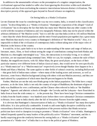In addition to the unsustainable reliance on the presumption of a singular categorization, the civilizational approach has tended to suffer also from ignoring the diversities within each identified civilization and also from overlooking the extensive interrelations between distinct civilizations. The descriptive poverty of the approach goes beyond its flawed reliance on singularity.

#### On Seeing India as a Hindu Civilization

Let me illustrate the issue by considering the way my own country, India, is treated in this classificatory system. <sup>[2](#page-116-0)</sup> In describing India as a "Hindu civilization," Huntington's exposition of the alleged "clash of civilizations" has to downplay the fact that India has many more Muslims than any other country in the world with the exception of Indonesia and very marginally Pakistan. India may not be placed within the arbitrary definition of "the Muslim world," but it is still the case that India (with its 145 million Muslims —more than the whole British population and the entire French population put together) has a great many more Muslims than nearly every country in Huntington's definition of "the Muslim world." Also, it is impossible to think of the civilization of contemporary India without taking note of the major roles of Muslims in the history of the country.

It would be, in fact, quite futile to try to have an understanding of the nature and range of Indian art, literature, music, films, or food without seeing the range of contributions coming from both Hindus and Muslims in a thoroughly intermingled way. <sup>[3](#page-116-1)</sup> Also, the interactions in everyday living, or in cultural activities, are not separated along communal lines. While we can, for example, contrast the style of Ravi Shankar, the magnificent sitarist, with Ali Akbar Khan, the great sarod player, on the basis of their particular mastery over different forms of Indian classical music, they would never be seen specifically as a "Hindu musician" or a "Muslim musician" respectively (even though Shankar does happen to be a Hindu and Khan a Muslim). The same applies to other fields of cultural creativity, including Bollywood —that great field of Indian mass culture—where many of the leading actors and actresses, as well as directors, come from a Muslim background (along with others with non-Muslim ancestry), and they are much adored by a population of which more than 80 percent happen to be Hindu.

Further, Muslims are not the only non-Hindu group in the Indian population. The Sikhs have a major presence, as do the Jains. India is not only the country of origin of Buddhism; the dominant religion of India was Buddhism for over a millennium, and the Chinese often referred to India as "the Buddhist kingdom." Agnostic and atheistic schools of thought—the Carvaka and the Lokayata—have flourished in India from at least the sixth century B.C . to the present day. There have been large Christian communities in India from the fourth century—two hundred years before there were substantial Christian communities in Britain. Jews came to India shortly after the fall of Jerusalem; Parsees from the eighth century.

It is obvious that Huntington's characterization of India as a "Hindu civilization" has many descriptive difficulties. It is also politically combustible. It tends to add some highly deceptive credibility to the extraordinary distortion of history and manipulation of the present realities that Hindu sectarian politicians have tried to champion in trying to promote a "Hindu civilization" view of India. Huntington is indeed frequently quoted by many leaders of the politically active "Hindutva" movement, and this is hardly surprising given the similarity between his seeing India as a "Hindu civilization" and the promotion of a "Hindu view" of India that is so dear to the political gurus of Hindutva.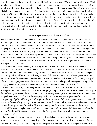As it happens, in the general elections held in India in the spring of 2004, the coalition led by the Hindu activist party suffered a severe defeat, with fairly comprehensive reversals across the board. In addition to being headed by a Muslim president, the secular Republic of India now has a Sikh prime minister and a Christian president of the ruling party (not bad for the largest democratic electorate in the world with more than 80 percent Hindu voters). However, the threat of a renewed promotion of the Hindu sectarian conception of India is ever present. Even though the political parties committed to a Hindu view of India have received considerably less than a quarter of the votes (a smallish fraction of the Hindu population), political attempts at seeing India as a "Hindu civilization" will not easily die away. A simplistic characterization of India along an artificially singular religious line remains politically explosive, in addition to being descriptively flawed.

#### On the Alleged Uniqueness of Western Values

The portrayal of India as a Hindu civilization may be a crude mistake, but coarseness of one kind or another is present in the characterizations of other civilizations as well. Consider what is called "the Western civilization." Indeed, the champions of "the clash of civilizations," in line with the belief in the unique profundity of this singular line of division, tend to see tolerance as a special and enduring feature of Western civilization, extending way back into history. Indeed, this is seen as one of the important aspects of the clash of values that underpins the supposed clash of civilizations. Huntington insists that the "West was West long before it was modern." <sup>[4](#page-116-2)</sup> He cites (among other allegedly special features such as "social pluralism") "a sense of individualism and a tradition of individual rights and liberties unique among civilized societies."

This increasingly common way of looking at civilizational divisions is not really as rooted in traditional cultural analysis in the West as it is sometimes supposed. For example, the characterization of Western culture in a world of other—very different—cultures that was presented by Oswald Spengler in his widely influential book *The Decline of the West* did make explicit room for heterogeneities within each culture and for the cross-cultural similarities that can be clearly observed. In fact, Spengler argued, "there is nothing preposterous in the idea of Socrates, Epicurus, and especially Diogenes, sitting by the Ganges, whereas Diogenes in a Western megalopolis would be an unimportant fool."<sup>[5](#page-116-3)</sup>

Huntington's thesis is, in fact, very hard to sustain empirically. Tolerance and liberty are certainly among the important achievements of modern Europe (leaving out some aberrations like Nazi Germany, or the intolerant governance of the British or French or Portuguese empires in Asia and Africa). But to see a unique line of historical division there—going back over the millennia—is quite fanciful. The championing of political liberty and of religious tolerance, in their full contemporary forms, is not an old historical feature of any country or civilization in the world. Plato and Aquinas were no less authoritarian in their thinking than was Confucius. This is not to deny that there were champions of tolerance in classical European thought, but even if this is taken to give credit to the whole Western world (from the ancient Greeks and Romans to the Vikings and the Ostrogoths), there are similar examples in other cultures as well.

For example, the Indian emperor Ashoka's dedicated championing of religious and other kinds of tolerance in the third century B.C . (arguing that "the sects of other people all deserve reverence for one reason or another") is certainly among the earliest political defenses of tolerance anywhere. The recent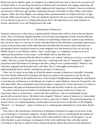Bollywood movie *Ashoka* (made, as it happens, by a Muslim director) may or may not be accurate in all its details (there is, for one thing, fulsome use of Bollywood's fascination with singing, romancing, and economically dressed dancing), but it rightly emphasizes the importance of Ashoka's ideas on secularism and tolerance 2,300 years ago and their continuing relevance in the India of today. When a later Indian emperor, Akbar, the Great Mughal, was making similar pronouncements on religious tolerance in Agra from the 1590s onward (such as, "[N]o one should be interfered with on account of religion, and anyone is to be allowed to go over to a religion that pleases him"), the Inquisitions were quite extensive in Europe, and heretics were still being burned at the stake.

# Global Roots of Democracy

Similarly, democracy is often seen as a quintessentially Western idea which is alien to the non-Western world. That civilizational simplification has received some encouragement recently from the difficulty that is being experienced by the U.S.-led coalition in establishing a democratic system of government in Iraq. However, there is a real loss of clarity when the blame for the difficulties in postintervention Iraq is not put on the peculiar nature of the underinformed and underreflected military intervention that was precipitately chosen, but placed instead on some imagined view that democracy does not suit Iraqi, or Middle Eastern, or non-Western cultures. That, I would argue, is a completely wrong way to try to understand the problems we face today—in the Middle East or anywhere else.

Doubts are often expressed that the Western countries can "impose" democracy on Iraq, or on any other country. However, to pose the question in that form—centering on the idea of "imposition"—implies a proprietary belief that democracy belongs to the West, taking it to be a quintessentially "Western" idea which has originated and flourished only in the West. This is a thoroughly misleading way of understanding the history and the contemporary prospects of democracy.

There can, of course, be no doubt at all that the modern concepts of democracy and public reasoning have been deeply influenced by European and American analyses and experiences over the last few centuries, particularly by the intellectual force of the European Enlightenment (including the contributions of such theorists of democracy as the Marquis de Condorcet, James Madison, Alexis de Tocqueville, and John Stuart Mill). But to extrapolate backward from these comparatively recent experiences to construct a quintessential and long-run dichotomy between the West and non-West would be very odd history.

In contrast with the specious history of redefining the long-run past on the basis of short-run experiences, there is an alternative—historically more ambitious—line of reasoning that focuses specifically on ancient Greece. The belief in the allegedly "Western" nature of democracy is often linked to the early practice of voting and elections in Greece, especially in Athens. The pioneering departure in ancient Greece was indeed momentous, but the jump from ancient Greece to the thesis of the allegedly "Western"—or "European"—nature of democracy is confusing and confounded for at least three distinct reasons.

First, there is the classificatory arbitrariness of defining civilizations in largely racial terms. In this way of looking at civilizational categories, no great difficulty is seen in considering the descendants of, say, Goths and Visigoths as proper inheritors of the Greek tradition ("they are all Europeans," we are told). But there is great reluctance in taking note of the Greek intellectual links with other ancient civilizations to the east or south of Greece, despite the greater interest the ancient Greeks themselves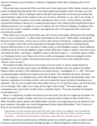showed in talking to ancient Iranians, or Indians, or Egyptians (rather than in chatting up the ancient Ostrogoths).

The second issue concerns the follow-up of the early Greek experience. While Athens certainly was the pioneer in getting balloting started, there were many regional governments which went that way in the centuries to follow. There is nothing to indicate that the Greek experience in electoral governance had much *immediate* impact in the countries to the west of Greece and Rome, in, say, what is now France or Germany or Britain. In contrast, some of the contemporary cities in Asia—in Iran, Bactria, and India incorporated elements of democracy in municipal governance in the centuries following the flowering of Athenian democracy. For example, for several centuries the city of Susa (or Shushan) in southwest Iran had an elected council, a popular assembly, and magistrates who were proposed by the council and elected by the assembly.

Third, democracy is not just about ballots and votes, but also about public deliberation and reasoning, what—to use an old phrase—is often called "government by discussion." While public reasoning did flourish in ancient Greece, it did so also in several other ancient civilizations—sometimes spectacularly so. For example, some of the earliest open general meetings aimed specifically at settling disputes between different points of view took place in India in the so-called Buddhist councils, where adherents of different points of view got together to argue out their differences. Emperor Ashoka, referred to earlier, who hosted the third—and largest—Buddhist council in the third century B.C . in the then capital of India, viz. Pataliputra (what is now Patna), also tried to codify and propagate what were among the earliest formulations of rules for public discussion (some kind of an early version of the nineteenth-century "Robert's rules of order").

The tradition of public discussion can be found across the world. To choose another historical example, in early seventh-century Japan, the Buddhist prince Shotoku, who was regent to his mother, Empress Suiko, insisted in "the constitution of seventeen articles," promulgated in A.D . 604: "Decisions on important matters should not be made by one person alone. They should be discussed with many." This, as it happens, is six hundred years earlier than the Magna Carta signed in the thirteenth century. The Japanese constitution of seventeen articles went on to explain the reason why plural reasoning was so important: "Nor let us be resentful when others differ from us. For all men have hearts, and each heart has its own leanings. Their right is our wrong, and our right is their wrong." <sup>[6](#page-116-4)</sup> Not surprisingly, some commentators have seen in this seventh-century constitution Japan's "first step of gradual development toward democracy."<sup>[7](#page-116-5)</sup>

There is a long history of public discussion across the world. Even the all-conquering Alexander was treated to a good example of public criticism as he roamed around in northwest India around 325 B.C . When Alexander asked a group of Jain philosophers why they were neglecting to pay any attention to the great conqueror (Alexander was clearly disappointed by these Indian philosophers' lack of interest in him), he received the following forceful reply:

King Alexander, every man can possess only so much of the earth's surface as this we are standing on. You are but human like the rest of us, save that you are always busy and up to no good, travelling so many miles from your home, a nuisance to yourself and to others! ... You will soon be dead, and then you will own just as much of the earth as will suffice to bury you.  $^8$  $^8$ 

Middle Eastern history and the history of Muslim people also include a great many accounts of public discussion and political participation through dialogues. In Muslim kingdoms centered around Cairo,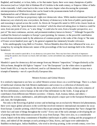Baghdad, and Istanbul, or in Iran, India, or for that matter Spain, there were many champions of public discussion (such as Caliph Abd al-Rahman III of Córdoba in the tenth century, or Emperor Akbar of India in the sixteenth). I shall come back to this issue in the next chapter when discussing the systematic misinterpretation of Muslim history that can be found in the pronouncements both of religious fundamentalists and of Western cultural simplifiers.

The Western world has no proprietary right over democratic ideas. While modern institutional forms of democracy are relatively new everywhere, the history of democracy in the form of public participation and reasoning is spread across the world. As Alexis de Tocqueville noted in 1835 in his classic book on democracy, while the "great democratic revolution" which he observed taking place in America could be seen, from one point of view, as "a new thing," it could also be seen, from a broader perspective, as a part of "the most continuous, ancient, and permanent tendency known to history." <sup>[9](#page-116-7)</sup> Although Tocqueville confined his historical examples to Europe's past (pointing, for instance, to the powerful contribution toward democratization made by the admission of common people to the ranks of the clergy in "the state of France seven hundred years ago"), his general argument has immensely broader relevance.

In his autobiography *Long Walk to Freedom* , Nelson Mandela describes how influenced he was, as a young boy, by seeing the democratic nature of the proceedings of the local meetings held in his African hometown:

Everyone who wanted to speak did so. It was democracy in its purest form. There may have been a hierarchy of importance among the speakers, but everyone was heard, chief and subject, warrior and medicine man, shopkeeper and farmer, landowner and laborer. [10](#page-116-8)

Mandela's quest for democracy did not emerge from any Western "imposition." It began distinctly at his African home, though he did fight to "impose" it on "the Europeans" (as the white rulers in apartheidbased South Africa, it may be recollected, used to call themselves). Mandela's ultimate victory was a triumph of humanity—not of a specifically European idea.

#### Western Science and Global History

It is similarly important to see how so-called Western science draws on a world heritage. There is a chain of intellectual relations that link Western mathematics and science to a collection of distinctly non-Western practitioners. For example, the decimal system, which evolved in India in the early centuries of the first millennium, went to Europe at the end of that millennium via the Arabs. A large group of contributors from different non-Western societies—Chinese, Arab, Iranian, Indian, and others influenced the science, mathematics, and philosophy that played a major part in the European Renaissance and, later, the Enlightenment.

Not only is the flowering of global science and technology not an exclusively Western-led phenomenon, there were major global advances in the world that involved extensive international encounters far away from Europe. Consider printing, which Francis Bacon put among the developments that "have changed the whole face and state of things throughout the world." Every one of the early attempts at developing the art of printing in the first millennium occurred far away from Europe. They were also, to a considerable extent, linked with the deep commitment of Buddhist intellectuals to public reading and the propagation of ideas, and indeed all the attempts at early printing in China, Korea, and Japan were undertaken by Buddhist technologists. Indian Buddhists, who tried to develop printing, in the seventh century, were less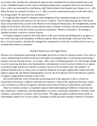successful in this, but they did contribute the material that constituted the first dated printed book in the world, a Buddhist Sanskrit classic (*Vajracchedikaprajnaparamita* ) popularly known as the *Diamond Sutra,* which was translated by a half-Indian, half-Turkish scholar from Sanskrit into Chinese in A.D . 402. When the book was printed in Chinese in A.D. 868, it carried a motivational preface to the effect that it was being printed "for universal free distribution." <sup>[11](#page-116-9)</sup>

It is right that there should be adequate acknowledgment of the tremendous progress of ideas and knowledge in Europe and America over the last few centuries. The Occident must get full credit for the major achievements that occurred in the Western world during the Renaissance, the Enlightenment, and the Industrial Revolution, which have transformed the nature of human civilization. But the presumption that all this is the result of the flowering of an entirely sequestered "Western civilization," developing in splendid isolation, would be a serious illusion.

Praising an imagined insularity does little justice to the way learning and thinking tend to progress in the world, drawing on developments in different regions. Ideas and knowledge cultivated in the West have, in recent centuries, dramatically changed the contemporary world, but it would be hard to see it as an immaculate Western conception.

#### Botched Abstractions and Foggy History

Reliance on civilizational partitioning is thoroughly flawed for at least two distinct reasons. First, there is a basic methodological problem involved in the implicit presumption that a civilizational partitioning is uniquely relevant and must drown—or swamp—other ways of identifying people. It is bad enough, though scarcely surprising, that those who foment global confrontations or local sectarian violence try to impose a prechosen single and divisive identity on people who are to be recruited as the "foot soldiers" of political brutality, but it is really sad to see that this blinkered vision gets significantly reinforced by the implicit support the anti-Western fundamentalist warriors get from theories bred in the Western countries of singular categorization of people of the world.

The second difficulty with civilizational partitioning used in this approach is that it is based on extraordinary descriptive crudeness and historical innocence. Many of the significant diversities within each civilization are effectively ignored, and interactions between them are substantially overlooked.

These twin failures produce a remarkably impoverished understanding of different civilizations and their similarities, connections, and interdependence in science, technology, mathematics, literature, trade, commerce, and political, economic, and social ideas. The foggy perception of global history yields an astonishingly limited view of each culture, including an oddly parochial reading of Western civilization.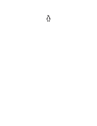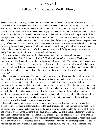# CHAPTER 4

# Religious Affiliations and Muslim History

Recent theses about clashing civilizations have tended to draw much on religious difference as a central characteristic of differing cultures. However, aside from the conceptual flaw in seeing human beings in terms of only one affiliation and the historical mistake of overlooking the critically important interrelations between what are assumed to be largely detached and discrete civilizations (both problems were discussed in the last chapter), these civilizational theories also suffer from having to overlook the heterogeneity of religious affiliations that characterize most countries and, even more, most civilizations. The last problem can be quite a big one, too, since people of the same reli gion are frequently spread over many different countries and several distinct continents. For example, as was mentioned earlier, India may be seen by Samuel Huntington as a "Hindu civilization," but with nearly 150 million Muslim citizens, India is also among the three largest Muslim countries in the world. Religious categorization cannot be easily fitted into classifications of countries and civilizations.

This last problem can be overcome by classifying people not into lumpy civilizational units with religious correlates (like "Islamic civilization," "Hindu civilization," and such as in Huntington's categorization), but directly in terms of the religious groupings of people. This would lead to a neater and less defective classification, and it has, not surprisingly, appealed to many. Viewing individuals in terms of their religious affiliations has certainly become quite common in cultural analysis in recent years. Does this make the religion-centered analysis of the people of the world a helpful way of understanding humanity?

I have to argue that it does not. This may be a more coherent classification of the people of the world than civilized categorization, but it makes the same mistake of attempting to see human beings in terms of only one affiliation, viz. religion. In many contexts, such a classification can be rather helpful (for example, in determining the choice of religious holidays, or ensuring the safety of places of worship), but to take that to be the overarching basis of social, political, and cultural analysis in general would amount to overlooking all the other associations and loyalties any individual may have, and which could be significant in the person's behavior, identity, and self-understanding. The crucial need to take note of the plural identities of people and their choice of priorities survives the replacement of civilizational classifications with a directly religious categorization.

Indeed, the increasingly common use of religious identities as the leading—or sole—principle of classification of the people of the world has led to much grossness of social analysis. There has been, in particular, a major loss of understanding in the failure to distinguish between (1) the various affiliations and loyalties a person who happens to be a Muslim has, and (2) his or her Islamic identity in particular. The Islamic identity can be one of the identities the person regards as important (perhaps even crucial), but without thereby denying that there are other identities that may also be significant. What is often called "the Islamic world" does, of course, have a preponderance of Muslims, but different persons who are all Muslims can and do vary greatly in other respects, such as political and social values, economic and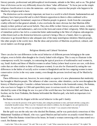literary pursuits, professional and philosophical involvements, attitude to the West, and so on. The global lines of division can be very differently drawn for these "other affiliations." To focus just on the simple religious classification is to miss the numerous—and varying—concerns that people who happen to be Muslim by religion tend to have.

The distinction can be extremely important, not least in a world in which Islamic fundamentalism and militancy have been powerful and in which Western opposition to them is often combined with a significant, if vaguely formulated, suspicion of Muslim people in general. Aside from the conceptual crudity reflected in that general attitude, it also overlooks the more obvious fact that Muslims differ sharply in their political and social beliefs. They also differ in their literary and artistic tastes, in their interest in science and mathematics, and even in the form and extent of their religiosity. While the urgency of immediate politics has led to a somewhat better understanding in the West of religious subcategories within Islam (such as the distinction between a person's being a Shia or a Sunni), there is a growing reluctance to go beyond them to take adequate note of the many nonreligious identities Muslim people, like other people in the world, have. But the ideas and priorities of Muslims on political, cultural, and social matters can diverge greatly.

## Religious Identity and Cultural Variations

There can also be vast differences in the social behavior of different persons belonging to the same religion, even in fields often thought to be closely linked with religion. This is easy to illustrate in the contemporary world, for example, in contrasting the typical practices of traditionalist rural women in, say, Saudi Arabia and those of Muslim women in urban Turkey (where head scarves are rare, with dress codes that are often similar to those of European women). It can also be illustrated by noting the vast differences in the habits of socially active women in Bangladesh and the less outgoing women in more conservative circles in the very same country, even though the persons involved may all be Muslim by religion.

These differences must not, however, be seen simply as aspects of a new phenomenon that modernity has brought to Muslim people. The influence of other concerns, other identities, can be seen throughout the history of Muslim people. Consider a debate between two Muslims in the fourteenth century. Ibn Battuta, who was born in Tangier in 1304 and spent thirty years in various travels in Africa and Asia, was shocked by some of the things he saw in a part of the world that now lies between Mali and Ghana. In Iwaltan, not far from Timbuktu, Ibn Battuta befriended the Muslim qadi, who held an important civic office there.

Ibn Battuta records his disgust with the social behavior in the qadi's family:

One day I went into the presence of the qadi of Iwaltan, after asking his permission to enter, and found with him a young and a remarkably beautiful woman. When I saw her I hesitated and wished to withdraw, but she laughed at me and experienced no shyness. The qadi said to me: "Why are you turning back? She is my friend." I was amazed at their behaviour.  $^1$  $^1$ 

But the qadi was not the only one who shocked Ibn Battuta, and he was particularly censorious of Abu Muhammad Yandakan al-Musufi, who was a good Muslim and had earlier on actually visited Morocco himself. When Ibn Battuta visited him at his house, he found a woman conversing with a man seated on a couch. Ibn Battuta reports:

I said to him: "Who is this woman?" He said: "She is my wife." I said: "What connection has the man with her?" He replied: "He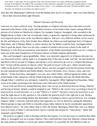is her friend." I said to him: "Do you acquiesce in this when you have lived in our country and become acquainted with the precepts of the Shariah?" He replied: "The association of women with men is agreeable to us and a part of good conduct, to which no suspicion attaches. They are not like the women of your country." I was astonished at his laxity. I left him and did not return thereafter. He invited me several times, but I did not accept.  $^2$  $^2$ 

Note that Abu Muhammad's difference from Ibn Battuta does not lie in religion—they were both Muslim —but in their decision about right lifestyles.

### Muslim Tolerance and Diversity

I turn now to a more political issue. Varying attitudes to religious tolerance have often been socially important in the history of the world, and much variation can be found in this respect among different persons all of whom are Muslim by religion. For example, Emperor Aurangzeb, who ascended to the Mughal throne in India in the late seventeenth century, is generally regarded as being rather intolerant; he even imposed special taxes on his non-Muslim subjects. And yet a very different attitude can be seen in the life and behavior of his elder brother Dara Shikoh, the eldest son (and legitimate heir) of Emperor Shah Jahan, and of Mumtaz Mahal, in whose memory the Taj Mahal would be built. Aurangzeb killed Dara to grab the throne. Dara was not only a student of Sanskrit and serious scholar in the study of Hinduism, it is his Persian translation, from Sanskrit, of the Hindu *Upanishads* which was for a century or more one of the main foundations of European interest in Hindu religious philosophy.

Dara and Aurangzeb's great-grandfather, Akbar, was extremely supportive of religious tolerance (as was discussed earlier), and he made it a recognized duty of the state to make sure that "no man should be interfered with on account of religion, and anyone is to be allowed to go over to a religion that pleases him." In line with his pursuit of what he called "the path of reason" (*rahi aql* ), Akbar insisted in the 1590s on the need for open dialogue and free choice, and also arranged recurrent discussions involving not only mainstream Muslim and Hindu thinkers, but also Christians, Jews, Parsees, Jains, and even atheists. <sup>[3](#page-117-2)</sup> Aside from Dara, Aurangzeb's own son, also called Akbar, rebelled against his father, and joined hands in this enterprise with the Hindu king doms in Rajasthan and later the Hindu Marathas (though Akbar's rebellion was ultimately crushed by Aurangzeb). While fighting from Rajasthan, Akbar wrote to his father protesting at his intolerance and vilification of his Hindu friends. <sup>[4](#page-117-3)</sup>

Faced with such diversity among Muslims, those who can see no distinction between being a Muslim and having an Islamic identity would be tempted to ask: "Which is the correct view according to Islam? Is Islam in favor of such tolerance, or is it not? Which is it really?" The prior issue to be faced here is not what the right answer to this question is, but whether the question itself is the right one to ask. Being a Muslim is not an overarching identity that determines everything in which a person believes. For example, Emperor Akbar's tolerance and heterodoxy had supporters as well as detractors among the influential Muslim groups in Agra and Delhi in sixteenth-century India. Indeed, he faced considerable opposition from Muslim clerics. Yet when Akbar died in 1605, the Islamic theologian Abdul Haq, who was sharply critical of many of Akbar's tolerant beliefs, had to conclude that despite his "innovations," Akbar had remained a good Muslim. [5](#page-117-4)

The point to recognize is that in dealing with this discrepancy, it is not necessary to establish that either Akbar or Aurangzeb was not a proper Muslim. They could both have been fine Muslims without sharing the same political attitudes or social and cultural identities. It is possible for one Muslim to take an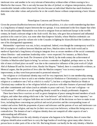intolerant view and another to be very tolerant of heterodoxy without either of them ceasing to be a Muslim for that reason. This is not only because the idea of *ijtehad,* or religious interpretation, allows considerable latitude within Islam itself, but also because an individual Muslim has much freedom to determine what other values and priorities he or she would choose without compromising a basic Islamic faith.

#### Nonreligious Concerns and Diverse Priorities

Given the present disaffection between Arab and Jewish politics, it is also worth remembering that there is a long history of mutual respect between the two groups. It was mentioned in the first chapter that when the Jewish philosopher Maimonides was forced to emigrate from an intolerant Europe in the twelfth century, he found a tolerant refuge in the Arab world. His host, who gave him an honored and influential position in his court in Cairo, was none other than Emperor Saladin, whose Muslim credentials can hardly be doubted, given his valiant role in the Crusades in fighting for Islam (Richard the Lionheart was one of his distinguished opponents).

Maimonides' experience was not, in fact, exceptional. Indeed, even though the contemporary world is full of examples of conflicts between Muslims and Jews, Muslim rulers in the Arab world and in medieval Spain had a long history of trying to integrate Jews as secure members of the social community whose liberties—and sometimes leadership roles—were respected. For instance, as María Rosa Menocal has noted in her book *The Ornament of the World,* by the tenth century the achievement of Córdoba in Muslim-ruled Spain in being "as serious a contender as Baghdad, perhaps more so, for the title of most civilized place on earth" was due to the constructive influence of the joint work of Caliph Abd al-Rahman III and his Jewish vizier, Hasdai ibn Shaprut. [6](#page-117-5) Indeed, there is considerable evidence, as Menocal argues, that the position of Jews after the Muslim conquest "was in every respect an improvement, as they went from persecuted to protected minority."  $^7$  $^7$ 

Our religious or civilizational identity may well be very important, but it is one membership among many. The question we have to ask is not whether Islam (or Hinduism or Christianity) is a peace-loving religion or a combative one ("tell us which it is really?"), but how a religious Muslim (or Hindu or Christian) may combine his or her religious beliefs or practices with other features of personal identity and other commitments and values (such as attitudes to peace and war). To see one's religious—or "civilizational"—affiliation as an all-engulfing identity would be a deeply problematic diagnosis.

There have been fierce warriors as well as great champions of peace among devoted members of each religion, and rather than asking which one is the "true believer" and which one a "mere impostor," we should accept that one's religious faith does not in itself resolve all the decisions we have to make in our lives, including those concerning our political and social priorities and the corresponding issues of conduct and action. Both the proponents of peace and tolerance and the patrons of war and intolerance can belong to the same religion, and may be (in their own ways) true believers, without this being seen as a contradiction. The domain of one's religious identity does not vanquish all other aspects of one's understanding and affiliation.

If being a Muslim were the only identity of anyone who happens to be Muslim, then of course that religious identification would have to carry the huge burden of resolving a great many other choices a person faces in other parts of his or her life. But being Islamic can hardly be the only identity a Muslim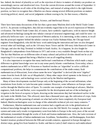has. Indeed, the denial of plurality as well as the rejection of choice in matters of identity can produce an astonishingly narrow and misdirected view. Even the current divisions around the events of September 11 have placed Muslims on all sides of the dividing lines, and instead of asking which is the right Islamic position, we have to recognize that a Muslim can choose among several different positions on matters involving political, moral, and social judgments without ceasing to be, for that reason, a Muslim.

# Mathematics, Science, and Intellectual History

There have been many discussions of the fact that a great many Muslims died in the World Trade Center on 9/11. As persons working there, they did not evidently regard that to be an evil expression of Western civilization. The World Trade Center did, of course, have symbolic significance, with its massive height and advanced technology (using the new tubular concept of structural engineering), and could be seen—in politically bellicose eyes—as an expression of Western audacity. It is interesting, in this context, to recall that the principal engineer behind the tubular concept was Fazlur Rahman Khan, the Chicago-based engineer from Bangladesh, who did the basic work underlying the innovation and later on also designed several other tall buildings, such as the 110-story Sears Tower and the 100-story John Hancock Center in Chicago, and also the Hajj Terminal in Jeddah in Saudi Arabia. As it happens, he also fought for Bangladesh's independence from Pakistan in 1971 and wrote a very readable Bengali book on that war. The fact that Muslims are on different sides of many cultural and political divides should not be at all surprising if it is recognized that being a Muslim is not an all-engulfing identity.

It is also important to recognize that many intellectual contributions of Muslims which made a major difference to global knowledge were not in any sense purely Islamic contributions. Even today, when a modern mathematician at MIT or Princeton or Stanford invokes an "algorithm" to solve a difficult computational problem, she helps to commemorate the contributions of the ninth-century Arab mathematician al-Khwarizmi, from whose name the term "algorithm" is derived (the term "algebra" comes from his book *Al-Jabr wa al-Muqabalah* ). Many other major devel opments in the history of mathematics, science, and technology were carried out by the Muslim intelligentsia.

Many of these developments reached Europe only at the beginning of the second millennium, when translations from Arabic to Latin became quite common. However, some influences on Europe came earlier through the Muslim rulers of Spain. To consider one example of technological advance, Muslim engineers, both Arab and Berber, were responsible for the development and use of the technology of irrigation in the form of *acequias* in Spain, drawing on the innovations they had introduced earlier in the dry lands in the Middle East. This allowed, more than a thousand years ago, the cultivation of crops, fruits and vegetables, and the pasturing of animals on what had earlier been completely dry European land. Indeed, Muslim technologists were in charge of this admirable technical job over many centuries.  $^8$  $^8$ 

Furthermore, Muslim mathematicians and scientists had a significant role in the globalization of technical knowledge through the movement of ideas across the Old World. For example, the decimal system and some early results in trigonometry went from India to Europe in the early years of the second millennium, transmitted through the works of Arab and Iranian mathematicians. Also, the Latin versions of the mathematical results of Indian mathematicians Aryabhata, Varahamihira, and Brahmagupta, from their Sanskrit treatises produced between the fifth and seventh centuries, appeared in Europe through two distinct steps, going first from Sanskrit to Arabic and then to Latin (I shall return to such multicultural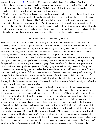transmissions in [chapter](#page-77-0) 7 ). As leaders of innovative thought in that period in history, Muslim intellectuals were among the most committed globalizers of science and mathematics. The religion of the people involved, whether Muslim or Hindu or Christian, made little difference to the scholarly commitments of these Muslim leaders of mathematics or science.

Similarly, many of the Western classics, particularly from ancient Greece, survived only through their Arabic translations, to be retranslated, mostly into Latin, in the early centuries of the second millennium, preceding the European Renaissance. The Arabic translations were originally made not, obviously, for preservation, but for contemporary use in the Arabic-speaking world—a world of some considerable expanse at the turn of the first millennium. But the global as well as domestic consequences that ultimately resulted from this process are entirely in line with what could be expected from the reach and catholicity of the scholarship of those who were leaders of world thought over those decisive centuries.

## Plural Identities and Contemporary Politics

There are several reasons for which it is critically important today to pay attention to the distinction between (1) seeing Muslim people exclusively—or predominantly—in terms of their Islamic religion and (2) understanding them more broadly in terms of their many affiliations, which would certainly include their Islamic identity, but which need not crowd out the commitments that follow from their scientific interests, professional obligations, literary involvements, or political affiliations.

The first reason, of course, is the value of knowledge—the importance of knowing what is happening. Clarity of understanding has significance on its own, and can also have far-reaching consequences for thoughts and actions. For example, even when a gang of activists claim that their terrorist pursuits are particu larly ordained by Islamic injunctions, thereby trying to extend radically the reach of religious commands, we can certainly question whether that is indeed the case. It would be an obvious and gross mistake to go along with their failure to see the distinction between an Islamic identity and the identity of being a dedicated terrorist in what they see as the cause of Islam. To see this distinction does not, of course, foreclose the intellectual possibility of debating whether Islamic injunctions can be interpreted in this way, but the debate cannot even begin if the very distinction between an Islamic identity and a Muslim person's many identities were entirely missed.

As it happens, most Muslim scholars would entirely reject the claim that Islamic injunctions can require or sanction or even tolerate terrorism, even though many of them would also argue, as will be discussed presently, that a person would not cease to be a Muslim even if he were to interpret his duties differently (in the view of their critics, mistakenly) so long as he adhered to the core Islamic beliefs and practices. The first issue, however, is not to confuse the role of a particular religious identity and the various priorities a person of that particular religion may choose to have (for a variety of other reasons).

Second, the distinction is of significance in the battle against the politicization of religion, exemplified not only by the rapid growth of political Islam, but also by the vigor with which the politicization of other religions have proceeded (exemplified by the political reach of "born-again" Christianity, or of Jewish extremism, or of the Hindutva movement). The world of practice—indeed sometimes very nasty and brutally sectarian practice—is systematically fed by the confusion between having a religion and ignoring the need for reasoning—and for freedom of thought—in deciding on matters that need not be "locked up" by religious faith. The process of misbegotten politicization can be seen, to varying extents, in the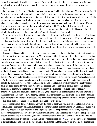increasingly polarized world, and it can vary from contributing directly to recruitment for active terrorism to enhancing vulnerability to such recruitment or encouraging tolerance of violence in the name of religion.

For example, the "creeping Shariah-ization of Indonesia," which the Indonesian Muslim scholar Syafi'i Anwar has described with much alarm, not only is a development of religious practice, but involves the spread of a particularly pugnacious social and political perspective in a traditionally tolerant—and richly multicultural—country. <sup>[9](#page-117-8)</sup> A similar thing can be said about a number of other countries, including Malaysia, which have experienced a rapid promotion of a confrontational culture in the name of Islam, despite their history of cultural diversity and political breadth. To resist political polarization, this foundational distinction has to be pressed, since the exploitation of a religious (in this case, Islamic) identity is such a big part of the cultivation of organized conflicts of this kind.  $^{10}$  $^{10}$  $^{10}$ 

Third, the distinction allows us to understand more fully what is going on internally in countries that are placed by outsiders in some religious box, such as the so-called Islamic world, as if that identification could comprehensively explain current intellectual developments there. It is important to recognize that many countries that are formally Islamic states have ongoing political struggles in which many of the protagonists, even when they are devout Muslims by religion, do not draw their arguments only from their Islamic identity.

Consider Pakistan, which is certainly an Islamic state, and has Islam as its state religion with various political implications (for example, a non-Muslim could not be elected president of the country no matter how many votes he or she could get). And yet the civil society in that intellectually active country makes room for many commitments and pursuits that are not derived primarily— or at all—from religion. For example, Pakistan has a dedicated, and in many ways highly successful, Human Rights Commission, which appeals not just to Islamic entitlements but also to more broadly defined human rights. Even though, unlike the Human Rights Commission of India or South Africa, which are recognized bodies with legal power, the commission in Pakistan has no legal or constitutional standing (indeed it is formally no more than an NGO), yet under the stewardship of visionary leaders of civil society such as Asma Jahangir and I. A. Rehman, it has done much to fight for the freedoms of women, minorities, and other threatened people. Its qualified success has been based on the use of Pakistan's civil laws (to the extent that they have not been maimed by extremist reform), the courage and commitment of civil dissidents, the fairmindedness of many upright members of the judiciary, the presence of a large body of socially progressive public opinion, and, last but not least, the effectiveness of the media in drawing attention to inhumanity and violation of civil decency. In fact, Pakistan's media, like the Bangladeshi press, has also been very active in directly investigating and prominently reporting cases of abuse and in raising humane —and often secular—issues for the attention of a reflective public. <sup>[11](#page-117-10)</sup>

These recognitions do not reduce in any way the need to deal with "the depths of Pakistan's problem with Islamic extremism," as Husain Haqqani, a former Pakistani ambassador to Sri Lanka, has put it. It is critically important to pay attention to the diagnosis Haqqani has presented persuasively that "the disproportionate influence wielded by fundamentalist groups in Pakistan is the result of state sponsorship of such groups," and to his warning that "an environment dominated by Islamist and militarist ideologies is the ideal breeding ground for radicals and exportable radicalism." <sup>[12](#page-118-0)</sup> These issues have to be addressed at different levels, and call for the reforming of governance and the military, the pressing for democratic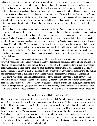rights, giving more freedom of operation to the nonreligious and nonextremist political parties, and dealing with training grounds and fundamentalist schools that incline students toward confrontation and militancy. But attention must also be paid to the ongoing struggle within Pakistan in which its strong intellectual community has been playing a valuable, often visionary, role. Indeed, Husain Haqqani's own penetrating analysis is part of this richly constructive movement. The American-led "war on terror" has been so preoccupied with military moves, interstate diplomacy, intergovernment dialogues, and working with rulers in general (across the world, not just in Pakistan) that there has tended to be a serious neglect of the importance of civil society, despite the critically important work that it does in very difficult circumstances.

Indeed, humanist pursuits of broad reach have a rich history in Pakistan, and this tradition deserves celebration and support. It has already produced much-admired results that have received global attention in other contexts. For example, the human development approach to understanding economic and social progress (judging progress not merely by the growth of gross national product but by the enhancement of people's living conditions) has been pioneered in the world by a Pakistani economist and former finance minister, Mahbub ul Haq. <sup>[13](#page-118-1)</sup> The approach has been widely used internationally, including in Pakistan, to assess the deficiencies of public policies (the critique has often been blistering), and it still remains one of the mainstays of the United Nations' constructive efforts in economic and social development. It is important to recognize that A. Q. Khan's clandestine nuclear wares are not the only things Pakistan has exported abroad.

Momentous nondenominational contributions of this kind draw on the broad visions of the persons involved, not specifically on their religiosity. And yet this fact did not make Mahbub ul Haq any less of a Muslim. His faith in religion in its proper domain was strong, as I can confirm, having had the privilege of knowing him as a close friend (from our days together as undergraduates at Cambridge in the early 1950s to his sudden death in 1998). The distinction between the broad variety of commitments of Muslims and their narrowly defined Islamic identity in particular is extraordinarily important to understand.

The fourth reason for emphasizing the importance of this distinction is that it is significantly—and sometimes entirely—missed in some of the "battles against terrorism" that are currently being waged. This can, and I believe already does, have very counterproductive effects. For example, attempts to fight terrorism through recruiting religion "on one's side" has not only been quite ineffective, they also suffer, I would argue, from a serious conceptual disorientation. This subject clearly deserves a fuller discussion.

#### Fighting Terrorism and Understanding Identities

The confusion between the plural identities of Muslims and their Islamic identity in particular is not only a descriptive mistake, it has serious implications for policies for peace in the precarious world in which we live. There is a great deal of anxiety in the contemporary world about global conflicts and terrorism. This is as it should be, since the threats are real and the need to do something to overcome and subdue these dangers is urgent. The actions taken in recent years have included military interventions in Afghanistan and Iraq. These are important subjects for public debate (I must confess that I have been totally skeptical of the policies chosen by the coalition partners for the Iraq operation in particular), but my focus here will be on another part of the global approach to conflicts and terrorism, involving public policies related to cultural relations and civil society.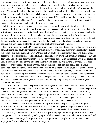As was discussed in the first chapter, this book is especially concerned with the conceptual framework within which these confrontations are seen and understood, and how the demands of public action are interpreted. A confusing role is played here by the reliance on a single categorization of the people of the world. The confusion adds to the flammability of the world in which we live. The problem I am referring to is much more subtle than the crude and abusive views that have been expressed about other cultures by people in the West, like the irrepressible Lieutenant General William Boykin of the U.S. Army (whose claim that the Christian God was "bigger than" the Islamic God was discussed in the first chapter). It is easy to see the obtuseness and inanity of views of this kind.

What, however, can be seen as a bigger and more general problem (despite the absence of the grossness of vilification) are the possibly terrible consequences of classifying people in terms of singular affiliations woven around exclusively religious identities. This is especially critical for understanding the nature and dynamics of global violence and terrorism in the contemporary world. The religious partitioning of the world produces a deeply misleading understanding of the people across the world and the diverse relations between them, and it also has the effect of magnifying one particular distinction between one person and another to the exclusion of all other important concerns.

In dealing with what is called "Islamic terrorism," there have been debates on whether being a Muslim demands some kind of strongly confrontational militancy, or whether, as many world leaders have argued in a warm—and even inspiring—way, a "true Muslim" must be a tolerant individual. The denial of the necessity of a confrontational reading of Islam is certainly appropriate and extremely important today, and Tony Blair in particular deserves much applause for what he has done in this respect. But in the context of Blair's frequent invoking of "the moderate and true voice of Islam," we have to ask whether it is at all possible—or necessary—to define a "true Muslim" in terms of political and social beliefs about confrontation and tolerance, on which different Muslims have historically taken, as was discussed earlier, very different positions. The effect of this religion-centered political approach, and of the institutional policies it has generated (with frequent announcements of the kind, to cite one example, "the government is meeting Muslim leaders in the next vital stage designed to cement a united front"), has been to bolster and strengthen the voice of religious authorities while downgrading the importance of nonreligious institutions and movements.

The difficulty with acting on the presumption of a singular identity—that of religion—is not, of course, a special problem applying only to Muslims. It would also apply to any attempt to understand the political views and social judgments of people who happen to be Christian, or Jewish, or Hindu, or Sikh, by relying mainly—or only—on what their alleged religious leaders declare as spokesmen for their "flocks." The singular classification gives a commanding voice to the "establishment" figures in the respective religious hierarchy while other perspectives are relatively downgraded and eclipsed.

There is concern—and some astonishment—today that despite attempts to bring in the religious establishment of Muslims and other non-Christian groups into dialogues about global peace and local calm, religious fundamentalism and militant recruitment have continued to flourish even in Western countries. And yet this should not have come as a surprise. Trying to recruit religious leaders and clerics in support of political causes, along with trying to redefine the religions involved in terms of political and social attitudes, downplays the significance of nonreligious values people can and do have in their appropriate domain, whether or not they are religious.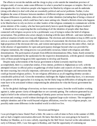The efforts to recruit the mullahs and the clergy to play a role outside the immediate province of religion could, of course, make some difference in what is preached in mosques or temples. But it also downgrades the civic initiatives people who happen to be Muslim by religion can and do undertake (along with others) to deal with what are essentially political and social problems. Further, it also heightens the sense of distance between members of different religious communities by playing up their religious differences in particular, often at the cost of other identities (including that of being a citizen of the country in question), which could have had a more uniting role. Should a British citizen who happens to be Muslim have to rely on clerics or other leaders of the religious community to communicate with the prime minister of his country, who has been particularly keen to speak through the religious leaders?

It should not be so surprising that the overlooking of all the identities of people other than those connected with religion can prove to be a problematic way of trying to reduce the hold of religious sectarianism. This problem also arises sharply in dealing with the more difficult—and more turbulent political situation in battle-torn Iraq and Afghanistan. The elections and referendum in Iraq in 2005 can be seen as a considerable success within their own criteria of assessment: the elections did occur, a fairly high proportion of the electorate did vote, and violent interruptions did not mar the entire effort. And yet in the absence of opportunities for open and participatory dialogue beyond what was provided by religious institutions, the voting process was predictably sectarian, linked with religious and ethnic denominations. The participation of people from different denominations (Shia, Sunni, Kurd) seemed to be rigidly intermediated by the spokesmen for the respective denominations, with the general citizenship roles of those people being given little opportunity to develop and flourish.

Despite many achievements of the Karzai government in Kabul (certainly much has been accomplished), there is a somewhat similar, if less intense, problem in Afghanistan as well, with the attempted reliance in official policy on gatherings of tribal leaders and councils of clerics, rather than on the more exacting, but critically important, cultivation of open general dialogues and interactions that could go beyond religious politics. To see religious affiliation as an all-engulfing identity can take a considerable political toll. Given the tremendous challenges the Afghan leadership faces, it is necessary to be patient with the approaches it is trying out, but the likely long-run difficulties of taking this narrow route have to be articulated without compromising the admiration for what the Karzai government has achieved.

As for the global challenge of terrorism, we have reason to expect, from the world leaders working against it, rather greater clarity of thought than we are currently getting. The confusion generated by an implicit belief in the solitarist understanding of identity poses serious barriers to overcoming global terrorism and creating a world without ideologically organized large-scale violence. The recognition of multiple identities and of the world beyond religious affiliations, even for very religious people, can possibly make some difference in the troubled world in which we live.

#### Terrorism and Religion

I was privileged to know Daniel Pearl a little. He came to a talk of mine in Paris in the summer of 2000, and we had a longish conversation afterward. He knew then that he was soon going to be based in Bombay (or Mumbai, as it is now called), reporting for the *Wall Street Journal* on the subcontinent. Later, early in February 2001, I saw him again in Bombay, and I had the opportunity of continuing our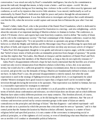conversation. I was struck not only by Pearl's remarkable intelligence, but also by his commitment to pursue the truth and, through that means, to help create a better—and less unjust—world. We also discussed, particularly during our first meeting, how violence in the world is often sown by ignorance and confusion, as well as by injustices that receive little attention. I was moved, intellectually as well as emotionally, by Daniel Pearl's dedication to fight for peace and justice through the advancement of understanding and enlightenment. It was that dedication to investigate and explore that would ultimately cost him his life, when the terrorists would capture and execute him in Pakistan the year after I last met him.

Daniel's father, Judea Pearl, who is the president of the Daniel Pearl Foundation, which is dedicated to intercultural understanding, recently expressed his frustration in a moving—and also enlightening—article about the outcome of an important meeting of Muslim scholars in Amman in Jordan. The conference, to which 170 Islamic clerics and experts had come from forty countries, tried to define "the reality of Islam and its role in the contemporary society." The final communiqué of the Amman conference, issued on July 6, 2005, stated categorically: "It is not possible to declare as apostates any group of Muslims who believes in Allah the Mighty and Sublime and His Messenger (may Peace and Blessings be upon him) and the pillars of faith, and respects the pillars of Islam and does not deny any necessary article of religion."  $14$  Judea Pearl felt disappointed, though he is too gentle and tolerant to express anger, with the conclusion that "belief in basic tenets of faith provides an immutable protection from charges of apostasy." He points out that this implies that "bin Laden, Abu Musab al-Zarqawi and the murderers of Daniel Pearl and Nick Berg will remain bona fide members of the Muslim faith, as long as they do not explicitly renounce it."

Judea Pearl's disappointment reflected a hope he had clearly entertained that the horrible acts of terror would not only receive denunciation from Muslim scholars (which they, in fact, did, in no uncertain terms), but would also be a sufficient ground for religious excommunication. But no excommunication occurred, and given the way the demands of being a Muslim are foundationally defined in Islam, it could not have. In Judea Pearl's case, the personal disappointment is entirely natural, but when the same expectation is used in the strategy of fighting terrorism at the global level, it can legitimately be asked whether Western strategists have good reason to expect that a religion itself can be recruited to fight terrorism through declaring the terrorists to be apostates. That expectation was dashed in Amman, but was it a reasonable expectation for strategists to entertain?

As was discussed earlier, we have to ask whether it is at all possible to define a "true Muslim" in terms of beliefs about confrontation and tolerance, on which Islam does not dictate and on which different Muslims have taken widely different positions over many centuries. This freedom allowed, of course, King Abdullah II of Jordan to firmly assert, as he did during the very same conference, that "the acts of violence and terrorism carried out by certain extremist groups in the name of Islam are utterly contradictory to the principles and ideology of Islam." But that diagnosis—and indeed reprimand—still does not take us to a position by which the persons thus criticized must be seen as "apostate," and it is that central point that the Amman declaration by Muslim scholars affirmed. Apostasy is a matter of basic religious belief and specified practice; it is not a matter of the correctness in interpreting social or political principles, or of the rightness of civil society, or even of identifying what most Muslims would see as terrible civil conduct or abominable political behavior.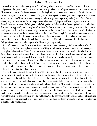#### Richness of Muslim Identities

If a Muslim person's only identity were that of being Islamic, then of course all moral and political judgments of the person would have to be specifically linked with religious assessment. It is that solitarist illusion that underlies the Western—particularly Anglo-American—attempt to recruit Islam in the so-called war against terrorism. <sup>[15](#page-118-3)</sup> The unwillingness to distinguish between (1) a Muslim person's variety of associations and affiliations (these can vary widely from person to person) and (2) his or her Islamic identity in particular has tended to tempt Western leaders to fight political battles against terrorism through the exotic route of defining—or redefining—Islam. What needs to be recognized is not only that this solitarist approach has accomplished little so far, but also that it cannot really be expected to achieve much given the distinction between religious issues, on the one hand, and other matters on which Muslims, no matter how religious, have to take their own decisions. Even though the borderline between the two domains may be hard to delineate, the domain of religious excommunication and apostasy cannot be extended much beyond the well-established central tenets of Islamic canons and identified practice. Religion is not, and cannot be, a person's all-encompassing identity. <sup>[16](#page-118-4)</sup>

It is, of course, true that the so-called Islamic terrorists have repeatedly tried to extend the role of religion very far into other spheres, contrary (as King Abdullah rightly noted) to the generally accepted principles and domain of Islam. It is also true that the recruiters for terrorism would like Muslims to forget that they have other identities too and that they have to decide on many important political and moral matters and take responsibility for their decisions, rather than being led by the recruiters' advocacy based on their uncommon reading of Islam. The mistaken presumptions involved in such efforts can certainly be scrutinized and criticized. But the strategy of trying to stop such recruitment by declaring the recruiters to be "apostate" would also—I fear in a somewhat singularist way—extend the reach of religion beyond its established domain.

The basic recognition of the multiplicity of identities would militate against trying to see people in exclusively religious terms, no matter how religious they are within the domain of religion. Attempts to tackle terrorism through the aid of religion has had the effect of magnifying in Britain and America the voice of Islamic clerics and other members of the religious establishment on matters that are not in the domain of religion, at a time when the political and social roles of Muslims in civil society, including in the practice of democracy, need emphasis and much greater support. What religious extremism has done to demote and downgrade the responsible political action of citizens (irrespective of religious ethnicity) has been, to some extent, reinforced, rather than eradicated, by the attempt to fight terrorism by trying to recruit the religious establishment on "the right side." In the downplaying of political and social identities as opposed to religious identity, it is civil society that has been the loser, precisely at a time when there is a great need to strengthen it.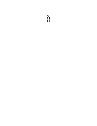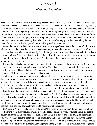# CHAPTER 5

# West and Anti-West

Resistance to "Westernization" has a strong presence in the world today. It can take the form of shunning ideas that are seen as "Western," even when these ideas have occurred and flourished historically in many non-Western societies and have been a part of our global past. There is, for example, nothing exclusively "Western" about valuing liberty or defending public reasoning. And yet their being labeled as "Western" can produce a negative attitude toward them in other societies. Indeed, this can be seen in different forms of anti-Western rhetoric, varying from the championing of "Asian values" (this flourished particularly in East Asia in the 1990s) to insisting that "Islamic ideals" must be deeply hostile to everything the West stands for (an attitude that has gained considerable ground in recent years).

Part of the reason for this fixation with the West, or the *alleged* West, lies in the history of colonialism. Western imperialism over the last few centuries not only subverted the political independence of the countries that were ruled or dominated by the colonial powers, it also created an attitudinal climate that is obsessed with the West, even though the form of that obsession may vary widely—from slavish imitation, on one side, to resolute hostility on the other. The dialectics of the colonized mind includes both admiration and disaffection.

It would be a mistake to try to see postcolonial disaffection toward the West as just a reaction to actual colonial maltreatment, exploitation, and humiliation. There is more to postcolonial alienation than a reaction to the real history of abuse. We have to go deeper than seeking an instant explanation through invoking a "tit for tat" reaction—more on this presently.

And yet it is also important to recognize and remember that serious abuses did occur, and sometimes the social memory—preserved in prose or in poetry—of those actual transgressions still animates anti-Western attitudes today. Now that a warm nostalgia for the empires of yesterday—for the British in particular—seems to be making something of a comeback in Europe (and oddly enough, even in America), it is worth remembering that the perceived sense of colonial iniquity was not entirely baseless.

In addition to the infringements and atrocities committed by the colonial masters (well illustrated by the notorious Amritsar massacre in India on the thirteenth of April 1919 when 379 unarmed people were gunned down at a peaceful meeting), their general psychological attitude toward the subject people often generated a strong sense of humiliation and an imposition of perceived inferiority. The role of colonial humiliation in the dialectics of dominated people deserves at least as much attention as the influence of economic and political asymmetry imposed by the imperial authorities.

In *Pilgrim's Progress* , John Bunyan talks about "the valley of humiliation." Bunyan knew humiliation well, having spent many years in prison. In fact, he began writing *Pilgrim's Progress* during his second bout in jail in the 1670s (the book was published in 1678). But harrowing as the image of that imagined valley is, it cannot begin to match the world of indignity and degradation that, say, Africa was already experiencing in Bunyan's seventeenth-century world. Africa, which gave birth to the human race and was responsible for many of the pioneering developments in the growth of world civilization, was beginning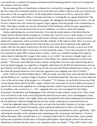to be turned into a continent of European domination and the hunting ground for slaves to be transported like animals to the New World.

The devastating effects of humiliation on human lives can hardly be exaggerated. The historical ills of the slave trade and colonization (and the racial insults that were added to physical and social injury) have been seen as "the war against Africa" by the Independent Commission on Africa, chaired by Albert Tevoedjre, which identifies Africa's principal task today as "winning the war against humiliation" (the chosen title of the report).  $1$  As the commission argues, the subjugation and denigration of Africa over the last few centuries have left a massively negative legacy against which the people of the continent have to battle. That legacy includes not only the devastation of old institutions and the for-gone opportunity to build new ones, but also the destruction of social confidence, on which so much else depends.

Similar undermining also occurred elsewhere. Now that the actual memory of the British Raj has largely faded in Britain and the nostalgia for it (along with a taste for curry) is quite strong, it is worth recollecting that the complex attitude of South Asians to Britain include reactions to some particularly unattractive components, which coexisted with other elements, of the imperial mind. There was never any dearth of Indophiles in the imperial hierarchy and they were particularly important in the eighteenth century. But once the empire settled down, the need to keep some distance became a crucial part of the education of the British officer from early on in the nineteenth century. <sup>[2](#page-118-6)</sup> One of the rationales for this was best explained in James Mill's famous history of India, which was a standard reading of the imperial cadres about to undertake the voyage to that country, to wit: while "our ancestors, though rough, were sincere," in contrast, "under the glosing exterior of the Hindu, lies a general disposition to deceit and perfidy." <sup>[3](#page-118-7)</sup> The book, which Mill had written without visiting India even once and without being able to read any Indian language, was regarded as altogether authoritative by the British administration, and was described by Lord Macaulay, who would soon be the most powerful British administrator in India, as "on the whole the greatest historical work which has appeared in our language since that of Gibbon."  $4$ 

In this "bible for the British Indian officer," Mill also made clear that while some had taken the Indians and the Hindus to be "a people of high civilization," he had determined that "they have in reality made but a few of the earliest steps in the progress to civilization." <sup>[5](#page-118-9)</sup> To illustrate, let me briefly discuss one of the various denunciations that fill up Mill's pages, related to his assessment of classical Indian astronomy. It specifically concerns the arguments for a rotating earth and a model of gravitational attraction proposed by Aryabhata, who was born in A.D . 476—arguments that were also investigated by later Indian astronomers Varahamihira and Brahmagupta in the sixth and seventh centuries respectively. These works were well known in the Arab world and generated much discussion there. In fact, Brahmagupta's book was translated into Arabic in the eighth century and retranslated by the Iranian mathematician Alberuni in the eleventh (since Alberuni thought that the previous Arabic rendering was somewhat defective).

In the late eighteenth century, William Jones, serving in the East India Company in Calcutta, came to know about these old Sanskrit documents, and he expressed admiration for these early Indian astronomical works. <sup>[6](#page-118-10)</sup> Commenting on this, Mill expressed total astonishment at Jones's gullibility. <sup>[7](#page-119-0)</sup> After ridiculing the absurdity of this attribution and commenting on the "pretensions and interests" of Jones's Indian informants, Mill concluded that it was "extremely natural that Sir William Jones, whose pundits had become acquainted with the ideas of European philosophers respecting the system of the universe, should hear from them that those ideas were contained in their own books." <sup>[8](#page-119-1)</sup> Thus, Mill's belief in the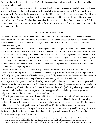"general disposition to deceit and perfidy" of Indians ended up having an explanatory function in his history of India as well.

At the end of a comprehensive attack on supposed Indian achievements particularly in mathematics and science, Mill came to the conclusion that the Indian civilization was on a par with "other inferior ones" known to Mill: "very nearly the same with that of the Chinese, the Persians, and the Arabians," and just as inferior as those of other "subordinate nations, the Japanese, Cochin-chinese, Siamese, Burmans, and even Malays and Tibetans." <sup>[9](#page-119-2)</sup> After that comprehensive assessment, if these "subordinate nations" fell prey to some disaffection toward the colonizing West, it may be a little unfair to attribute it simply to selfgenerated paranoia.

#### Dialectics of the Colonized Mind

And yet the limited horizons of the colonized mind and its fixation with the West—whether in resentment or in admiration—has to be overcome. It cannot make sense to see oneself primarily as someone who (or whose ancestors) have been misrepresented, or treated badly, by colonialists, no matter how true that identification may be.

There are undoubtedly occasions when that diagnosis would be quite relevant. Given the continuation of some colonial asymmetries in different forms—the term "neocolonialism" is often used to refer to them —and the powerful new temptation to see great merit in past imperial arrangements, those occasions may well arise with some frequency. But to lead a life in which resentment against an imposed inferiority from past history comes to dominate one's priorities today cannot but be unfair to oneself. It can also vastly deflect attention from other objectives that those emerging from past colonies have reason to value and pursue in the contemporary world.

Indeed, the colonized mind is parasitically obsessed with the extraneous relation with the colonial powers. While the impact of such an obsession can take many different forms, that general dependency can hardly be a good basis for self-understanding. As I shall presently discuss, the nature of this "reactive self-perception" has had far-reaching effects on contemporary affairs. This includes (1) the encouragement it has given to needless hostility to many global ideas (such as democracy and personal liberty) under the mistaken impression that these are "Western" ideas, (2) the contribution it has made to a distorted reading of the intellectual and scientific history of the world (including what is quintessentially "Western" and what has mixed heritage), and (3) the support it has tended to give to the growth of religious fundamentalism and even to international terrorism.

This, I appreciate, is quite a list of direct and indirect contributions, but before I go into them more fully, let me illustrate the nature of this reactive self-perception with a historical example involving intellectual identity. It concerns the interpretation of India's past and the self-perception of Indian identity.  $10$  The colonial undermining—like that by James Mill—of India's achievements in science and mathematics contributed to an "adapted" self-perception that chose "its own ground" for competition with the West, emphasizing India's comparative advantage in "spiritual" matters. Partha Chatterjee has discussed the emergence of this attitude:

[A]nticolonial nationalism creates its own domain of sovereignty within colonialsociety well before its political battle with the imperial power. It does this by dividing the world of social institutions and practices into two domains—the material and the spiritual. The material is the domain of the "outside," of the economy and of statecraft, of science and technology, a domain where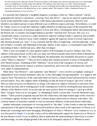the West had proved its superiority and the East had succumbed. In this domain, then, Western superiority had to be acknowledged and its accomplishments carefully studied and replicated. The spiritual, on the other hand, is an "inner" domain bearing the "essential" marks of cultural identity. The greater one's success in imitating Western skills in the material domain, therefore, the greater the need to preserve the distinctiveness of one's spiritual culture. This formula is, I think, a fundamental feature of anticolonial nationalisms in Asia and Africa.  $11$ 

It is possible that Chatterjee's insightful diagnosis is perhaps a little too "India-centered," and his geographically inclusive conclusion—covering "Asia and Africa"—may be too much of a generalization based on the nineteenth-century experience of the Indian subcontinent in particular. Reactive selfidentities can indeed operate in many different ways in different regions and times. Nevertheless, it would be, I think, correct to accept that Chatterjee rightly identifies an important aspect of the propensity that developed in many parts of European empires in Asia and Africa, including the Indian subcontinent during the British rule. It certainly encouraged Indians to put their "spiritual foot" forward. This was, to a considerable extent, a reaction to a rather dismissive imperial reading of India's analytical and scientific past history. <sup>[12](#page-119-5)</sup> This selective focus, while combative against the imperial claims of overall superiority (the spiritual ground was "ours," it was claimed), had the effect of neglecting—and downplaying—a huge part of India's scientific and mathematical heritage. Indeed, in this respect, it consolidated James Mill's misreading of India's intellectual past, rather than resisting it.

There is also an example of a more general pattern of development of reactive identity. One of the oddities of the postcolonial world is the way many non-Western people today tend to think of themselves as quintessentially "the other," as Akeel Bilgrami, the philosopher, has beautifully discussed in a paper called "What Is a Muslim?" [13](#page-119-6) They are led to define their identity primarily in terms of being *different from* Western people. Something of this "otherness" can be seen in the emergence of various selfdefinitions that characterize cultural or political nationalism, and even in the contribution this reactive view makes to fundamentalism.

While these "non-Western"—and sometimes "anti-Western"—views involve an emphatic seeking of independence from colonial dominance, they are, in fact, thoroughly foreign-dependent—in a negative and contrary form. The dialectics of the captivated mind can lead to a deeply biased and parasitically reactive self-perception. Also, this singular mode of thinking can take the form of trying to "get even" with the West (as many terrorists see themselves as doing, with explicit or implicit references to atrocities from the colonial period), and of seeking justice in the contemporary world by invoking the past and present offenses of the Western world. It can also take the more positive form of wanting to "catch up with the West," trying to "beat it at its own game," or attempting to build a society that "even the Westerners must admire." These positive programs may not have the contrariness and improvident anger of the corrective or retributive agenda, but they too make one's identity deeply subservient to relations with others. The colonial masters of yesterday continue to exert an enormous influence on the postcolonial mind today.

Another unfortunate consequence of viewing oneself as "the other" is that it tends to make the Western expropriation of the global heritage of universalist political ideas (such as the importance of liberty or of democratic reasoning) much more damaging. Misdiagnosis of what is "Western" (very common as it is, as was discussed in [chapter](#page-34-0) 3 ) can take a heavy toll by undermining the support for democracy or liberty in the non-Western world. It can, in addition, help to undermine the understanding of objectivity in science and knowledge, on some alleged ground of the need to be adequately skeptical of "Western science."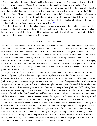The role colonized dialectics plays in making lives harder in Asia and Africa can be illustrated with different types of examples. To consider a particularly far-reaching illustration, Mamphela Ramphele, who is a remarkable combination of distinguished doctor, leading antiapartheid activist, and global policy maker, has insightfully discussed how, in the inadequate protection against the emergence of the AIDS epidemic in South Africa, the nature of public policy in postapartheid South Africa has been influenced by "the mistrust of science that has traditionally been controlled by white people." It added force to another dialectical influence in the direction of inaction arising from "the fear of acknowledging an epidemic that could easily be used to fan the worst racial stereotyping." <sup>[14](#page-119-7)</sup>

The dialectics of the colonized mind can impose a heavy penalty on the lives and freedoms of people who are reactively obsessed with the West. It can wreak havoc on lives in other countries as well, when the reaction takes the violent form of seeking confrontation, including what is seen as retribution. I shall return to this distressing issue later on in this chapter.

#### Asian Values and Smaller Themes

One of the remarkable articulations of a reactive non-Western identity can be found in the championing of "Asian values" which have come from many East Asian exponents. This is in reaction, to a great extent, to the Western claim to be the historical depository of ideas on liberty and rights (Samuel Huntington's claims in that line were discussed earlier). Proponents of the excellence of "Asian values" do not dispute this claim, indeed quite the contrary. Instead it is argued that while Europe may have been the home ground of liberty and individual rights, "Asian values" cherish discipline and order, and this, it is alleged, is a marvelous priority. It tells the West that it can keep its individual liberties and rights but Asia will do better with its adherence to orderly conduct and disciplined behavior. The West-obsessed form of this grand "Asian" claim is hard to miss.

The glorification of "Asian values" has typically flourished best in countries to the east of Thailand (particularly among political leaders and government spokesmen), even though there is a still more ambitious claim that the rest of Asia is also rather "similar." For example, the formidable senior minister (and former prime minister) of Singapore, Lee Kuan Yew, who is one of the great architects of East Asian resurgence and a visionary political leader in his own right, outlined "the fundamental difference between Western concepts of society and government and East Asian concepts" by explaining, "[W]hen I say East Asians, I mean Korea, Japan, China, Vietnam, as distinct from Southeast Asia, which is a mix between the Sinic and the Indian, though Indian culture itself emphasizes similar values." <sup>[15](#page-119-8)</sup> Lee Kuan Yew went on to link the emphasis on Asian values to the need to resist the hegemony of the West, in particular the political dominance of the United States, pointing out that Singapore is "not a client state of America." <sup>[16](#page-119-9)</sup>

Cultural and value differences between Asia and the West were stressed by several official delegations at the World Conference on Human Rights in Vienna in 1993. The foreign minister of Singapore warned that "universal recognition of the ideal of human rights can be harmful if universalism is used to deny or mask the reality of diversity." [17](#page-119-10) The Chinese delegation played a leading role in emphasizing regional differences, and in making sure that the prescriptive framework adopted in the declarations made room for "regional diversity." The Chinese foreign minister even put on record the proposition that the Asian priorities demand that "individuals must put the states' rights before their own." <sup>[18](#page-119-11)</sup>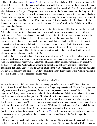I have already discussed, in [chapter](#page-34-0) 3 , why this cultural diagnosis is so difficult to sustain. Support for ideas of liberty and public discussion, and what may be called basic human rights, have been articulated no less often in Asia—in India, China, Japan, and in various other countries in East, Southeast, South, and West Asia—than in Europe. <sup>[19](#page-119-12)</sup> The point to note here is not just the debatable nature of the diagnosis of "Asian values" and the fact that it seriously underestimates the range and reach of the intellectual heritage of Asia. It is also important, in the context of the present analysis, to see the thoroughly reactive nature of the genesis of this view. The need to differentiate from the West is clearly visible in this postcolonial dialectic, and it is also easy to see the attraction for many Asians of the claim that Asia has something much better than Europe.

As it happens, Lee Kuan Yew's own claims to special distinction would be hard to deny. Even though Asian advocates of political liberty and democracy, which include the present author, cannot but be frustrated that Lee's words and deeds have run in the opposite direction to ours, it would be wrong to withhold credit where it is due. There is, in particular, the need to recognize that Lee Kuan Yew's Singapore not only has been economically very successful, but has also been able to give its minority communities a strong sense of belonging, security, and a shared national identity in a way that most European countries with sizable minorities have not been able to provide for their own minority communities. One could not help thinking about the contrast as the urban riots, linked with race and ethnicity, erupted in France in the fall of 2005.

And yet the fact remains that Lee's generalization about values in Asia is hard to vindicate on the basis of an unbiased reading of Asian historical classics as well as contemporary experiences and writings in Asia. The diagnosis of Asian values in the thesis of Lee and others is clearly influenced by a reactive mode of responding to Western claims of being the natural home of liberty and rights. Rather than challenging that claim, Lee proposes to turn the tables on the West by arguing: Yes, we don't do much for Western ideas of liberty and rights, for we have something better. This version of anti-Western rhetoric is also, in a dialectical sense, obsessed with the West.

#### Colonialism and Africa

Perhaps the most troubled continent in the last century, particularly in the second half of it, has been Africa. Toward the middle of the century the formal ending of empires—British, French, Por tuguese, and Belgian—came with a strong promise of democratic developments in Africa. Instead the bulk of the region soon fell prey to authoritarianism and militarism, a breakdown of civil order and educational and health services, and a veritable explosion of local conflicts, intercommunity strife, and civil wars.

This is not the occasion to go into an investigation of the causal story behind these discouraging developments, from which Africa is only now beginning to pull away, even though the task is made harder by the massive problem of epidemics, new (such as AIDS) and old (such as malaria), which is blighting many parts of the continent. I have tried to comment on these complex developments elsewhere (particularly in my book *Development as Freedom* ), [20](#page-119-13) and will confine myself here only to a couple of comments that relate in particular to the continued role of colonialism and the functioning of the captivated mind.

First, even though much has been written about the possible effects of Western domination in the world in hindering growth and development of the African economies (for example, through artificially imposed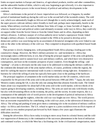limits on export markets in Europe and America, of agricultural products, textiles and other commodities, and the unbearable burden of debts, which is only now beginning to get relieved), it is also important to see the role of Western powers in the recent history of political and military developments in the continent.

Africa's misfortunes in the period of classic imperialism was followed, as it happens, by another period of institutional handicap during the cold war in the second half of the twentieth century. The cold war, which was substantially fought on African soil (though this is rarely acknowledged), made each of the super-powers cultivate military rulers friendly to itself and, perhaps more importantly, hostile to the enemy. When military overlords such as Mobuto Sese Seko of Congo, or Jonas Savimbi of Angola, or whoever, busted social and political orders (and ultimately economic order too) in Africa, they could rely on support either from the Soviet Union or from the United States and its allies, depending on their military alliances. A military usurper of civilian authority never lacked a superpower friend, linked through a military alliance. A continent that seemed in the 1950s to be poised to develop active democratic politics was soon being run by an assortment of dictatorial strongmen who were linked to one side or the other in the militancy of the cold war. They competed in despotism with apartheid-based South Africa.

That picture is slowly changing now, with postapartheid South Africa playing a leading part in the constructive change. However, the West's military presence in—and incitement to—Africa has increasingly taken a different form, to wit, that of being the principal supplier of the arms sold globally, which are frequently used to sustain local wars and military conflicts, and which have very destructive consequences, not least on the economic prospects of poor countries. Even though the selling—and "pushing"—of arms is obviously not the only issue to be addressed in reducing the military conflicts in the continent (the demand side of the arms market reflects, of course, problems within the region), the need for curbing the massive international trade in arms is extremely strong right now. Armament is a business for which the selling of arms has typically been quite close to the pushing of the hardware.

The principal suppliers of armament in the world market today are the G8 countries, which were responsible for 84 percent of the arms sold in the period between 1998 and 2003. <sup>[21](#page-119-14)</sup> Japan, the only non-Western country among the G8, is also the only one among them that abstains from this trade. The United States alone was responsible for about half of the arms sold in the world market, with two-thirds of its exports going to developing countries, including Africa. The arms are used not only with bloody results, but also with devastating effects on the economy, the polity, and the society. In some respects, this is a continuation of the unhelpful role of world powers in the development of political militarism in Africa during the sixties through the eighties, when the cold war was fought out over Africa. The world powers bear an awesome responsibility for contributing, in the cold-war years, to the subversion of democracy in Africa. The selling and pushing of arms gives them a continuing role in the escalation of military conflicts today—in Africa and elsewhere. The U.S. refusal to agree to a joint crackdown even on illicit exports of small arms (a very modest proposal put forward by Kofi Annan a few years ago) illustrates the difficulties involved.

Among the adversities Africa faces today in trying to move away from its colonial history and the coldwar suppression of democracy is the continuation of the successor phenomenon in the form of militarism and continued warfare, in which the West has a facilitating role. In the civilizational categorization, much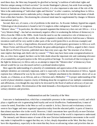used these days, the West may frequently be glorified as having "a tradition of individual rights and liberties unique among civilized societies" (to invoke Huntington's phrase), but aside from seeing the historical limitations of that thesis (discussed earlier), it is also important to take note of the role of the West in the undermining of "individual rights and liberties" in *other* countries, including those in Africa. Western governments need to undertake policy changes that would restrict or halt the merchants of death from within their borders. Decolonizing the colonized mind must be supplemented by changes in Western international policy.

Second, there are, of course, a lot of problems in the mind too. As Kwame Anthony Appiah has argued, "[I]deological decolonisation is bound to fail if it neglects either endogenous 'tradition' or exogenous 'Western' ideas."  $^{22}$  $^{22}$  $^{22}$  In particular, the often repeated argument that democracy does not suit Africa— it is a "very Western thing"—has had an enormously negative effect in weakening the defense of democracy in Africa from the 1960s to the 1980s. Aside from the need to see the constructive role of democracy in Africa (as in other parts of the world), the cultural argument is doubly defective both because a Western invention could still be very useful in other parts of the world (penicillin is an obvious example) and because there is, in fact, a long tradition, discussed earlier, of participatory governance in Africa as well.

Meyer Fortes and Edward Evans-Pritchard, the great anthropologists of Africa, argued in their classic book *African Political Systems,* published more than sixty years ago, that "the structure of an African state implies that kings and chiefs rule by consent." <sup>[23](#page-119-16)</sup> There may have been some overgeneralization in this, as critics have argued, but there can be little doubt about the important role and continuing relevance of accountability and participation in the African political heritage. To overlook all that in trying to see the fight for democracy in Africa only as an attempt to import the "Western idea" of democracy from abroad would be (as was discussed earlier) a profound misdescription.

Here again the understanding of a plurality of commitments and appreciation of the coexistence of multiple identities are extremely important, and it is especially so in the decolonization of Africa. Appiah explains how influenced he was by his own father's "multiple attachment to his identities: above all as an Asante, as a Ghanian, as an African, and as a Christian and a Methodist." <sup>[24](#page-120-0)</sup> A proper understanding of the world of plural identities requires clarity of thinking about the recognition of our multiple commitments and affiliations, even though this may tend to be drowned by the flood of unifocal advocacy of just one perspective or another. Decolonization of the mind demands a firm departure from the temptation of solitary identities and priorities.

#### Fundamentalism and the Centrality of the West

I turn now to fundamentalism, which has a remarkable presence in the contemporary world, and which plays a significant role in generating both loyalty and social disaffection. Fundamentalism, it must of course be noted, flourishes in the West as well as outside it. In fact, Darwin and evolutionary science seem to face bigger and more organized opposition today from the educated public in parts of America than almost anywhere else in the world. However, I shall concentrate here specifically on non-Christian fundamentalism, the connection of which with the colonial history of the world is important to understand.

The intensely anti-Western nature of some of the non-Christian fundamentalist movements in the world may make it implausible to suggest that they are, in fact, deeply dependent on the West. But they clearly have this dependency, especially to the extent that they focus on advancing values and priorities that are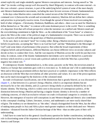aimed explicitly and single-mindedly against Western conceptions and interests. Seeing oneself as "the other" (to invoke a telling concept well discussed by Akeel Bilgrami), in contrast with some external—in this case colonial—power structure, is part of the underlying belief system of some of the most sharply anti-Western fundamentalist movements, including the more fervent versions of Islamic fundamentalism.

In the days when Muslim rulers controlled the central terrain of the Old World and had massive command over it (between the seventh and seventeenth centuries), Muslims did not define their cultures and priorities in principally reactive terms. Even though the spread of Islam involved overcoming the hold of other religions—Christianity, Hinduism, Buddhism, and others—there was no need for Muslims to define themselves as "the other," in contrast with some dominant power in the world. There is something of a departure from that self-reliant perspective when the insistence on a unified anti-Western stand and the overwhelming commitment to fight the West—as the embodiment of the "Great Satan" or whatever places the West at the center of the political stage of a fundamentalist viewpoint. There was no need for such a reactive self-definition in the grand days of Muslim preeminence.

To be sure, there is not much "need" for it today either. Being a Muslim involves positive religious beliefs (in particular, accepting that "there is no God but God" and that "Muhammad is the Messenger of God") and some duties of performance (like prayers). But within the broad requirements of these religious beliefs and performances, different Muslims can choose different views on secular subjects and decide on how to conduct their lives. And the vast majority of Muslims across the world do just that even today. In contrast, some of the Islamic fundamentalist movements carve out for themselves a particular territory which involves a social vision and a political outlook in which the West has a powerfully negative but central role. <sup>[25](#page-120-1)</sup>

If contemporary Islamic fundamentalism is, in this sense, parasitic on the West, the terrorism aimed at America or Europe that sometimes goes with it is even more so. To dedicate one's life to undermining the West and to blowing up prominent edifices that have practical or symbolic importance in the West reflects an obsession with the West that overwhelms all other priorities and values. It is one of the preoccupations that can be much encouraged by the dialectics of the colonized mind.

In crude civilizational classifications, one of the distinctions that is greatly blurred, as was discussed in [chapter](#page-44-0) 4 , is that between (1) a person's being a Muslim, which is an important identity but not necessarily his or her only identity, and (2) a person's being wholly or primarily defined by his or her Islamic identity. The blurring, which is widely seen in discussions of contemporary politics, of the distinction between being a Muslim and having a singular Islamic identity is driven by a number of confusing concerns, of which an exclusive reliance on crude civilizational categories is certainly one. However, the emergence of reactive self-conceptions in anti-Western thought and rhetoric also contributes to this conceptual clouding. Culture, literature, science, and mathematics are more easily shared than religion. The tendency to see themselves as "the other," sharply distinguished from the West, has the effect of making many people in Asia and Africa place much greater emphasis on their dedicated *non* -Western identities—distanced from the Judeo-Christian heritage of the West—than on other parts of their selfunderstanding.

I shall have to come back to this general classificatory question for further consideration, including its role in disorienting some of the responses to fundamentalism and terrorism that have been undertaken in America and Europe.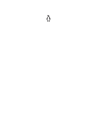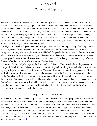# CHAPTER 6

# Culture and Captivity

The world has come to the conclusion—more defiantly than should have been needed—that culture matters. The world is obviously right—culture does matter. However, the real question is: "*How* does culture matter?" <sup>[1](#page-120-2)</sup> The confining of culture into stark and separated boxes of civilizations or of religious identities, discussed in the last two chapters, takes too narrow a view of cultural attributes. Other cultural generalizations, for example, about national, ethnic, or racial groups, can also present astonishingly limited and bleak understandings of the characteristics of the human beings involved. When a hazy perception of culture is combined with fatalism about the dominating power of culture, we are, in effect, asked to be imaginary slaves of an illusory force.

And yet simple cultural generalizations have great effectiveness in fixing our way of thinking. The fact that such generalizations abound in popular convictions and in informal communication is easily recognized. Not only are the implicit and twisted beliefs frequently the subject matter of racist jokes and ethnic slurs, they sometimes surface as grand theories. When there is an accidental correlation between cultural prejudice and social observation (no matter how casual), a theory is born, and it may refuse to die even after the chance correlation has vanished without a trace.

Consider the labored jokes against the Irish (such crudities as "How many Irishmen do you need to change a lightbulb?"), which have had some currency in England for a long time, and which are similar to equally silly jokes about the Poles in America. These crudities had the superficial appearance of fitting well with the depressing predicament of the Irish economy, when the Irish economy was doing quite badly. But when the Irish economy started growing astonishingly rapidly—indeed in recent years faster than any other European economy (Ireland is now richer in per capita income than nearly every country in Europe)—the cultural stereotyping and its allegedly profound economic and social relevance were not junked as sheer and unmitigated rubbish. Theories have lives of their own, quite defiantly of the phenomenal world that can actually be observed.

### Imagined Truths and Real Policies

Such theories are, often enough, not just harmless fun. For example, cultural prejudice did play a role in the treatment Ireland received from the British government, and had a part even in the nonprevention of the famines of the 1840s. Among the influences that had an effect on London's treatment of Irish economic problems, cultural alienation did count. While poverty in Britain was typically attributed to economic change and fluctuations, Irish poverty was widely viewed in England (as Richard Ned Lebow, the political analyst, has argued) as being caused by laziness, indifference, and ineptitude, so that "Britain's mission" was not seen as one "to alleviate Irish distress but to civilize her people and to lead them to feel and act like human beings."<sup>[2](#page-120-3)</sup>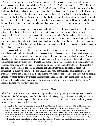The search for cultural causes of Ireland's economic predicament extends far back, at least to the sixteenth century, well reflected in Edmund Spenser's *The Faerie Queene,* published in 1590. The art of blaming the victims, plentifully present in *The Faerie Queene* itself, was put to effective use during the famines of the 1840s, and new elements were added to the old narrative. For example, the Irish taste for potatoes was added to the list of calamities which the natives had, in the English view, brought on themselves. Charles Edward Trevelyan, the head of the Treasury during the famines, expressed his belief that London had done all that could be done for Ireland, even though the famine killed rampantly (in fact, the mortality rate was higher in the Irish famines than in any other recorded famine anywhere in the world).

Trevelyan also proposed a rather remarkable cultural exegesis of Ireland's manifest hunger by linking it with the allegedly limited horizons of Irish culture (in contrast with putting any blame on British governance): "There is scarcely a woman of the peasant class in the West of Ireland whose culinary art exceeds the boiling of a potato." <sup>[3](#page-120-4)</sup> The remark can be seen as an encouraging departure from the English hesitation about making international criticism of culinary art elsewhere (the French, the Italian, and the Chinese may be next). But the oddity of that cultural explanation of Irish hunger certainly merits a place in the annals of eccentric anthropology.

The connection between cultural bigotry and political tyranny can be very close. The asymmetry of power between the ruler and the ruled, which generates a heightened sense of identity contrast, can be combined with cultural prejudice in explaining away failures of governance and public policy. Winston Churchill made the famous remark that the Bengal famine of 1943, which occurred just before India's independence from Britain in 1947 (it would also prove to be the last famine in India in the century, since famines disappeared with the Raj), was caused by the tendency of people there to "breed like rabbits." The explication belongs to the general tradition of finding explanations of disasters not in bad administration, but in the culture of the subjects, and this habit of thought had some real influence in crucially delaying famine relief in the Bengal famine, which killed between two and three million people. Churchill rounded things up by expressing his frustration that the job of governing India was made so difficult by the fact that the Indians were "the beastliest people in the world, next to the Germans." <sup>[4](#page-120-5)</sup> Cultural theories evidently have their uses.

#### Korea and Ghana

Cultural explanations of economic underdevelopment have recently been given much ground. Consider, for example, the following argument from the influential and engaging book jointly edited by Lawrence Harrison and Samuel Huntington called *Culture Matters;* it occurs in Huntington's introductory essay, called "Cultures Count," in that volume:

In the early 1990s, I happened to come across economic data on Ghana and South Korea in the early 1960s, and I was astonished to see how similar their economies were then…. Thirty years later, South Korea had become an industrial giant with the four teenth largest economy in the world, multinational corporations, major exports of automobiles, electronic equipment, and other sophisticated manufactures, and per capita income approximately that of Greece. Moreover it was on its way to the consolidation of democratic institutions. No such changes had occurred in Ghana, whose per capita income was now about one-fifteenth that of South Korea's. How could this extraordinary difference in development be explained? Undoubtedly, many factors played a role, but it seemed to me that culture had to be a large part of the explanation. South Koreans valued thrift, investment, hard work,

education, organization, and discipline. Ghanians had different values. In short, cultures count.  $^5$  $^5$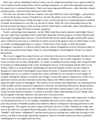There may well be something of interest in this way-out comparison (perhaps even a quarter-truth torn out of context), but the contrast does call for probing examination. As used in the explanation just cited, the causal story is extremely deceptive. There were many important differences—other than their cultural predispositions—between Ghana and Korea in the 1960s.

First, the class structures in the two countries were quite different, with a much bigger—and proactive —role for the business classes in South Korea. Second, the politics were very different too, with the government in South Korea willing and eager to play a prime-moving role in initiating business-centered economic development in a way that was not true in Ghana. Third, the close relationship between the Korean economy and Japan, on the one hand, and the United States, on the other, made a big difference, at least in the early stages of Korean economic expansion.

Fourth—and perhaps most important—by the 1960s South Korea had acquired a much higher literacy rate and a much more expanded school system than Ghana had. Korean progress in school education had been largely brought about in the post- Second World War period, mainly through resolute public policy, and it could not be seen just as a reflection of culture (except in the general sense in which culture is seen to include everything happening in a country).  $6$  On the basis of the slender scrutiny that backed Huntington's conclusion, it is hard to justify either the cultural triumphalism in favor of Korean culture or the radical pessimism about Ghana's future to which Huntington is led through his reliance on cultural determinism.

This is not to suggest that cultural factors are irrelevant to the process of development. But they do not work in isolation from social, political, and economic influences. Nor are they immutable. If cultural issues are taken into account, among others, in a fuller accounting of societal change, they can greatly help to broaden our understanding of the world, including the process of development and the nature of our identity. While it is not particularly illuminating, nor especially helpful, to throw up one's hands in disapproval when faced with allegedly fixed cultural priorities ("Ghanians had different values," as Huntington puts it), it is useful to examine how values and behavior can respond to social change, for example, through the influence of schools and colleges. Let me refer again to South Korea, which was a much more literate and more educated society than Ghana in the 1960s (when the two economies appeared rather similar to Huntington). The contrast, as has already been mentioned, was substantially the result of public policies pursued in South Korea in the post–Second World War period. But the postwar public policies on education were also influenced by antecedent cultural features. Once we dissociate culture from the illusion of destiny, it can help to provide a better understanding of social change when placed together with other influences and interactive social processes.

In a two-way relationship, just as education influences culture, so can antecedent culture have an effect on educational policies. It is, for example, remarkable that nearly every country in the world with a powerful presence of Buddhist tradition has tended to embrace widespread schooling and literacy with some eagerness. This applies not only to Japan and Korea, but also to China, Thailand, Sri Lanka, and even to the otherwise retrograde Burma (Myanmar). The focus on enlightenment in Buddhism (the word "Buddha" itself means "enlightened") and the priority given to reading texts, rather than leaving it to the priests, can help to encourage educational expansion. Seen in a broader framework, there is probably something here to investigate and learn from.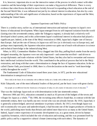It is, however, important also to see the interactive nature of the process in which contact with other countries and the knowledge of their experiences can make a big practical difference. There is every evidence that when Korea decided to move briskly forward in expanding school education at the end of the Second World War, it was influenced not just by its cultural interest in education, but also by a new understanding of the role and significance of education, based on the experiences of Japan and the West, including the United States.

## Japanese Experience and Public Policy

There is a similar story, earlier on, of international interaction and national response in Japan's own history of educational development. When Japan emerged from its self-imposed isolation from the world (lasting since the seventeenth century, under the Tokugawa regime), it already had a relatively welldeveloped school system, and in this achievement Japan's traditional interest in education had played a significant part. Indeed, at the time of the Meiji restoration in 1868, Japan had a higher rate of literacy than Europe. And yet the rate of literacy in Japan was still low (as it obviously was in Europe too), and perhaps most importantly, the Japanese education system was quite out of touch with advances in science and technical knowledge in the industrializing West.

When, in 1852, Commodore Matthew Perry chugged into Edo Bay, puffing black smoke from the newly designed steamship, the Japanese were not only impressed—and somewhat terrified—and driven to accept diplomatic and trade relations with the United States, but they also had to reexamine and reassess their intellectual isolation from the world. This contributed to the political process that led to the Meiji restoration, and along with that came a determination to change the face of Japanese education. In the socalled Charter Oath, proclaimed in 1868, there is a firm declaration on the need to "seek knowledge widely throughout the world."<sup>[7](#page-120-8)</sup>

The Fundamental Code of Education issued three years later, in 1872, put the new educational determination in unequivocal terms:

There shall, in the future, be no community with an illiterate family, nor a family with an illiterate person.  $^8$  $^8$ 

Kido Takayoshi, one of the most influential leaders of that period, put the basic issue with great clarity:

Our people are no different from the Americans or Europeans of today; it is all a matter of education or lack of education. <sup>[9](#page-120-10)</sup>

That was the challenge Japan took on with determination in the late nineteenth century.

Between 1906 and 1911, education consumed as much as 43 percent of the budgets of the towns and villages for Japan as a whole. <sup>[10](#page-120-11)</sup> By 1906, the recruiting army officers found that, in contrast with the late nineteenth century, there was hardly any new recruit who was not already literate. By 1910, Japan had, it is generally acknowledged, universal attendance in primary schools. By 1913, even though Japan was still economically very poor and underdeveloped, it had become one of the largest producers of books in the world, publishing more books than Britain and indeed more than twice as many as the United States. Indeed, Japan's entire experience of economic development was, to a great extent, driven by humancapability formation, which included the role of education and training, and this was promoted *both* by public policy and by a supportive cultural climate (interacting with each other). The dynamics of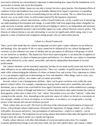associative relations are extraordinarily important in understanding how Japan laid the foundations of its spectacular economic and social development.

To carry the story further, Japan was not only a learner but also a great teacher. Development efforts of countries in East and Southeast Asia were profoundly influenced by Japan's experience in expanding education and its manifest success in transforming society and the economy. The so-called East Asian miracle was, to no small extent, an achievement inspired by the Japanese experience.

Paying attention to cultural interrelations, within a broad framework, can be a useful way of advancing our understanding of development and change. It would differ both from neglecting culture altogether (as some narrowly economic models do) and from the privileging of culture as an independent and stationary force, with an immutable presence and irresistible impact (as some cultural theorists seem to prefer). The illusion of cultural destiny is not only misleading, it can also be significantly debili tating, since it can generate a sense of fatalism and resignation among people who are unfavorably placed.

#### Culture in a Broad Framework

There can be little doubt that our cultural background can have quite a major influence on our behavior and thinking. Also, the quality of life we enjoy cannot but be influenced by our cultural background. It certainly can also influence our sense of identity and our perception of affiliation with groups of which we see ourselves as members. The skepticism I have been expressing here is not about the recognition of the basic importance of culture in human perception and behavior. It is about the way culture is sometimes seen, rather arbitrarily, as the central, inexorable, and entirely independent determinant of societal predicaments.

Our cultural identities can be extremely important, but they do not stand starkly alone and aloof from other influences on our understanding and priorities. There are a number of qualifications that have to be made while acknowledging the influence of culture on human lives and actions. First, important as culture is, it is not uniquely significant in determining our lives and identities. Other things, such as class, race, gender, profession, politics, also matter, and can matter powerfully.

Second, culture is not a homogeneous attribute—there can be great variations even within the same general cultural milieu. For example, contemporary Iran has both conservative ayatollahs and radical dissidents, just as America has room both for born-again Christians and for ardent nonbelievers (among a great many other schools of thought and behavior). Cultural determinists often underestimate the extent of heterogeneity within what is taken to be "one" culture. Discordant voices are often "internal," rather than coming from the outside. Also, depending on the particular aspect of culture we decide to concentrate on (for example, whether we focus on religion, or on literature, or on music), we can get quite a varying picture of the internal and external relations involved.

Third, culture does not sit still. The brief recollection of the educational transformation of Japan and Korea, with profound cultural implications, illustrated the importance of change, linked—as it often is with public discussion and policy. Any presumption of stationariness—explicit or implicit—can be disastrously deceptive. The temptation toward using cultural determinism often takes the hopeless form of trying to moor the cultural anchor on a rapidly moving boat.

Fourth, culture interacts with other determinants of social perception and action. For example, economic globalization brings in not only more trade, but also more global music and cinema. Culture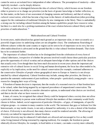cannot be seen as an isolated force independent of other influences. The presumption of insularity—often implicitly invoked—can be deeply delusive.

Finally, we have to distinguish between the idea of *cultural liberty,* which focuses on our freedom either to preserve or to change our priorities (on the basis of greater knowledge or further reflection, or, for that matter, on the basis of our assessment of changing customs and fashions), and that of *valuing cultural conservation,* which has become a big issue in the rhetoric of multiculturalism (often providing support for the continuation of traditional lifestyles by new immigrants in the West). There is undoubtedly a strong case for including cultural freedom among the human capabilities people have reason to value, but there is a need also for a probing examination of the exact relation between cultural liberty and the priorities of multiculturalism. <sup>[11](#page-120-0)</sup>

### Multiculturalism and Cultural Freedom

In recent years, multiculturalism has gained much ground as an important value, or more accurately as a powerful slogan (since its underlying values are not altogether clear). The simultaneous flourishing of different cultures within the same country or region can be seen to be of importance on its own, but very often multiculturalism is advocated on the ground that this is what cultural freedom demands. That claim has to be scrutinized further.

The importance of cultural freedom has to be distinguished from the celebration of every form of cultural inheritance, irrespective of whether the persons involved would choose those particular practices given the opportunity of critical scrutiny and an adequate knowledge of other options and of the choices that actually exist. Even though there has been much discussion in recent years about the important and extensive role of cultural factors in social living and human development, the focus has often tended to be, explicitly or by implication, on the need for cultural conservation (for example, continued adherence to the conservative lifestyles of people whose geographical move to Europe or America is not always matched by cultural adaptation). Cultural freedom may include, among other priorities, the liberty to question the automatic endorsement of past traditions, when people—particularly young people—see a reason for changing their ways of living.

If freedom of human decision is important, then the results of a reasoned exercise of that freedom have to be valued, rather than being negated by an imposed precedence of unquestioned conservation. The critical link includes our ability to consider alternative options, to understand what choices are involved, and then to decide what we have reason to want.

It must, of course, be recognized that cultural liberty could be hampered when a society does not allow a particular community to pursue some traditional lifestyle that members of that community would freely choose to follow. Indeed, social suppression of particular lifestyles—of gays, of immigrants, of specific religious groups—is common in many countries in the world. The insistence that gays or lesbians live like heterosexuals, or stay inside closets, is not only a demand for uniformity, it is also a denial of the freedom of choice. If diversity is not allowed, then many choices would be rendered unviable. The allowing of diversity can indeed be important for cultural freedom.

Cultural diversity may be enhanced if individuals are allowed and encouraged to live as they would value living (instead of being restrained by ongoing tradition). For example, the freedom to pursue ethnically diverse lifestyles, for example, in food habits or in music, can make a society more culturally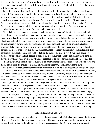diverse precisely as a result of the exercise of cultural liberty. In this case, the importance of cultural diversity—instrumental as it is—will follow directly from the value of cultural liberty, since the former will be a consequence of the latter.

Diversity can also play a positive role in enhancing the freedom even of those who are not directly involved. For example, a culturally diverse society can bring benefits to others in the form of the ample variety of experiences which they are, as a consequence, in a position to enjoy. To illustrate, it can plausibly be argued that the rich tradition of African-American music—with its African lineage and American evolution—has not only helped to enhance the cultural freedom and self-respect of African-Americans, it has also expanded the cultural options of all people (African-American or not) and enriched the cultural landscape of America, and indeed the world.

Nevertheless, if our focus is on *freedom* (including cultural freedom), the significance of cultural diversity cannot be unconditional and must vary contingently with its causal connections with human freedom and its role in helping people to take their own decisions. In fact, the relation between cultural liberty and cultural diversity need not be uniformly positive. For example, the simplest way of having cultural diversity may, in some circumstances, be a total continuation of all the preexisting culture practices that *happen* to be present at a point in time (for example, new immigrants may be induced to continue their old, fixed ways and mores, and discouraged—directly or indirectly—from changing their behavior pattern at all). Does this suggest that for the sake of *cultural diversity* we should support *cultural conservatism* and ask people to stick to their own cultural background and not try to consider moving to other lifestyles even if they find good reasons to do so? The undermining of choice that this would involve would immediately deliver us to an antifreedom position, which would look for ways and means of blocking the choice of a changed living mode that many people may wish to have.

For example, young women from conservative immigrant families in the West might be kept on a short leash by the elders for fear that they would emulate the freer lifestyle of the majority community. Diversity will then be achieved at the cost of cultural liberty. If what is ultimately important is cultural freedom, then the valuing of cultural diversity must take a contingent and conditional form. The merit of diversity must thus depend on precisely *how* that diversity is brought about and sustained.

Indeed, to plead for cultural diversity on the ground that this is what the different groups of people have *inherited* is clearly not an argument based on cultural liberty (even though the case is sometimes presented *as if* it were a "profreedom" argument). Being born in a particular culture is obviously not an exercise of cultural liberty, and the preservation of something with which a person is stamped, simply because of birth, can hardly be, in itself, an exercise of freedom. Nothing can be justified in the name of freedom without actually giving people an opportunity for the exercise of that freedom, or at least without carefully assessing how an opportunity of choice would be exercised if it were available. Just as social suppression can be a denial of cultural freedom, the violation of freedom can also come from the tyranny of conformism that may make it difficult for members of a community to opt for other styles of living.

#### Schools, Reasoning, and Faith

Unfreedom can result also from a lack of knowledge and understanding of other cultures and of alternative lifestyles. To illustrate the main issue that is involved here, even an admirer (as this writer is) of the cultural freedoms that modern Britain has, by and large, succeeded in giving to people of different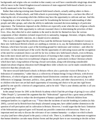backgrounds and origins who are resident in that country can well have considerable misgivings about the official move in the United Kingdom toward extension of state-supported faith-based schools (as was briefly mentioned in the first chapter).

Rather than reducing existing state-financed faith-based schools, actually *adding* others to them— Muslim schools, Hindu schools, and Sikh schools to preexisting Christian ones—can have the effect of reducing the role of reasoning which the children may have the opportunity to cultivate and use. And this is happening at a time when there is a great need for broadening the horizon of understanding of other people and other groups, and when the ability to undertake reasoned decision-making is of particular importance. The limitations imposed on the children are especially acute when the new religious schools give children rather little opportunity to cultivate reasoned choice in determining the priorities of their lives. Also, they often fail to alert students to the need to decide for themselves how the various components of their identities (related respectively to nationality, language, literature, religion, ethnicity, cultural history, scientific interests, etc.) should receive attention.

This is not to suggest that the problems of bias (and the deliberate fostering of a blinkered vision) in these new faith-based British schools are anything as extreme as in, say, the fundamentalist madrasas in Pakistan, which have become a part of the breeding ground for intolerance and violence—and often for terrorism—in that strained part of the world. But the opportunity of cultivating reason and the recognition of the need for scrutinized choice can still be far less in these new faith-based schools, even in Britain, than in the more mixed and less sequestered places of learning in that country. The actual opportunities are often rather less than even in traditional religious schools—particularly in those Christian schools which have had a long tradition of having a broad curriculum, along with tolerating considerable skepticism about religious education itself (though these older schools too can be made considerably less restrictive than they already are).

The move toward faith-based schools in Britain reflects also a particular vision of Britain as "a federation of communities," rather than as a collectivity of human beings living in Britain, with diverse differences, of which religious and community-based distinctions constitute only one part (along with differences in language, literature, politics, class, gender, location, and other characteristics). It is unfair to children who have not yet had much opportunity of reasoning and choice to be put into rigid boxes guided by one specific criterion of categorization, and to be told: "That is your identity and this is all you are going to get."

In the annual lecture for 2001 at the British Academy which I had the privilege of giving (it was called "Other People"), I presented the argument that this "federational" approach has a great many problems, and in particular tends to reduce the development of human capabilities of British children from immigrant families in a significant way. <sup>[12](#page-120-1)</sup> Since then the incidents of suicide bombing in London (in July 2005), carried out by British-born but deeply alienated young men, have added another dimension to the question of self-perception and its cultivation in Britain. However, I would argue that the basic limitation of the federationist approach goes well beyond any possible connection with terrorism. There is an important need not only to discuss the relevance of our common humanity—a subject on which schools can play (and have often played in the past) a critical role. There is, in addition, the important recognition that human identities can take many distinct forms and that people have to use reasoning to decide on how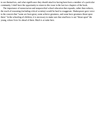to see themselves, and what significance they should attach to having been born a member of a particular community. I shall have the opportunity to return to this issue in the last two chapters of the book.

The importance of nonsectarian and nonparochial school education that expands, rather than reduces, the reach of reasoning (including critical scrutiny) would be hard to exaggerate. Shakespeare gave voice to the concern that "some are born great, some achieve greatness, and some have greatness thrust upon them." In the schooling of children, it is necessary to make sure that *smallness* is not "thrust upon" the young, whose lives lie ahead of them. Much is at stake here.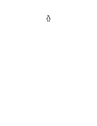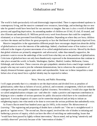## CHAPTER 7

# Globalization and Voice

The world is both spectacularly rich and distressingly impoverished. There is unprecedented opulence in contemporary living, and the massive command over resources, knowledge, and technology that we now take for granted would have been hard for our ancestors to imagine. But ours is also a world of dreadful poverty and appalling deprivation. An astounding number of children are ill fed, ill clad, ill treated, and also illiterate and needlessly ill. Millions perish *every week* from diseases that could be completely eliminated, or at least prevented from killing with abandon. Depending on where they are born, children can have the means and facilities for great prosperity or face the likelihood of desperately deprived lives.

Massive inequalities in the opportunities different people have encourages skepticism about the ability of globalization to serve the interests of the underdogs. Indeed, a hardened sense of frus tration is well reflected in the slogans of protest movements of so-called antiglobalization activists. Moved by the thesis that global relations are primarily antagonistic and adversarial, rather than mutually supportive, the protesters want to rescue the underdogs of the world from what they see as the penalties of globalization. Criticisms of globalism have not only been thunderously expressed in the demonstrations that continue to take place around the world, in Seattle, Washington, Quebec, Madrid, London, Melbourne, Genoa, Edinburgh, and elsewhere. These concerns also get sympathetic attention from a much larger number of people who may not want to join the vehement demonstrations, but to whom too the asymmetries of sharply distanced fortunes appear quite unfair and reprehensible. Some see in these inequalities a total failure also of any moral force a global identity may be expected to induce.

### Voice, Veracity, and Public Reasoning

I will argue presently that it is a mistake to see the deprivations and divided lives as penalties of globalization, rather than as failures of social, political, and economic arrangements, which are entirely contingent and not inescapable companions of global closeness. Nevertheless, I would also argue that the so-called antiglobalization critiques can—and often do—make a positive and important contribution in helping to raise a number of serious questions for public discussion which have to be considered and appraised. A serious diagnosis of causes can be somewhat misplaced and yet help to initiate an enlightening inquiry into what needs to be done to overcome the serious problems that undoubtedly exist.

As Francis Bacon noted four hundred years ago (in 1605), in his treatise *The Advancement of Learning:* "The registering and proposing of doubts have a *double* use." One use is straightforward: it guards us "against errors." The second use, Bacon argued, involved the role of doubts in initiating and furthering a process of inquiry, which can have the effect of enriching our understanding. Issues that "would have been passed by lightly without intervention," Bacon noted, end up being "attentively and carefully observed" precisely because of the "intervention of doubts." [1](#page-121-0)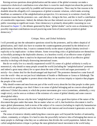Raising serious questions about globalization and the nature of the global economy can make a constructive dialectical contribution even when there is room for much skepticism about the particular slogans that are used, especially by youthful and boisterous protesters. There may be fine reasons to be doubtful about the allegedly evil consequences of global economic relations, which make arresting headlines as summaries of the antiglobalization perspective. It is necessary to scrutinize closely the momentous issues that the protesters can—and often do—bring to the fore, and this is itself a contribution of considerable importance. Indeed, the debates that are thus initiated can serve as the basis of global public reasoning on significant issues. Since democracy is primarily about public reasoning (as was discussed in [chapter](#page-34-0) 3 ), the debates generated by these "global doubts" can be seen as elementary but possibly important contributions toward practicing some form of (necessarily primitive) global democracy. [2](#page-121-1)

### Critique, Voice, and Global Solidarity

I will presently go into the substantive questions raised by the protesters, and by others skeptical of globalization, and I shall also have to examine the counterarguments presented by the defend ers of globalization. But before that, I want to comment briefly on the nature of global identity involved explicitly or by implication—in these debates. Some overarching critics of globalization see themselves as forcefully pointing to the deplorable absence, in a heartless world, of an effective sense of global solidarity. Certainly, there is much to be depressed about in the manifest lack of an effective global morality in dealing with deeply distressing international issues.

But do we really live in a morally sequestered world? If a sense of a global solidarity is really so nonsensical, why should so many people around the world (including the "antiglobalization" protesters and indeed a great many others) be so upset about the state of the world and argue passionately—if noisily—for a better deal for the disadvantaged and deprived? The protesters themselves come from all over the world—they are not just local inhabitants of Seattle or Melbourne or Genoa or Edinburgh. The dissidents try to work together to protest about what they see as serious iniquity or injustice that plagues the people of the world.

Why should women and men from one part of the world worry about the fact that people in other parts of the world are getting a raw deal if there is no sense of global belonging and no concern about global unfairness? Global discontent, to which the protest movements give voice (sometimes, admittedly, a very rough voice), can be seen as evidence of the existence of a sense of global identity and some concern about global ethics.

I must presently discuss why the term "antiglobalization" is not a good description of the nature of the discontent that goes under that name. But no matter what we call it, that borderless discontent is itself a major global phenomenon, both in terms of the subject of its concern (including its implicitly humanitarian ethics and inclusive politics) and in the form of the wide interest and involvement it generates across the world.

The sense of extensive identity underlying these concerns goes well beyond the borders of nationality, culture, community, or religion. It is hard to miss the powerfully inclusive idea of belonging that moves so many people to challenge what they see as unfairness that divides the world population. Indeed, the socalled antiglobalization critique is perhaps the most globalized moral movement in the world today.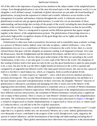#### Intellectual Solidarity

All of this adds to the importance of paying serious attention to the subject matter of the antiglobalization critique. Even though globalization is one of the most discussed topics in the contemporary world, it is not altogether a well-defined concept. A multitude of global interactions are put under the broad heading of globalization, varying from the expansion of cultural and scientific influences across borders to the enlargement of economic and business relations throughout the world. A wholesale rejection of globalization would not only go against global business, it would also cut out movements of ideas, understanding, and knowledge that can help all the people of the world, including the most disadvantaged members of the world population. A comprehensive rejection of globalization can thus be powerfully counterproductive. There is a strong need to separate out the different questions that appear merged together in the rhetoric of the antiglobalization protests. The globalization of knowledge deserves a particularly high-profile recognition, despite all the good things that can be rightly said about the importance of "local knowledge."

Globalization is often seen, both in journalistic discussions and in remarkably many academic writings, as a process of Western ization. Indeed, some who take an upbeat—indeed celebratory—view of the phenomenon even see it as a contribution of Western civilization to the world. In fact, there is a nicely stylized history that goes with this allegedly no-nonsense reading. It all happened in Europe: first came the Renaissance, then the Enlightenment and the Industrial Revolution, and this led to a massive rise in living standards in the West. And now those great achievements of the West are spreading to the world. Globalization, in this view, is not only good, it is also a gift of the West to the world. The champions of this reading of history tend to feel upset not only by the way this great benefaction is taken by many people to be a curse, but also by the way the West's highly beneficial bestowal to the world is spurned and castigated by an ungrateful non-Western world. Like many good stylized stories, this one too has a grain of truth in it, but there is much fantasy too, which, as it happens, feeds an artificial global divide.

There is another—in some respects an "opposite"—story, which also receives attention and plays a seriously diverting role. This accepts Western dominance as central to globalization, but attributes to it the nasty features associated with globalization. In these criticisms, the allegedly "Western" character of globalization is often given a prominent and damaging role (this is easily seen in the rhetoric of the ongoing protest movements). Indeed, globalization is sometimes seen as a correlate of Western dominance —indeed a continuation of Western imperialism. While different parts of the antiglobalization movements have different concerns and priorities, the resentment of Western dominance certainly plays a significant role in many of these protests. There is clearly an "anti-Western" element in parts of the antiglobalization movement. The celebration of non-Western identities of various types (discussed in [chapters](#page-44-0) 4 through [6](#page-67-0) ), related to religion (such as Islamic fundamentalism), or region (such as Asian val ues), or culture (such as Confucian ethics), can add fuel to the fire of global separatism.

To start off our critical inquiry, it can be asked: "Is globalization really a new Western curse?" I would argue that it is, in general, neither new, nor necessarily Western, nor a curse. Indeed, globalization has, over thousands of years, contributed to the progress of the world, through travel, trade, migration, the spread of cultural influences, and the dissemination of knowledge and understanding (including that of science and technology). These global interrelations have often been very productive in the advancement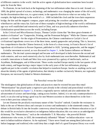of different countries in the world. And the active agents of globalization have sometimes been located quite far from the West.

To illustrate, let me look back at the beginning of the last millennium rather than at its end. Around A.D . 1000, the global spread of science, technology, and mathematics was changing the nature of the old world, but the dissemination then was, to a great extent, in the opposite direction to what we see today. For example, the high technology in the world of A.D . 1000 included the clock and the iron-chain suspension bridge, the kite and the magnetic compass, paper and printing, the crossbow and gunpowder, the wheelbarrow and the rotary fan. Each one of these examples of high technology of the world a millennium ago was well established and extensively used in China, and was practically unknown elsewhere. Globalization spread them across the world, including Europe.

In his *Critical and Miscellaneous Essays,* Thomas Carlyle claims that "the three great elements of modern civilization" are "Gunpowder, Printing, and the Protestant Religion." While the Chinese cannot be praised—or blamed—for the origin of Protestantism, the Chinese contribution to Carlyle's list of civilizational ingredients covers two of the three items, namely gunpowder and printing. This is, however, less comprehensive than the Chinese bestowal, in the form of a clean sweep, in Francis Bacon's list of ingredients of civilization in *Novum Organum,* published in 1620, "printing, gunpowder, and the magnet."

A similar movement occurred, as was discussed in [chapter](#page-34-0) 3 , in the Eastern influence on Western mathematics. The decimal system emerged and became well developed in India between the second and sixth centuries, and was used extensively also by Arab mathematicians soon thereafter. Mathematical and scientific innovations in South and West Asia were pioneered by a galaxy of intellectuals, such as Aryabhata, Brahmagupta, and al-Khwarizmi. These works reached Europe mainly in the last quarter of the tenth century, and began having a major impact in the early years of the last millennium, playing a significant part in the scientific revolution that helped to transform Europe. Insofar as anything can be said about the identity of the agents of globalization, that identity is neither exclusively Western, nor regionally European, nor necessarily linked to Western dominance.

#### The Parochial versus the Global

The misdiagnosis that globalization of ideas and practices must be resisted because they entail "Westernization" has played quite a regressive part already in the colonial and postcolonial world (as was briefly discussed in [chapter](#page-57-0) 5 ). It incites a regionally narrow outlook and also undermines the advancement of science and knowledge, cutting across borders. Indeed, it is not only counterproductive in itself, it can also end up being a good way for non-Western societies to shoot themselves in the foot even in their precious cultural foot.

Let me illustrate the peculiarly reactionary nature of this "localist" outlook. Consider the resistance in India to the use of Western ideas and concepts in science and mathematics in the nineteenth century. This debate in British India fit into the broader controversy about focusing either on Western education or (as if this would be an exclusive alternative) on indigenous Indian education; this was seen as an unbridgeable dichotomy. The "Westernizers," such as the redoubtable T. B. Macaulay—the powerful British administrator who wrote, in 1835, the tremendously influential "Minute" on Indian education—saw no merit in Indian tradition whatever. As he explained, "I have never found one among them [advocates of Indian languages and tradition] who could deny that a single shelf of a good European library was worth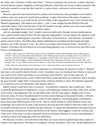the whole native literature of India and Arabia." <sup>[3](#page-121-2)</sup> Partly in retaliation, the advocates of native education resisted Western imports altogether, preferring traditional scholarship and classical Indian education. But both sides seemed to accept that there must be, to a great extent, a necessary exclusiveness in each approach.

However, given the interrelation between cultures and civilizations, this presumption was bound to produce some very awkward classificatory problems. A sharp illustration of the nature of extensive international relations is provided by the arrival in India of the trigonometric term "sine" directly from Western trigonometry. That modern term (that is, "sine") came straight from the British in the midnineteenth century, which took the place of the old Sanskrit concepts, and this was seen as just another example of the Anglo-Saxon invasion of Indian culture.

And yet, amusingly enough, "sine" actually came from India itself, through various transformations, from a good Sanskrit name for that critically important trigonometric concept. Indeed, the migration of the concept and the terminology give some idea of the nature of the historical—and distinctly "premodern" global ization of ideas. The fifth-century Indian mathematician Aryabhata had developed and made extensive use of the concept of "sine": he called it *jya-ardha,* which literally means "chord-half" in Sanskrit. From there the term moved on in an interesting migratory way, as Howard Eves describes in his *History of Mathematics:*

Aryabhata called it *ardha-jya* ("half-chord") and *jya-ardha* ("chord-half"), and then abbreviated the term by simply using *jya* ("chord"). From *jya* the Arabs phonetically derived *jiba,* which, following Arabic practice of omitting vowels, was written as *jb* . Now *jiba*, aside from its technical significance, is a meaningless word in Arabic. Later writers who came across *jb* as an abbreviation for the meaningless word *jiba* substituted *jaib* instead, which contains the same letters, and is a good Arabic word meaning "cove" or "bay." Still later, Gherardo of Cremona (ca. 1150), when he made his translations from the Arabic, replaced the Arabian *jaib* by its Latin equivalent, *sinus* [meaning a cove or a bay], from whence came our present word *sine* . [4](#page-121-3)

Given the cultural and intellectual interconnections in world history, the question of what is "Western" and what is not would be hard to decide. In fact, Aryabhata's *jya* was translated into Chinese as *ming* and was used in such widely used tables as *yue jianliang ming,* literally "sine of lunar intervals." If Macaulay had understood the world's intellectual history somewhat better, he would have had to broaden his gaze from the "single shelf" of European books which he admired so much. His Indianist opponents too would have to be less distrustful of the Western shelves.

Indeed, Europe would have been a lot poorer—economically, culturally, and scientifically—had it resisted the globalization of mathematics, science, and technology coming from China, India, Iran, and the Arab world, at the beginning of the second millen nium. And the same applies, though in the reverse direction, today. To reject the globalization of science and technology on the ground that this is Western imperialism (as some protesters suggest) would not only amount to overlooking global contributions drawn from many different parts of the world—that lie solidly behind so-called Western science and technology, but would also be quite a daft practical decision given the extent to which the whole world can benefit from the process of intellectual give-and-take. To equate this phenomenon with imperialism or with European colonialism of ideas and beliefs (as the rhetoric often suggests) would be a serious and costly error, in the same way that a European rejection of Eastern influence on science and mathematics would have been at the beginning of the last millennium.

We must not, of course, overlook the fact that there are issues related to globalization that actually do connect with imperialism. The history of conquests, colonial dominance, alien rule, and the humiliation of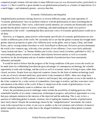conquered people remains relevant today in many different ways (as was discussed earlier, particularly in [chapter](#page-57-0) 5 ). But it would be a great mistake to see globalization primarily as a feature of imperialism. It is a much bigger—and immensely greater—process than that.

## Economic Globalization and Inequality

Antiglobalization protesters belong, however, to several different camps, and some opponents of "economic globalization" have no problem whatever with the globalization of ideas (including that of science and literature). Their views, which need careful attention, are certainly not dismissable on the ground that the global ization of science, technology, and understanding has made very positive contributions to the world—something that these particular critics of economic globalization would not at all deny.

However, as it happens, many positive achievements specifically of economic globalization are also visible in different parts of the world. We can hardly fail to see that the global economy has brought much greater material prosperity to quite a few different areas on the globe, such as Japan, China, and South Korea, and to varying extents elsewhere as well, from Brazil to Botswana. Pervasive poverty dominated the world a few centuries ago, with only a few pockets of rare affluence. Lives were fairly uniformly "nasty, brutish and short," as Thomas Hobbes put it in his classic book *Leviathan,* published in 1651. In overcoming that penury, extensive economic interrelations between nations as well as economic incentives for the development and use of modern methods of production have been enormously influential and helpful.

It would be hard to believe that the progress of the living conditions of the poor across the world can be made faster by withholding from them the great advantages of contemporary technology, the valuable opportunity to trade and exchange, and the social as well as economic merits of living in open, rather than closed, societies. People from very deprived countries clamor for the fruits of modern technology (such as the use of newly invented medicines, particularly in the treatment of AIDS—these new drugs have transformed the lives of AIDS patients in America and Europe); they seek greater access to the markets in the richer countries for a wide variety of commodities, from sugar to textiles; and they want more voice and attention in the affairs of the world. If there is skepticism of the results of globalization, it is not because suffering humanity wants to withdraw into its shell.

In fact, the preeminent practical challenges today include the possibility of making good use of the remarkable benefits of eco nomic connections, technological progress, and political opportunity in a way that pays adequate attention to the interests of the deprived and the underdog. This is not, in fact, a question of rubbishing global economic relations, but of making the immense benefits of globalization more fairly shared. Despite the terminology chosen by the "antiglobalization" movements, the central issue in the reproach has to relate, in one way or another, to the real existence and resilience of massive global inequality and poverty, rather than to the alleged fruitfulness of doing without global economic relations.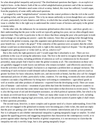So what about global inequality and poverty? The distributional questions that figure—in an explicit or implicit form—in the rhetoric both of the so-called antiglobalization protesters and of the no-nonsense "proglobalization" defenders need some critical scrutiny. Indeed, this issue has suffered, I would argue, from the popularity of some oddly unfocused questions.

It is argued by some "antiglobalization" resisters that the central problem is that the rich in the world are getting richer, and the poor poorer. This is by no means uniformly so (even though there are a number of cases, particularly in Latin America and Africa, in which this has actually happened), but the crucial issue is whether this is the right way to understand the central issues of fairness and equity in the global economy today.

On the other side, the enthusiasts for no-nonsense globalization often invoke—and draw greatly on their understanding that the poor in the world are typically getting less poor, not (as often alleged) more impoverished. They refer in particular to the evi dence that those among the poor who participate in trade and exchange are not getting any poorer—quite the contrary. Since they are getting richer through being involved in the global economy, ergo (the argument runs) globalization is not unjust to the poor: "The poor benefit too—so what's the gripe?" If the centrality of this question were accepted, then the whole debate would turn on determining which side is right in this mainly empirical dispute: "Are the globally engaged poor getting poorer *or* richer (tell us, tell us, which it is)?"

But is this really the right question to ask? I would argue that it absolutely is *not* . There are two problems in this way of seeing the unfairness issue. The first is the need to recognize that given the global facilities that exist today, including problems of omission as well as commission (to be discussed presently), many people find it hard to enter the global economy at all. The concentration on those who are gainfully engaged in trade leaves out millions who remain excluded—and effectively unwelcome from the activities of the privileged. Exclusion is as important a problem here as unequal inclusion. The remedying of such exclusion would demand radical departures in domestic economic policies (such as greater facilities for basic education, health care, and microcredit at home), but they also call for changed international policies of other, particularly richer, countries. For one thing, economically more advanced countries can make a big difference by being more welcoming to commodities—agricultural goods as well as textiles and other products of industries—exported from the developing world. There are issues also of humane—and realistic—treatment of past debts that limit the freedom of the poorer countries so much (it is most welcome that some initial steps have been taken in that direction in recent years). <sup>[5](#page-121-4)</sup> There is also the big issue of aid and development assistance, on which political opinions differ, but which is by no means an irrelevant focus of attention. <sup>[6](#page-121-5)</sup> There are many other issues to be tackled as well, including the need to rethink the ongoing legal provisions, such as the present system of patent rights (I shall return to these questions presently).

The second issue, however, is more complex and in greater need of a clearer understanding. Even if the poor who are engaged in the globalized economy were becoming just a little richer, this need not imply that the poor are getting a *fair* share of the benefits of economic interrelations and of its vast potential. Nor is it adequate to ask whether international inequality is getting marginally larger or smaller. To rebel against the appalling poverty and staggering inequalities that characterize the contemporary world, or to protest against unfair sharing of the benefits of global cooperation, it is not necessary to claim that the inequality not only is terribly large, but is also getting marginally *larger* .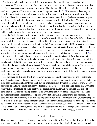The issue of fairness in a world of different groups and disparate identities demands a fuller understanding. When there are gains from cooperation, there can be many alternative arrangements that benefit each party compared with no cooperation. The division of benefits can widely vary despite the need for cooperation (this is sometimes called "cooperative conflict"). <sup>[7](#page-121-6)</sup> For example, there may be considerable gains from the setting up of new industries, but there still remains the problem of the division of benefits between workers, capitalists, sellers of inputs, buyers (and consumers) of outputs, and those benefiting indirectly from the increased income in the localities involved. The divisions involved would depend on relative prices, wages, and other economic parameters that would govern exchange and production. It is appropriate, therefore, to ask whether the distribution of gains is *fair or acceptable,* and not just whether there *exist* some gains for all parties in comparison with no cooperation (which can be the case for a great many alternative arrangements).

As John Nash, the mathematician and game theorist (and now also a household name thanks to the enormously successful film based on Sylvia Nasar's wonderful biography, *A Beautiful Mind* ), discussed more than half a century ago (in a paper published in 1950, which was among his writings cited by the Royal Swedish Academy in awarding him the Nobel Prize in economics in 1994), the central issue is not whether a particular arrangement is better for all than no cooperation at all, which would be true of many alternative arrangements. Rather, the principal question is whether the particular divisions to emerge, among the various alternatives available, are fair divisions, given what could be chosen instead.  $8\text{ A}$  $8\text{ A}$ criticism that a distributional arrangement that goes with cooperation is unfair (whether aired in the context of industrial relations or family arrangements or international institutions) cannot be rebutted by merely noting that all the parties are better off than would be the case in the absence of cooperation (well reflected in the supposedly telling argument: "The poor benefit too—so what's the gripe?"). Since this would be true of very many—possibly infinitely many—alternative arrangements, the real exercise does not lie there, but rather in the choice *among* these various alternatives with different distributions of gains for all of the parties.

The point can be illustrated with an analogy. To argue that a particularly unequal and sexist family arrangement is unfair, it does not have to be shown that women would have done comparatively better had there been no families at all ("If you think that the ongoing family divisions are unfair to women, why don't you go and live outside families?"). That is not the issue—women seeking a better deal within the family are not proposing, as an alternative, the possibility of living without families. The bone of contention is whether the sharing of the benefits within the family system is seriously unequal in the existing institutional arrangements, compared with what alternative arrangements can be made. The consideration on which many of the debates on globalization have concentrated, to wit, whether the poor too benefit from the established economic order, is an entirely inadequate focus for assessing what has to be assessed. What must be asked instead is whether they can feasibly get a better—and fairer—deal, with less disparities of economic, social, and political opportunities, and if so, through what international and domestic rearrangements this could be brought about. That is where the real engagement lies.

#### The Possibility of More Fairness

There are, however, some preliminary issues to be discussed first. Is a fairer global deal possible without upsetting the globalized system of economic and social relations altogether? We must ask, in particular,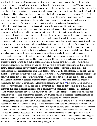whether the deal that the different groups get from globalized economic and social relations can be changed without undermining or destroying the benefits of a global market economy? The conviction, which is often implicitly invoked in antiglobalization critiques, that the answer must be in the negative has played a critically important part in generating gloom and doom about the future of the world with global markets, and this is what gives the so-called antiglobalization protests their chosen name. There is, in particular, an oddly common presumption that there is such a thing as "*the* market outcome," no matter what rules of private operation, public initiatives, and nonmarket institutions are combined with the existence of markets. That answer is, in fact, entirely mistaken, as is readily ascertained.

Use of the market economy is consistent with many different ownership patterns, resource availabilities, social facilities, and rules of operation (such as patent laws, antitrust regulations, provisions for health care and income support, etc.). And depending on these conditions, the market economy itself would generate distinct sets of prices, terms of trades, income distributions, and, more generally, very different overall outcomes. <sup>[9](#page-121-8)</sup> For example, every time public hospitals, schools, or colleges are set up, or resources transferred from one group to another, the prices and quantities reflected in the market outcome inescapably alter. Markets do not—and cannot—act alone. There is no "*the* market outcome" irrespective of the conditions that govern the markets, including the distribution of economic resources and ownerships. Introduction or enhancement of institutional arrangements for social security and other supportive public interventions can also yield significant differences in the outcome.

The central question is not—indeed cannot be—whether or not to use the market economy. That shallow question is easy to answer. No economy in world history has ever achieved widespread prosperity, going beyond the high life of the elite, without making considerable use of markets and production conditions that depend on markets. It is not hard to conclude that it is impossible to achieve general economic prosperity without making extensive use of the opportunities of exchange and specialization that market relations offer. This does not deny at all the basic fact that the operation of the market economy can certainly be significantly defective under many circumstances, because of the need to deal with goods that are collectively consumed (such as public health facilities) and also (as has been much discussed recently) because of the importance of asymmetric—and more generally imperfect information that different participants in the market economy may have.  $^{10}$  $^{10}$  $^{10}$  For example, the buyer of a used car knows far less about the car than the owner selling it does, so that peo ple have to make their exchange decisions in partial ignorance and in particular with unequal knowledge. These problems, which are significant and serious, can, however, be addressed through appropriate public policies that supplement the working of the market economy. But it would be hard to dispense with the institution of markets altogether without thoroughly undermining the prospects of economic progress.

Indeed, using markets is not entirely unlike speaking prose. It is not easy to dispense with it, but much depends on what prose we choose to speak. The market economy does not work alone in *globalized* relations—indeed it cannot operate alone even *within* a given country. It is not only the case that a marketinclusive overall system can generate widely different results depending on various enabling conditions (such as how physical resources are distributed, how human resources are developed, what rules of business relations prevail, what social insurances are in place, how extensively technical knowledge is shared, and so on), but also these enabling conditions themselves depend critically on economic, social, and political institutions that operate nationally and globally.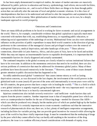As has been amply demonstrated in empirical studies, the nature of market outcomes are massively influenced by public policies in education and literacy, epidemiology, land reform, microcredit facilities, appropriate legal protection, etc., and in each of these fields there are things to be done through public action that can radically alter the outcome of local and global economic relations. It is this class of interdependences that have to be understood and utilized to alter the inequalities and asymmetries that characterize the world economy. Mere globalization of market relations can, on its own, be a deeply inadequate approach to world prosperity.

#### Omissions and Commissions

There are many difficult problems to be faced in working for fairer economic and social arrangements in the world. There is, for example, considerable evidence that global capitalism is typically much more concerned with markets than with, say, establishing democracy, or expanding public education, or enhancing social opportunities of the underdogs of society. Multinational firms can also exert substantial influence on the priorities of public expenditure in many third-world countries in the direction of giving preference to the convenience of the managerial classes and privileged workers over the removal of widespread illiteracy, medical deprivation, and other handicaps of the poor. <sup>[11](#page-121-10)</sup> These adverse connections, observable in Latin America, Africa, and also parts of Asia, have to be faced and tackled. While they may not impose an insurmountable barrier to equitable development, it is important that the surmountable barriers be clearly diagnosed and actually surmounted.

The continued inequities in the global economy are closely related to various institutional failures that have to be overcome. In addition to the momentous *omissions* that need to be rectified, there are also serious problems of *commission* that must be addressed for elementary global justice. Many of these problems have been discussed extensively in the literature. <sup>[12](#page-121-11)</sup> However, some of these issues demand greater attention in public discussion than has happened so far.

An oddly underdiscussed global "commission" that causes intense misery as well as lasting deprivation concerns, as was discussed in the last chapter, the involvement of the world powers in the globalized trade in arms (nearly 85 percent of the arms sold internationally in recent years were sold by the G8 countries, the great powers that have a major role in leading the world). <sup>[13](#page-121-12)</sup> This is a field in which a new global initiative is urgently required, going beyond the need—the very important need—to curb terrorism, on which the focus is so heavily concentrated right now.

Injurious commissions also include severely restrictive—and inefficient—trade barriers that curb exports from the poorer countries. Another important issue is that of inequitable patent laws which can serve as counterproductive hurdles for the use of lifesaving drugs—needed for diseases like AIDS which can often be produced very cheaply, but the market price of which are pushed high up by the burden of royalties. While it is certainly important not to create economic conditions such that the innovative research of pharmaceuticals dries out, there are, in fact, plenty of intelligent compromise arrangements, including facilities for variable pricing, that can provide good incentives for research while allowing the poor of the world to buy these vitally important drugs. It must be remembered that the nonbuying of drugs by the poor which they cannot afford to buy can hardly add anything to the incentives of the drug producers; the issue is to combine efficiency-based considerations with demands of equity, in an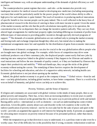intelligent and humane way, with an adequate understanding of the demands of global efficiency as well as justice.

The counterproductive patent regimes that exist—and rule—at the moment also provide very inadequate incentive for medical research aimed at developing new medicines (including nonrepeating vaccines) that would be particularly useful for the poorer people of the world whose ability to offer a high price for such medicines is quite limited. The reach of incentives in producing medical innovations of specific benefit to low-income people can be puny indeed. This is well reflected in the heavy bias of pharmaceutical research in the direction of catering to those with more income to spend. Given the nature of the market economy and the role that the profit calculations inescapably play in its operation, the concentration has to be on departures that can change the incentive pattern radically. They can vary from altered legal arrangements for intellectual property rights (including differing tax treatment of profits from different types of innovations) to providing public incentives through specially devised programs of support. <sup>[14](#page-122-0)</sup> The demands of economic globalization are not confined only to joining the market economy and freeing trade and exchange (important though they often are), but extend also to making the institutional arrangements more fair and equitable for the distribution of gains from economic intercourse. [15](#page-122-1)

Enhancement of domestic arrangements can also be crucial to the way globalization affects people who are brought more into global exchange. For example, while forces of competition may drive some traditional producers out of their customary jobs, the displaced people cannot easily find new jobs by entering into new enterprises linked to the global economy if they happen to be illiterate and unable to read instructions and follow the new demands of quality control, or if they are burdened by illnesses that impair their productivity and mobility. <sup>[16](#page-122-2)</sup> With such handicaps, they can get the sticks of the global economy without tasting the carrots. The remedying of these barriers requires the development of facilities for schooling and education, and also of a supportive safety network, including health care. Economic globalization is not just about opening up the markets.

Indeed, the global market economy is as good as the company it keeps. <sup>[17](#page-122-3)</sup> Global voices—from far and near—can help globalization, including global markets, to have better companions. There is a world to be won on behalf of humanity, and global voices can help us to achieve this.

#### Poverty, Violence, and the Sense of Injustice

If religion and community are associated with global violence in the minds of many people, then so are global poverty and inequality. There has, in fact, been an increasing tendency in recent years to justify policies of poverty removal on the ground that this is the surest way to prevent political strife and turmoil. Basing public policy—international as well as domestic—on such an understanding has some evident attractions. Given the public anxiety about wars and disorder in the rich countries in the world, the indirect justification of poverty removal—not for its own sake but for the sake of peace and quiet in the world—provides an argument that appeals to self-interest for helping the needy. It presents an argument for allocating more resources on poverty removal because of its presumed political, rather than moral, relevance.

While the temptation to go in that direction is easy to understand, it is a perilous route to take even for a worthy cause. Part of the difficulty lies in the possibility that if wrong, economic reductionism would not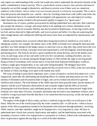only impair our understanding of the world, but would also tend to undermine the declared rationale of the public commitment to remove poverty. This is a particularly serious concern, since poverty and massive inequality are terrible enough in themselves, and deserve priority even if there were no connection whatever with violence. Just as virtue is its own reward, poverty is at least its own penalty. This is not to deny that poverty and inequality can—and do—have far-reaching connections with conflict and strife, but these connections have to be examined and investigated with appropriate care and empirical scrutiny, rather than being casually invoked with unreasoned rapidity in support of a "good cause."

Destitution can, of course, produce provocation for defying established laws and rules. But it need not give people the initiative, courage, and actual ability to do anything very violent. Destitution can be accompanied not only by economic debility, but also by political helplessness. A starving wretch can be too frail and too dejected to fight and battle, and even to protest and holler. It is thus not surprising that often enough intense and widespread suffering and misery have been accompanied by unusual peace and silence.

Indeed, many famines have occurred without there being much political rebellion or civil strife or intergroup warfare. For example, the famine years in the 1840s in Ireland were among the most peaceful, and there was little attempt by the hungry masses to intervene even as ship after ship sailed down the river Shannon laden with rich food, carrying it from starving Ireland to well-fed England, which had greater purchasing power. The Irish do not have a great reputation for pliant docility, and yet the famine years were, by and large, years of law and order (with very few exceptions). Looking elsewhere, my own childhood memories in Calcutta during the Bengal famine of 1943 include the sight of starving people dying in front of sweetshops with various layers of luscious food displayed behind glass windows, without a single glass being broken, or law and order being disrupted. The Bengalis have been responsible for many violent rebellions (one against the Raj occurred even in 1942, in the year preceding the famine of 1943), but things were quiet in the famine year itself.

The issue of timing is particularly important, since a sense of injustice can feed discontent over a very long period, much after the debilitating and disabling effects of a famine and deprivation are over. The memory of destitution and devastation tends to linger, and can be invoked and utilized to generate rebellion and violence. The Irish famines of the 1840s may have been peaceful times, but the memory of injustice and the social bitterness about political and economic neglect had the effect of severely alienating the Irish from Britain, and contributed greatly to the violence that characterized Anglo-Irish relations over more than 150 years. Economic destitution may not lead to any immediate violence, but it would be wrong to presume from this that there is no connection between poverty, on the one hand, and violence on the other.

The neglect of the plight of Africa today can have a similarly long-run effect on world peace in the future. What the rest of the world (especially the richer countries) did—or did not do—when at least a quarter of the African population seemed to be threatened with extinction through epidemics, involving AIDS, malaria, and other maladies, might not be forgotten for a very long time to come. We have to understand more clearly how poverty, deprivation, and neglect, and the humiliations associated with asymmetry of power, relate over long periods to a proneness to violence, linked with confrontations that draw on grievances against the top dogs in a world of divided identities.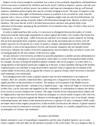Neglect can be reason enough for resentment, but a sense of encroachment, degradation, and humiliation can be even easier to mobilize for rebellion and revolt. Israel's ability to displace, repress, and rule over Palestinians, assisted by military power, has extensive and long-run consequences that go well beyond whatever immediate political gains they may be currently bringing to Israel. The sense of injustice in the arbitrary violation of the rights of Palestinians remains in readiness to be recruited for what, from the opposite end, is seen as violent "retaliation." The vengeance might come not only from Palestinians, but also from much larger groups of people linked with Palestinians through Arab, Muslim, or third-world identities. The sense that the world is divided between haves and have-nots greatly helps in the cultivation of discontent, opening up the possibilities of recruitment in the cause of what is often seen as "retaliatory violence."

In order to understand how this works, it is necessary to distinguish between the leaders of violent insurrection and the much larger populations on whose support the leaders rely. Leaders like Osama bin Laden do not—to say the least—suffer from poverty and have no economic reason whatever for feeling left out from sharing the fruits of global capitalism. And yet the movements that are led by well-off leaders typically do rely greatly on a sense of injustice, iniquity, and humiliation that the established world order is seen as having produced. Poverty and economic inequality may not instantly breed terrorism or influence the leaders of terrorist organizations, but nevertheless they can help to create rich recruiting grounds for the foot soldiers of the terrorist camps.

Second, tolerance of terrorism by an otherwise peaceful population is another peculiar phenomenon in many parts of the contemporary world, particularly where there is a sense of having been badly treated, for example, because of being left behind by global economic and social progress, or where there is a strong memory of having been politically roughed up in the past. A more equitable sharing of the benefits of globalization can contribute to long-run preventive measures both (1) against the recruitment of the cannon fodder of terrorism, and (2) against the creation of a general climate where terrorism is tolerated (and sometimes even celebrated).

Even though poverty and a sense of global injustice may not lead immediately to an eruption of violence, there are certainly connections there, operating over a long period of time, that can have a significant effect on the possibility of violence. The memory of ill treatment of the Middle East by Western powers many decades—perhaps even a hundred years—ago, which still linger in various forms in West Asia, can be cultivated and magnified by the commanders of confrontation to enhance the ability of ter rorists to recruit volunteers for violence. The anger with the Soviet Union particularly linked with its Afghan policy may have been seen by American strategists as a nicely usable weapon in the cold war, but it was open to redirection against the Western world through the solitarist view of an Islamic identity confronting Europe and America (the distinction between a capitalist US and a Communist USSR would not matter much in that singular perspective). In that twofold classification, the rhetoric of global injustice is torn away from its constructive correlates, and is deployed instead, in a suitably adapted form, to feed an atmosphere of violence and retribution.

### Awareness and Identity

Indeed, alternative ways of responding to inequalities and the sense of global injustice can, to some extent, compete with each other for the attention of people of the world today. The very diagnosis that, in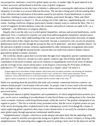one perspective, motivates a search for global equity can also, in another light, be good material to be twisted, narrowed, and harshened to feed the cause of global vengeance.

Much would depend on how the issue of identity is addressed in assessing the implications of global inequality. It can take us in several different directions. The one that is being used with devastating effect is the cultivation and exploitation of discontent caused by perceptions of past humiliations or present disparities, building on some solitarist contrast of identity, particularly through a "West–anti-West" formulation (discussed in [chapter](#page-57-0) 5 ). We are seeing a lot of this right now, supplementing and—to some extent—feeding a bellicose religious (particularly Islamic) identity ready to confront the West. This is a world of singularly divided identities where the economic and political contrasts are made to fit—as a "subtheme"—into differences in religious ethnicity.

Happily, that is not the only way in which global inequalities, and past and present humiliations, can be addressed. First, a constructive response can come from addressing global inequalities and grievances more explicitly, with a fuller understanding of the real issues involved and possible directions of remedy (with which much of this chapter has been concerned). Second, a constructive role can also be played by globalization itself, not only through the prosperity that can be generated—and more equitably shared—by the operation of global economic relations supplemented by other institutional arrangements (discussed earlier), but also through the beyond-border concerns that can result from extensive human contacts generated by global economic closeness.

The world has shrunk a great deal in recent times through closer integration, quicker communication, and easier access. However, already two and a quarter centuries ago, David Hume spoke about the contribution of increased economic and social relations in expanding the reach of our sense of identity and the coverage of our concern about justice. In *An Enquiry Concerning the Principles of Morals,* published in 1777, Hume pointed to these connections (in a chapter called "Of Justice"):

[A]gain suppose that several distinct societies maintain a kind of intercourse for mutual convenience and advantage, the boundaries of justice still grow larger, in proportion to the largeness of men's views, and the force of their mutual connexions. History, experience, reason sufficiently instruct us in this natural progress of human sentiments, and in the gradual enlargement of our regards to justice, in proportion as we become acquainted with the extensive utility of that virtue.  $^{18}$  $^{18}$  $^{18}$ 

Hume was speaking about the possibility that trade and economic connections between countries can enhance distant people's involvement with each other. As people come in closer touch with each other, they can begin to take an interest in faraway persons whose existence may have been only dimly perceived earlier.

Widespread interest in global inequalities and asymmmetries, of which antiglobalization protests are a part, can be seen as something of an embodiment of what David Hume was talking about in his claim that closer economic relations would bring distant people within the reach of "the gradual enlargement of our regards to justice." This fits in with the claim, presented earlier, that the voices of global protest are part of the newly developing ethics of globalization in the contemporary world. Even though the critique of equity-neglecting global capitalism often stops at mere denunciation, it can easily be extended to demand more global equity through appropriate institutional modifications.

"Antiglobalization" critiques, which focus on the unequal and unjust deals that the underdogs of the world get, cannot be sensibly seen (given the strong use of global ethics in these critiques) as being really antiglobalization. The motivating ideas suggest the need for seeking a fairer deal for the deprived and the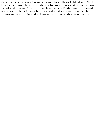miserable, and for a more just distribution of opportunities in a suitably modified global order. Global discussion of the urgency of these issues can be the basis of a constructive search for the ways and means of reducing global injustice. That search is critically important in itself, and that must be the first—and main—thing to say about it. But it can also have a very substantial role in taking us away from the confrontation of sharply divisive identities. It makes a difference how we choose to see ourselves.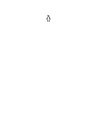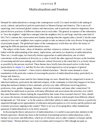## CHAPTER 8

# Multiculturalism and Freedom

Demand for multiculturalism is strong in the contemporary world. It is much invoked in the making of social, cultural, and political policies particularly in Western Europe and America. This is not at all surprising, since increased global contacts and interactions, and in particular extensive migrations, have placed diverse practices of different cultures next to each other. The general acceptance of the exhortation to "love thy neighbor" might have emerged when the neighbors led, by and large, much the same kind of life ("let's continue this conversation next Sunday morning when the organist takes a break"), but the same entreaty to love one's neighbors now requires people to take an interest in the very diverse living modes of proximate people. The globalized nature of the contemporary world does not allow the luxury of ignoring the difficult questions multiculturalism raises.

The subject of this book—ideas of identities and their relation to violence in the world—is closely linked with the understanding of the nature, implications, and merits (or demerits) of multiculturalism. There are, I would argue, two basically distinct approaches to multiculturalism, one of which concentrates on the promotion of diversity as a value in itself; the other approach focuses on the freedom of reasoning and decision-making, and celebrates cultural diversity to the extent that it is as freely chosen as possible by the persons involved. These themes have briefly been discussed earlier in this book (particularly in [chapter](#page-67-0) 6 ), and they fit also into a broad approach to social progress in general —"development as freedom"—I have tried to defend elsewhere.  $^{1}$  $^{1}$  $^{1}$  But the issues demand a closer examination in the particular context of assessing the practice of multiculturalism today, particularly in Europe and America.

One of the central issues must be how human beings are seen. Should they be categorized in terms of inherited traditions, particularly the inherited religion, of the community in which they happen to be born, taking that unchosen identity to have automatic priority over other affiliations involving politics, profession, class, gender, language, literature, social involvements, and many other connections? Or should they be understood as persons with many affiliations and associations the priorities over which they must themselves choose (taking the responsibility that comes from reasoned choice)? Also, should we assess the fairness of multiculturalism primarily by the extent to which people from different cultural backgrounds are "left alone," or by the extent to which their ability to make reasoned choices is positively supported through social opportunities of education and participation in civil society and the political and economic processes ongoing in the country? There is no way of escaping these rather foundational questions if multiculturalism is to be fairly assessed.

In discussing the theory and practice of multiculturalism, it is useful to pay particular attention to the British experience. Britain has been in the forefront of promoting inclusive multiculturalism, with a mixture of successes and difficulties, which are of relevance also to other countries in Europe and the United States. <sup>[2](#page-122-6)</sup> Britain did have race riots in London and Liverpool in 1981 (though not quite as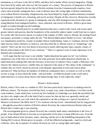momentous as in France in the fall of 2005), and these led to further efforts toward integration. Things have been fairly stable and calm over the last quarter of a century. The process of integration in Britain has been greatly helped by the fact that all British residents from the Commonwealth countries, from where most nonwhite immigrants have come to Britain, have full voting rights in Britain immediately, even without British citizenship. Integration has also been helped by largely nondiscriminatory treatment of immigrants in health care, schooling, and social security. Despite all this, however, Britain has recently experienced the alienation of a group of immigrants, and also fully homegrown terrorism when some young Muslims from immigrant families—born, educated, and reared in Britain—killed a great many people in London through suicide bombings.

Discussions of British policies on multiculturalism thus have a much wider reach, and arouse much greater interest and passion, than the boundaries of the ostensible subject matter would lead one to expect. Six weeks after the terrorist attacks in London in the summer of 2005, when *Le Monde,* the leading French newspaper, presented a critique under the title "The British Multicultural Model in Crisis," the debate was immediately joined by a leader of another liberal establishment, James A. Goldston, director of the Open Society Justice Initiative in America, who described the *Le Monde* article as "trumpeting," and replied: "Don't use the very real threat of terrorism to justify shelving more than a quarter century of British achievement in the field of race relations." <sup>[3](#page-122-7)</sup> There is a general issue of some importance to be debated and evaluated here.

I will argue that the real issue is not whether "multiculturalism has gone too far" (as Goldston summarizes one of the lines of criticism), but what particular form multiculturalism should take. Is multiculturalism nothing other than the tolerance of diversity of cultures? Does it make a difference who chooses the cultural practices, whether they are imposed in the name of "the culture of the community" or whether they are freely chosen by persons with adequate opportunity to learn and reason about alternatives? What facilities do members of different communities have, in schools as well as in the society at large, to learn about the faiths—and non-faiths—of different people in the world and to understand how to reason about choices that human beings must, if only implicitly, make?

#### Britain's Achievements

Britain, where I first came as a student in 1953, has been particularly impressive in making room for different cultures. The distance traveled has been, in many ways, quite extraordinary. I recollect (with some fondness, I must admit) how worried my first landlady in Cambridge was about the possibility that my skin color might come off in the bath (I had to assure her that my hue was agreeably sturdy and durable), and also the care with which she explained to me that writing was a special invention of Western civilization ("the Bible did it"). For someone who has lived—intermittently but for long periods —through the powerful evolution of British cultural diversity, the contrast between Britain today and Britain half a century ago is just amazing.

The encouragement given to cultural diversity has certainly made many contributions to the lives of people. It has helped Britain to become an exceptionally lively place in many different ways. From the joys of multicultural food, literature, music, dancing, and the arts to the befuddling entrapment of the Notting Hill Carnival, Britain gives its people—of all the different backgrounds—much to relish and celebrate. Also, the acceptance of cultural diversity (as well as voting rights and largely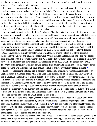nondiscriminatory public services and social security, referred to earlier) has made it easier for people with very different origins to feel at home.

It is, however, worth recalling that the acceptance of diverse living modes and of varying cultural priorities has not always had an easy ride even in Britain. There has been a periodic but persistent demand that immigrants give up their traditional lifestyles and adopt the dominant living modes in the society to which they have immigrated. That demand has sometimes taken a remarkably detailed view of culture, involving quite minute behavioral issues, well illustrated by the famous "cricket test" proposed by the redoubtable Lord Tebbit, the justly famous Conservative political leader. The test indicates that a well-integrated immigrant cheers for England in test matches against the country of the person's origin (such as Pakistan) when the two sides play each other.

To say something positive first, Tebbit's "cricket test" has the enviable merit of definiteness, and gives an immigrant a marvelously clear-cut procedure for establishing his or her integration into British society: "Cheer for the English cricket team and you will be fine!" The immigrant's job in making sure that he or she is really integrated into British society could otherwise be quite exacting, if only because it is no longer easy to identify what the dominant lifestyle in Britain actually is, to which the immigrant must conform. For example, curry is now so omnipresent in the British diet that it features as "authentic British fare" according to the British Tourist Board. In the 2005 General Certificate of Secondary Education (GCSE) examinations taken by schoolchildren when they are around sixteen, two of the questions included in the "Leisure and Tourism" paper were: "Other than Indian food, name one other type of food often provided by take-away restaurants," and "Describe what customers need to do to receive a delivery service from an Indian take-away restaurant." Reporting on the 2005 GCSE, the conservative *Daily Telegraph* complained, not about any cultural bias in these nationwide exams, but about the "easy" nature of the questions, which anyone in Britain should be able to answer without any special training. <sup>[4](#page-122-8)</sup>

I also recollect seeing, not long ago, a definitive description of the unquestionable Englishness of an Englishwoman in a London paper: "She is as English as daffodils or chicken tikka masala." Given all this, a South Asian immigrant to Britain might be a bit confused, but for Tebbit's kindly help, about what will count as a surefire test of being distinctively British to which the outside entrant has to conform. The important issue underlying what may be seen as the frivolity of the foregoing discussion is that cultural contacts are currently leading to such a hybridization of behavioral modes across the world that it is difficult to identify any "local culture" as being genuinely indigenous, with a timeless quality. <sup>[5](#page-122-9)</sup> But thanks to Lord Tebbit, the task of establishing Britishness can become nicely algorithmic and wonderfully easy (indeed as easy as answering the GCSE questions just cited).

Lord Tebbit has gone on to suggest, recently, that had his "cricket test" been put to use, it would have helped to prevent the terrorist attacks by British-born militants of Pakistani origin: "[H]ad my comments been acted on, those attacks would have been less likely." <sup>[6](#page-122-10)</sup> It is difficult to avoid the thought that this con fident prediction perhaps underestimates the ease with which any would-be terrorist—with or without training from Al Qaeda—could pass the "cricket test" of cheering for the English cricket team without changing his behavior pattern one iota in any other way.

I don't know how much into cricket Lord Tebbit himself is. If you enjoy the game, cheering for one side or the other is determined by a number of varying factors, including, of course, one's national loyalty or residential identity, but also the quality of play and the overall interest of a match—and a series. Wanting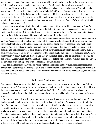a particular outcome often has a contingent quality which would make it hard to insist on unvarying and unfailed rooting for any team (England or any other). Despite my Indian origin and nationality, I must confess that I have sometimes cheered for the Pakistani cricket team, not only against England, but also against India. During the Pakistani team's tour of India in 2005, when Pakistan lost the first two one-day matches in the series of six, I cheered for Pakistan for the third match, to keep the series alive and interesting. In the event, Pakistan went well beyond my hopes and won all of the remaining four matches to defeat India soundly by the margin of four to two (another instance of Pakistan's "extremism" of which Indians complain so much!).

A more serious problem lies in the obvious fact that admonitions of the kind enshrined in Tebbit's cricket test are entirely irrelevant to the duties of British citizenship or residence, such as participation in British politics, joining British social life, or desisting from making bombs. They are also quite distant from anything that may be needed to lead a fully cohesive life in the country.

These points were quickly seized in postimperial Britain, and despite the diversions of such invitations as Tebbit's cricket test, the inclusionary nature of British political and social traditions made sure that varying cultural modes within the country could be seen as being entirely acceptable in a multiethnic Britain. There are, not surprisingly, many natives who continue to feel that this historical trend is a great mistake, and that disapproval is often combined with severe resentment that Britain has become such a multiethnic country at all (in my last encounter with a resenter, at a bus stop, I was suddenly told, "I have seen through you all," but I was disappointed that my informant declined to tell me more about what he had found). But the weight of British public opinion is, or at least has been until recently, quite strongly in the direction of tolerating—and even celebrating—cultural diversity.

All this and the inclusionary role of voting rights and nondiscriminatory public services (discussed earlier) have contributed to interracial calm of a kind that France in particular has not enjoyed recently. It does, however, still leave some of the central issues of multiculturalism entirely unresolved, and I want to take them up now.

#### Problems of Plural Monoculturalism

One important issue concerns the distinction between multiculturalism and what may be called "plural monoculturalism." Does the existence of a diversity of cultures, which might pass each other like ships in the night, count as a successful case of multiculturalism? Since Britain is currently torn between *interaction* and *isolation,* the distinction is centrally important (and has a bearing even on terrorism and violence).

To comment on the distinction involved, let me begin with a contrast by noting that Indian and British food can genuinely claim to be multicultural. India had no chili until the Portuguese brought it to India from America, but it is effectively used in a wide range of Indian food today and seems to be a dominant element in most types of curries. It is, for example, plentifully present in a mouth-burning form in vindaloo, which, as the name indicates, carries the immigrant memory of combining wine with potatoes. Also, tandoori cooking might have been perfected in India, but it originally came to India from West Asia. Curry powder, on the other hand, is a distinctly English invention, unknown in India before Lord Clive, and evolved, I imagine, in the British army mess. And we are beginning to see the emergence of new styles of preparing Indian food, offered in sophisticated subcontinental restaurants in London.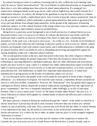In contrast, having two styles or traditions coexisting side by side, without the twain meeting, must really be seen as "plural monoculturalism." The vocal defense of multiculturalism that we frequently hear these days is very often nothing more than a plea for plural monoculturalism. If a young girl in a conservative immigrant family wants to go out on a date with an English boy, that would certainly be a multicultural initiative. In contrast, the attempt by her guardians to stop her from doing this (a common enough occurrence) is hardly a multicultural move, since it seeks to keep the cultures sequestered. And yet it is the parents' prohibition, which contributes to plural monoculturalism, that seems to get most of the vocal and loud defense from alleged multiculturalists, on the ground of the importance of honoring traditional cultures, as if the cultural freedom of the young woman were of no relevance whatever, and as if the distinct cultures must somehow remain in secluded boxes.

Being born in a particular social background is not in itself an exercise of cultural liberty (as was discussed earlier), since it is not an act of choice. In contrast, the decision to stay firmly *within* the traditional mode would be an exercise of freedom if the choice is made after considering other alternatives. In the same way, a decision to *move away* —by a little or a lot—from the received behavior pattern, arrived at after reflection and reasoning, would also qualify as such an exercise. Indeed, cultural freedom can frequently clash with cultural conservatism, and if multiculturalism is defended in the name of cultural freedom, then it can hardly be seen as demanding unwavering and unqualified support for staying steadfastly within one's inherited cultural tradition.

The second question relates to the fact, much discussed in this book, that while religion or ethnicity may be an important identity for people (especially if they have the freedom to choose between celebrating or rejecting inherited or attributed traditions), there are other affiliations and associations people also have reason to value. Unless it is defined very oddly, multiculturalism cannot override the right of a person to participate in civil society, or to take part in national politics, or to lead a socially nonconformist life. And furthermore, no matter how important multiculturalism is, it cannot lead automatically to giving priority to the dictates of traditional culture over all else.

As was discussed earlier, the people of the world cannot be seen merely in terms of their religious affiliations—as a federation of religions. For much the same reasons, a multiethnic Britain can hardly be seen as a collection of ethnic communities. However, the "federational" view has gained much support in contemporary Britain. Indeed, despite the tyrannical implications of putting persons into rigid boxes of given "communities," that view is frequently interpreted, rather bafflingly, as an ally of individual freedom. There is even a much-aired "vision" of "the future of multi-ethnic Britain" that sees it as "a looser federation of cultures held together by common bonds of interest and affection and a collective sense of being."<sup>[7](#page-122-11)</sup>

But must a person's relation to Britain be *mediated through* the "culture" of the family in which he or she has been born? A person may decide to seek closeness with more than one of these pre- defined cultures or, just as plausibly, with none. Also, a person may well decide that her ethnic or cultural identity is less important to her than, say, her political convictions, or her professional commitments, or her literary persuasions. It is a choice for her to make, no matter what her place is in the strangely imagined "federation of cultures."

These are not abstract concerns, nor are they specific features of the complexity of modern life. Consider the case of an early arrival of a South Asian to the British Isles. Cornelia Sorabji came to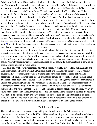Britain from India in the 1880s, and her identities reflected the varieties of affiliations she, like others, had. She was variously described by herself and others as an "Indian" (she did eventually return to India and wrote an engaging book called *India Calling* ), as being at home in England as well ("homed in two countries, England and India"), as a Parsee ("I am Parsee by nationality"), as a Christian (full of admiration for "the early martyrs of the Christian Church"), as a sari-clad woman ("always perfectly dressed in a richly coloured silk sari," as the *Manchester Guardian* described her), as a lawyer and barrister-at-law (at Lincoln's Inn), as a fighter for women's education and for legal rights particularly for secluded women (she specialized as a legal adviser to veiled women, "purdahnaschins"), as a committed supporter of the British Raj (who even accused Mahatma Gandhi, not particularly fairly, for enrolling "babies as early as six and seven years of age"), always nostalgic about India ("the green paroquets at Budh Gaya: the blue wood-smoke in an Indian village"), as a firm believer in the asymmetry between women and men (she was proud to be seen as "a modern woman"), as a teacher at an exclusively men's college ("at eighteen, in a Male College"), and as "the first woman" ever of *any* background to get the degree of bachelor of civil law at Oxford (requiring "a special decree from Congregation to allow her to sit"). <sup>[8](#page-123-0)</sup> Cornelia Sorabji's choices must have been influenced by her social origin and background, but she made her own decisions and chose her own priorities.

There would be serious problems with the moral and social claims of multiculturalism if it were taken to insist that a person's identity must be defined by his or her community or religion, overlooking all the other affiliations a person has (varying from language, class, and social relations to political views and civil roles), and through giving automatic priority to inherited religion or tradition over reflection and choice. And yet that narrow approach to multiculturalism has assumed a preeminent role in some of the official British policies in recent years.

The state policy of actively promoting new "faith schools," freshly devised for Muslim, Hindu, and Sikh children (in addition to preexisting Christian ones), which illustrates this approach, is not only educationally problematic, it encourages a fragmentary perception of the demands of living in a desegregated Britain. Many of these new institutions are coming up precisely at a time when religious prioritization has been a major source of violence in the world (adding to the history of such violence in Britain itself, including Catholic-Protestant divisions in Northern Ireland—not unconnected themselves with segmented schooling). Prime Minister Blair is certainly right to note that "there is a very strong sense of ethos and values in those schools." <sup>[9](#page-123-1)</sup> But education is not just about getting children, even very young ones, immersed in an old, inherited ethos. It is also about helping children to develop the ability to reason about new decisions any grown-up person will have to take. The important goal is not some formulaic "parity" in relation to old Brits with their old faith schools but what would best enhance the capability of the children to live "examined lives" as they grow up in an integrated country.

## The Priority of Reason

The central issue was put a long time ago with great clarity by Akbar, the Indian emperor, in his observations on reason and faith in the 1590s. Akbar, the Great Mughal, was born a Muslim and died a Muslim, but he insisted that faith cannot have priority over reason, since one must justify—and if necessary reject—one's inherited faith through reason. Attacked by traditionalists who argued in favor of instinctive faith, Akbar told his friend and trusted lieutenant Abul Fazl (a formidable scholar in Sanskrit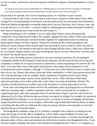as well as Arabic and Persian, with much expertise in different religions, including Hinduism as well as Islam):

The pursuit of reason and rejection of traditionalism are so brilliantly patent as to be above the need of argument. If traditionalism were proper, the prophets would merely have followed their own elders (and not come with new messages).  $^{\rm 10}$  $^{\rm 10}$  $^{\rm 10}$ 

Reason had to be supreme, since even in disputing reason, we would have to give reasons.

Convinced that he had to take a serious interest in the diverse religions of multicultural India, Akbar arranged for recurring dialogues involving (as was discussed earlier) not only people from mainstream Hindu and Muslim backgrounds in sixteenth-century India, but also Christians, Jews, Parsees, Jains, and even the followers of "Carvaka"—a school of atheistic thinking that had robustly flourished in India for more than two thousand years from around the sixth century  $B.C.$   $^{11}$  $^{11}$  $^{11}$ 

Rather than taking an "all or nothing" view of a faith, Akbar liked to reason about particular components of each multifaceted religion. For example, arguing with Jains, Akbar would remain skeptical of their rituals, and yet became convinced by their argument for vegetarianism and even ended up deploring the eating of all flesh in general. Despite the irritation all this caused among those who preferred to base religious belief on faith rather than reasoning, he stuck to what he called "the path of reason" (*rahi aql* ), and insisted on the need for open dialogue and free choice. Akbar also claimed that his own Islamic religious beliefs came from reasoning and choice, not from "blind faith," nor from what he called "the marshy land of tradition."

There is also the further question (particularly relevant to Britain) about how the *non* immigrant communities should see the demands of multicultural education. Should it take the form of leaving each community to conduct its own special historical celebrations, without responding to the need for the "old Brits" to be more fully aware of the global interrelations in the origins and development of world civilization (discussed in [chapters](#page-34-0) 3 through [7](#page-77-0) )? If the roots of so-called Western science or culture draw inter alia on, say, Chinese innovations, Indian and Arabic mathematics, or West Asian preservation of the Greco-Roman heritage (with, for example, Arabic translations of forgotten Greek classics being retranslated into Latin many centuries later), should there not be a fuller reflection of that robust interactive past than can be found, at this time, in the school curriculum of multiethnic Britain? The priorities of multiculturalism can differ a great deal from those of a plural monocultural society.

If one issue concerning faith schools involves the problematic nature of giving priority to unreasoned faith over reasoning, there is another momentous issue here, which concerns the role of religion in categorizing people, rather than using other bases of classification. People's priorities and actions are influenced by all of their affiliations and associations, not merely by religion. For example, the separation of Bangladesh from Pakistan, as was discussed earlier, was based on reasons of language and literature, along with political priorities, not on religion, which both wings of undivided Pakistan shared. To ignore everything other than faith is to obliterate the reality of concerns that have moved people to assert their identities that go well beyond religion.

The Bangladeshi community, large as it is in Britain, is merged in the religious accounting into one large mass along with all the other coreligionists, with no further acknowledgment of culture and priorities. While this may please the Islamic priests and religious leaders, it certainly shortchanges the abundant culture of that country and emaciates the richly diverse identities that Bangladeshis have. It also chooses to ignore altogether the history of the formation of Bangladesh itself. There is, as it happens, an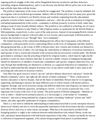ongoing political struggle at this time *within* Bangladesh between secularists and their detractors (including religious fundamentalists), and it is not obvious why British official policy has to be more in tune with the latter than with the former.

The political importance of the issue can hardly be exaggerated. The problem, it must be admitted, did not originate with recent British governments. Indeed, official British policy has for many years given the impression that it is inclined to see British citizens and residents originating from the subcontinent primarily in terms of their respective communities, and now—after the recent accentuation of religiosity (including fundamentalism) in the world—community is defined primarily in terms of faith, rather than taking account of more broadly defined cultures. The problem is not confined to schooling, nor of course to Muslims. The tendency to take Hindu or Sikh religious leaders as spokesmen for the British Hindu or Sikh population, respectively, is also a part of the same process. Instead of encouraging British citizens of diverse backgrounds to interact with each other in civil society, and to participate in British politics as citizens, the invitation is to act "through" their "own community."

The limited horizons of this reductionist thinking directly affects the living modes of the different communities, with particularly severe constraining effects on the lives of immigrants and their families. But going beyond that, as the events of 2005 in Britain show, how citizens and residents see themselves can also affect the lives of others. For one thing, the vulnerability to influences of sectarian extremism is much greater if one is reared and schooled in the sectarian (but not necessarily violent) mode. The British government is seeking to stop the preaching of hatred by religious leaders, which must be right, but the problem is surely far more extensive than that. It concerns whether citizens of immigrant backgrounds should see themselves as members of particular communities and specific religious ethnicities first, and only *through* that membership see themselves as British, in a supposed federation of communities. It is not hard to understand that this uniquely fractional view of any nation would make it more open to the preaching and cultivation of sectarian violence.

Tony Blair has good reason to want to "go out" and have debates about terror and peace "inside the Muslim community" and to "get right into the entrails of [that] community." <sup>[12](#page-123-4)</sup> Blair's dedication to fairness and justice is hard to dispute. And yet the future of multiethnic Britain must lie in recognizing, supporting, and helping to advance the many different ways in which citizens with distinct politics, linguistic heritage, and social priorities (along with different ethnicities and religions) can interact with each other in their different capacities, including *as citizens* . Civil society in particular has a very important role to play in the lives of all citizens. The participation of British immigrants—Muslims as well as others—should not be primarily placed, as it increasingly is, in the basket of "community relations," and seen as being mediated by religious leaders (including "moderate" priests and "mild" imams, and other agreeable spokesmen of religious communities).

There is a real need to rethink the understanding of multiculturalism both to avoid conceptual disarray about social identity and also to resist the purposeful exploitation of the divisiveness that this conceptual disarray allows and even, to some extent, encourages. What has to be particularly avoided (if the foregoing analysis is right) is the confusion between multiculturalism with cultural liberty, on the one side, and plural monoculturalism with faith-based separatism on the other. A nation can hardly be seen as a collection of sequestered segments, with citizens being assigned fixed places in predetermined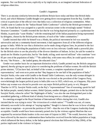segments. Nor can Britain be seen, explicitly or by implication, as an imagined national federation of religious ethnicities.

#### Gandhi's Arguments

There is an uncanny similarity between the problems Britain faces today and those that British India faced, and which Mahatma Gandhi thought were getting direct encouragement from the Raj. Gandhi was critical in particular of the official view that India was a collection of religious communities. When Gandhi came to London for the "Indian Round Table Conference" called by the British government in 1931, he found that he was assigned to a specific sectarian corner in the revealingly named "Federal Structure Committee." Gandhi resented the fact that he was being depicted primarily as a spokesman for Hindus, in particular "caste Hindus," with the remaining half of the Indian population being represented by delegates, chosen by the British prime minister, of each of the "other communities."

Gandhi insisted that while he himself was a Hindu, the political movement he led was staunchly universalist and not a community-based movement; it had supporters from all of the different religious groups in India. While he saw that a distinction can be made along religious lines, he pointed to the fact that other ways of dividing the population of India were no less relevant. Gandhi made a powerful plea for the British rulers to see the *plurality* of the diverse identities of Indians. In fact, he said he wanted to speak not for Hindus in particular, but for "the dumb, toiling, semi-starved millions" who constitute "over 85 per cent of the population of India." <sup>[13](#page-123-5)</sup> He added that, with some extra effort, he could speak even for the rest, "the Princes … the landed gentry, the educated class."

Gender was another basis for an important distinction which, Gandhi pointed out, the British categories ignored, thereby giving no special place to considering the problems of Indian women. He told the British prime minister, "[Y]ou have had, on behalf of the women, a complete repudiation of special representation," and went on to point out that "they happen to be one half of the population of India." Sarojini Naidu, who came with Gandhi to the Round Table Conference, was the only woman delegate in the conference. Gandhi mentioned the fact that she was elected as the president of the Congress Party, overwhelmingly the largest political party in India (this was in 1925, which was, as it happens, fifty years before any woman was elected to preside over any major British political party, to wit, Margaret Thatcher in 1975). Sarojini Naidu could, on the Raj's "representational" line of reasoning, speak for half the Indian people, namely Indian women; Abdul Qaiyum, another delegate, pointed also to the fact that Sarojini Naidu, whom he called "the Nightingale of India," was also the one distinguished poet in the assembled gathering, a different kind of identity from being seen as a Hindu politician.

In a meeting arranged at the Royal Institute of International Affairs during that visit, Gandhi also insisted that he was trying to resist "the vivisection of a whole nation." <sup>[14](#page-123-6)</sup> Gandhi was not, of course, ultimately successful in his attempt at "staying together," though it is known that he was in favor of taking more time to negotiate—to prevent the partition of 1947—than the rest of the Congress leadership found acceptable. Gandhi would have been extremely pained also by the violence against Muslims that was organized by sectarian Hindu leaders in his own state of Gujarat in 2002. <sup>[15](#page-123-7)</sup> He would, however, have been relieved by the massive condemnation these barbarities received from the Indian population at large, which influenced the heavy defeat, in the Indian general elections that followed (in May 2004), of the parties implicated in the violence in Gujarat.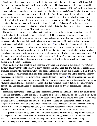Gandhi would have taken some comfort in the fact, not unrelated to his point in the 1931 Round Table Conference in London, that India, with more than 80 percent Hindu population, is led today by a Sikh prime minister (Manmohan Singh) and headed by a Muslim president (Abdul Kalam), with its ruling party (Congress) being presided over by a woman from a Christian background (Sonia Gandhi). Such mixtures of communities can be seen in most walks of Indian life, from literature and cinema to business and sports, and they are not seen as anything particularly special. It is not just that Muslims occupy the position of being, for example, the richest businessman (indeed the wealthiest person) in India (Azim Premji), or having captained the Indian cricket team (Pataudi and Azharuddin), or the first serious international star in women's tennis (Sania Mirza), but also that all of them are seen, in these contexts, as Indians in general, not as Indian Muslims in particular.

During the recent parliamentary debate on the judicial report on the killings of Sikhs that occurred immediately after Indira Gandhi's assassination by her Sikh bodyguard, the Indian prime minister, Manmohan Singh, told the Indian parliament, "I have no hesitation in apologising not only to the Sikh community but to the whole Indian nation because what took place in 1984 is the negation of the concept of nationhood and what is enshrined in our Constitution." <sup>[16](#page-123-8)</sup> Manmohan Singh's multiple identities are very much in prominence here when he apologized, in his role as prime minister of India and a leader of the Congress Party (which was also in office in 1984), to the Sikh community, of which he is a member (with his omnipresent blue turban), and to the whole Indian nation, of which he is, of course, a citizen. All this might be very puzzling if people were to be seen in the "solitarist" perspective of only one identity each, but the multiplicity of identities and roles fits very well with the fundamental point Gandhi was making at the London conference.

Much has been written about the fact that India, with more Muslim people than almost every Muslimmajority country in the world (and with nearly as many Muslims, more than 145 million, as Pakistan), has produced extremely few homegrown terrorists acting in the name of Islam, and almost none linked with Al Qaeda. There are many causal influences here (including, as the columnist and author Thomas Friedman has argued, the influence of the growing and integrated Indian economy). <sup>[17](#page-123-9)</sup> But some credit must also go to the nature of Indian democratic politics, and to the wide acceptance in India of the idea, championed by Mahatma Gandhi, that there are many identities other than religious ethnicity that are also relevant for a person's self-understanding and for the relations between citizens of diverse backgrounds within the country.

I recognize that there is something a little embarrassing for me, as an Indian, to claim that, thanks to the leadership of Mahatma Gandhi and others (including the clearheaded analysis of "the idea of India" by the greatest Indian poet, Rabindranath Tagore, who described his family background as "a confluence of three cultures, Hindu, Mohammedan and British"), India has been able, to a considerable extent, to avoid indigenous terrorism linked to Islam, which currently threatens a number of Western countries, including Britain. But Gandhi was expressing a very general concern, not specific to India, when he asked, "Imagine the whole nation vivisected and torn to pieces; how could it be made into a nation?"

That query was motivated by Gandhi's deep worries about the future of India. The problem, however, is not specific to India and can arise for other nations too, including the country that ruled India until 1947. The disastrous consequences of defining people by their religious ethnicity and giving predetermined priority to the community-based perspective over all other identities, which Gandhi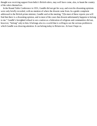thought was receiving support from India's British rulers, may well have come, alas, to haunt the country of the rulers themselves.

In the Round Table Conference in 1931, Gandhi did not get his way, and even his dissenting opinions were only briefly recorded, with no mention of where the dissent came from. In a gentle complaint addressed to the British prime minister, Gandhi said at the meeting, "[I]n most of these reports you will find that there is a dissenting opinion, and in most of the cases that dissent unfortunately happens to belong to me." Gandhi's farsighted refusal to see a nation as a federation of religions and communities did not, however, "belong" only to him. It belongs also to a world that is willing to see the serious problem to which Gandhi was drawing attention. It can belong today to Britain too. At least I hope so.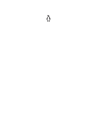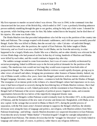## CHAPTER 9

# Freedom to Think

My first exposure to murder occurred when I was eleven. This was in 1944, in the communal riots that characterized the last years of the British Raj, which ended in 1947. I saw a profusely bleeding unknown person suddenly stumbling through the gate to our garden, asking for help and a little water. I shouted for my parents, while fetching some water for him. My father rushed him to the hospital, but he died there of his injuries. His name was Kader Mia.

The Hindu-Muslim riots that preceded independence also led the way to the partition of the country into India and Pakistan. The carnage erupted with dramatic suddenness, and it did not spare normally peaceful Bengal. Kader Mia was killed in Dhaka, then the second city—after Calcutta—of undivided Bengal, which would become, after the partition, the capital of East Pakistan. My father taught at Dhaka University, and we lived in an area called Wari in old Dhaka, not far from the university, in what happened to be a largely Hindu area. Kader Mia was a Muslim, and no other identity was relevant for the vicious Hindu thugs who had pounced on him. In that day of rioting, hundreds of Muslims and Hindus were killed by each other, and this would continue to happen day after day.

The sudden carnage seemed to come from nowhere, but it was of course carefully orchestrated by sectarian prompting, linked in different ways to the fervent political demands for the partition of the country. The murderous riots would not last long; they would soon evaporate from both sides of postpartition Bengal. The vehemence of Hindu-Muslim violence would rapidly dissipate, giving way to other views of oneself and others, bringing into prominence other features of human identity. Indeed, my city of Dhaka would, within a few years, burst into Bengali patriotism, with an intense celebration of Bengali language, literature, music, and culture—common to both the Muslims and the Hindus of Bengal. The resurgence of an intense pride in the richness of a shared Bengali culture had importance on its own, since it had been eclipsed so severely during the bewildering fury of Hindu-Muslim violence. But it had strong political correlates as well, linked particularly with the resentment in East Pakistan (that is, the Bengali half of Pakistan) of the severe inequality of political power, linguistic status, and economic opportunities between the two halves of the imperfectly integrated Islamic state.

The alienation of Bengalis within Pakistan would eventually lead, by December 1971, to the partition of Pakistan, and the formation of the new state of secular and democratic Bangladesh, with Dhaka as its new capital. In the carnage that occurred in Dhaka in March 1971, during the painful process of separation, with the Pak istani army's frenzied attempt to suppress the Bengali rebellion, the identity divisions were along the lines of language and politics, not religion, with Muslim soldiers from West Pakistan brutalizing—and killing—mainly Muslim dissenters (or suspected dissenters) in East Pakistan. From then the newly formed "Mukti Bahini" ("freedom brigade") fought for outright independence of Bangladesh from Pakistan. The identity division that fed the "struggle for liberation" was firmly linked to language and culture (and, of course, to politics), rather than to any religious difference.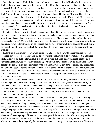Over sixty years after Kader Mia's death, as I try to recollect the deadly Hindu-Muslim riots in the 1940s, it is hard to convince myself that those terrible things did actually happen. But even though the communal riots in Bengal were entirely transitory and ephemeral (and the few cases in which riots have been fostered later on in other parts of India do not compare in size and reach with the events of the 1940s), they left in their wake thousands upon thousands of dead Hindus and Muslims. The political instigators who urged the killing (on behalf of what they respectively called "our people") managed to persuade many otherwise peaceable people of both communities to turn into dedicated thugs. They were made to think of themselves only as Hindus or only as Muslims (who must unleash vengeance on "the other community") and as absolutely nothing else: not Indians, not subcontinentals, not Asians, not members of a shared human race.

Even though the vast majority of both communities did not think in those narrowly frenzied terms, too many were suddenly trapped into that vicious mode of thinking, and the more savage among them—often at the troubled ends of each community—were induced to kill "the enemies who kill us" (as they were respectively defined). Many-sided persons were seen, through the hazy lenses of sectarian singularity, as having exactly one identity each, linked with religion or, more exactly, religious ethnicity (since being a nonpractitioner of one's inherited religion would not give a person any immunity whatever from being attacked).

Kader Mia, a Muslim day laborer, was knifed when he was on his way to a neighboring house, for work at a tiny wage. He was knifed on the street by some people who did not even know him and most likely had never set eyes on him before. For an eleven-year-old child, the event, aside from being a veritable nightmare, was profoundly perplexing. Why should someone suddenly be killed? And why by people who did not even know the victim, who could not have done any harm to the killers? That Kader Mia would be seen as having only one identity—that of being a member of the "enemy" community who "should" be assaulted and if possible killed—seemed altogether incredible. For a bewildered child, the violence of identity was extraordinarily hard to grasp. It is not particularly easy even for a still bewildered elderly adult.

While he was being rushed to the hospital in our car, Kader Mia told my father that his wife had asked him not to go into a hostile area during the communal riot. But he had to go out in search of work, for a little income, because his family had nothing to eat. The penalty of that necessity, caused by economic deprivation, turned out to be death. The terrible connection between economic poverty and comprehensive unfreedom (even the lack of freedom to live) was a profoundly shocking realization that hit my young mind with overpowering force.

Kader Mia died as a victimized Muslim, but he also died as a poor, unemployed laborer looking desperately for a bit of work and a small amount of money for his family to survive in very difficult times. The poorest members of any community are the easiest to kill in these riots, since they have to go out utterly unprotected in search of daily subsistence and their rickety shelters can easily be penetrated and ravaged by gangs. In the Hindu-Muslim riots, Hindu thugs killed poor Muslim underdogs with ease, while Muslim thugs assassinated impoverished Hindu victims with abandon. Even though the community identities of the two groups of brutalized prey were quite different, their class identities (as poor laborers with little economic means) were much the same. But no identity other than religious ethnicity was allowed to count in those days of polarized vision focused on a singular categorization. The illusion of a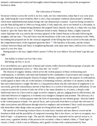uniquely confrontational reality had thoroughly reduced human beings and eclipsed the protagonists' freedom to think.

#### <span id="page-108-0"></span>The Cultivation of Violence

Sectarian violence across the world is no less crude, nor less reductionist, today than it was sixty years ago. Underlying the coarse brutality, there is also a big conceptual confusion about people's identities, which turns multidimensional human beings into one-dimensional creatures. A person being recruited to join the Hutu killing mob in 1994 was being asked, if only implicitly, not to see himself as a Rwandan, or as an African, or as a human being (identities the targeted Tutsis shared), but only as a Hutu who was duty bound to "give the Tutsis their due." A Pakistani friend of mine, Shaharyar Khan, a highly respected senior diplomat who was sent by the secretary-general of the United Nations to Rwanda following the slaughter, told me later, "You and I have seen the beastliness of the riots in the subcontinent in the 1940s, but nothing had prepared me for the colossal magnitude of the killing that had occurred in Rwanda and for the comprehensiveness of the organized genocide there." <sup>[1](#page-123-0)</sup> The butchery in Rwanda, and the related violence between Hutus and Tutsis in neighboring Burundi, took many more than a million lives within a span of a very few days.

Hating people is not easy. Ogden Nash's poem ("A Plea for Less Malice Toward None") got this just right:

Any kiddie in school can love like a fool,

But hating, my boy, is an art.

If we nevertheless see a great deal of hatred and violent conflict between different groups of people, the question that immediately arises is: "How does this 'art' work?"

The illusion of singular identity, which serves the violent purpose of those orchestrating such confrontations, is skillfully cultivated and fomented by the commanders of persecution and carnage. It is not remarkable that generating the illusion of unique identity, exploitable for the purpose of confrontation, would appeal to those who are in the business of fomenting violence, and there is no mystery in the fact that such reductionism is sought. But there is a big question about why the cultivation of singularity is so successful, given the extraordinary naïveté of that thesis in a world of obviously plural affiliations. To see a person exclusively in terms of only one of his or her many identities is, of course, a deeply crude intellectual move (as I have tried to argue in earlier chapters), and yet, judging from its effectiveness, the cultivated delusion of singularity is evidently easy enough to champion and promote. The advocacy of a unique identity for a violent purpose takes the form of separating out one identity group—directly linked to the violent purpose at hand—for special focus, and it proceeds from there to eclipse the relevance of other associations and affiliations through selective emphasis and incitement ("How could you possibly talk about these other things when our people are being killed and our women raped?").

The martial art of fostering violence draws on some basic instincts and uses them to crowd out the freedom to think and the possibility of composed reasoning. But it also draws, we have to recognize, on a kind of logic—a *fragmentary* logic. The specific identity that is separated out for special action is, in most cases, a genuine identity of the person to be recruited: a Hutu *is* indeed a Hutu, a "Tamil tiger" is clearly a Tamil, a Serb is not an Albanian, and a gentile German with a mind poisened by Nazi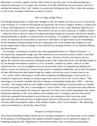philosophy is certainly a gentile German. What is done to turn that sense of self-understanding into a murderous instrument is (1) to ignore the relevance of all other affiliations and associations, and (2) to redefine the demands of the "sole" identity in a particularly belligerent form. This is where the nastiness as well as the conceptual confusions are made to creep in.

#### The Low Edge of High Theory

Even though asking people to confine their thoughts to only one identity each may seem to be a peculiarly crude invitation, it is worth recollecting that forcing people into boxes of singular identity is a feature also of many of the high theories of cultures and civilizations that are, in fact, quite influential right now (as I have also discussed in earlier chapters). These theories do not, of course, advocate or condone violence —indeed far from it. However, they try to understand human beings not as persons with diverse identities but predominantly as members of one particular social group—or community. Group memberships can, of course, be important (no serious theory of persons or individuals can ignore those social relationships), but the diminution of human beings involved in taking note only of one membership category for each person (neglecting all others) expunges at one stroke the far-reaching relevance of our manifold affinities and involvements.

For example, civilizational classifiers have often pigeonholed India as a "Hindu civilization"—a description that, among other things, pays little attention (as was discussed earlier) to India's more than 145 million Muslims (not to mention Indian Sikhs, Jains, Christians, Parsees, and others), and also ignores the extensive interconnections among the people of the country that do not work through religion at all, but through involvements in political, social, economic, commercial, artistic, musical, or other cultural activities. In a less straightforward way, the powerful school of communitarian thinking also hallows exactly *one identity per human being,* based on community membership, and in effect downplays all other affiliations that make human beings the complex and intricate social creatures that we are.

It is, in this context, interesting to recollect that communitarian thinking began, at least partly, as a constructive approach to identity, by trying to appreciate a person in his or her "social context." <sup>[2](#page-123-1)</sup> But what began as an entirely estimable theoretical attempt at seeing human beings more "fully"—and more "socially"—has largely ended up with a highly restricted understanding of a person mainly as a member of exactly one group. That, alas, is not enough of a "social context," since each person has many different associations and attachments, the respective importance of which varies widely depending on the context. Despite the immensity of the vision implicit in the laudable task of "situating a person in the society" (which has repeatedly been invoked in social theories), the translation of that vision into actual application has often taken the form of neglecting the relevance of the person's plural social relations, seriously underestimating the richness of the multiple features of her "social situation." The underlying vision sees humanity in a drastically reduced form.

#### <span id="page-109-0"></span>Penalties of Solitarist Illusion

The solitarist belittling of human identity has far-reaching consequences. An illusion that can be invoked for the purpose of dividing people into uniquely hardened categories can be exploited in support of fomenting intergroup strife. High theories with solitarist features like civilizational partitioning or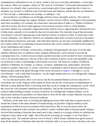communitarian confinement are not, of course, aimed in any way at sowing confrontation—in fact quite the contrary. When, for example, a theory of "the clash of civilizations" is presented and promoted, the objective is to identify what is perceived as a preexisting reality (I have argued that this is done in a mistaken way, but that is a different issue from motivation and impetus), and the theorists see themselves as "discovering" a confrontation, not creating—or adding to—one.

And yet theories can influence social thought, political action, and public policies. The artificial diminution of human beings into singular identities can have divisive effects, making the world potentially much more incendiary. For example, the reductionist characterization of India as a "Hindu civilization," referred to earlier, has drawn much applause from sectarian activists of the so-called Hindutva movement. Indeed, any conceptual categorization that could be seen as supporting their miniaturized view of India tends, naturally, to be invoked by that activist movement. The extremist wing of that movement even played a critically important part in the fostered violence in Gujarat in 2002, in which most of the victims, ultimately, were Muslims. Theories are sometimes taken more seriously in practical encounters than the theorists themselves anticipate. And when these theories are not only conceptually muddled but also readily usable for accentuating sectarian exclusion, they can be warmly welcomed by the leaders of social confrontation and violence.

Similarly, theories of Islamic exclusiveness, combined with ignoring the relevance of all the other identities Muslims have (in addition to their religious affiliations), can be utilized to provide the conceptual basis for a violent version of jihad (a pliable term that can be invoked for fierce incitement as well as for peaceful endeavor). The use of this route to fostered violence can be seen plentifully in the recent history of what is misleadingly called Islamic terrorism. The historical richness of different identities of Muslims, for example, as scholars, scientists, mathematicians, philosophers, historians, architects, painters, musicians, or writers, which have contributed so much to the past achievements of Muslim people (and to the global heritage of the world, discussed in [chapters](#page-34-0) 3 through [6](#page-67-0) ), can be overwhelmed—with a little help from theory—by the single-minded advocacy of a belligerently religious identity, with devastating effects.

As was discussed earlier, there is no reason why the discontented Muslim activists today have to concentrate only on the religious achievements of Islam, and not also on the great accomplishments of Muslims in many different fields, in deciding what they can do to change the contemporary world, which they associate with systematic humiliation and inequality. And yet the reductionism provided by a solitarist understanding of people, in terms exclusively of a belligerently religious identity, can be disastrously deployed by promoters of violent jihad to close all the other avenues Muslims can easily take, in line with their extensive historical traditions.

Similarly, on the other side, in resisting and fighting terrorism of this kind, there is good reason to invoke the richness of the many identities of human beings, not just their religious identity (on the exploitation of which terrorist recruitment of this kind relies). But, as was discussed earlier, the intellectual component of the resistance has tended to remain confined either to denouncing the religions involved (the bashing of Islam has been much used in this context) or to trying to define (or redefine) the religions to place them on the "right" side of the divide (invoking, for example, to use Tony Blair's appealing words, "the moderate and true voice of Islam"). While Islamic militants have good reason to deny all the identities of Muslims other than that of Islamic faith, it is not at all clear why those who want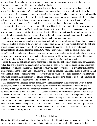to resist that militancy also have to rely so much on the interpretation and exegesis of Islam, rather than drawing on the many other identities that Muslims also have.

Sometimes the singularity is even narrower than what the general category of being Islamic would allow. The distinction between Shias and Sunnis, for example, has been powerfully utilized for the purpose of sectarian violence between these two Muslim groups. From Pakistan to Iraq, that conflict adds another dimension to the violence of identity, defined in even more constricted terms. Indeed, as I finish writing this book, it is still unclear how much support the new Iraqi constitution will get from Sunni leaders, along with leaders of Shias and Kurds, and what could possibly happen in the future.

The integrity of Iraq is, of course, hampered by many historical factors, including the arbitrariness of its boundaries determined by Western colonialists and the inescapable divisiveness caused by an arbitrary and ill-informed military intervention. But, in addition, the sect-based political approach of the occupation leaders (not altogether different from the British official approach to colonial India about which Gandhi complained so much) has added much fuel to a preexisting fire.

The view of Iraq as a sum total of communities, with individuals being seen simply as Shia or Sunni or Kurd, has tended to dominate the Western reporting of Iraqi news, but it also reflects the way the politics of post-Saddam Iraq has developed. Sa' Doon al-Zubaydi (a member of the Iraqi constitutional committee) may tell James Naughtie of the BBC, "May I ask you to describe me as an Iraqi, not as a Sunni?"<sup>[3](#page-123-2)</sup> But the combination of sectarian politics in Iraq and a muddled militarist undertaking of what is going on there makes it difficult to expect that the communal problems that Iraq and Baghdad face today can give way to anything broader and more national in that thoroughly troubled country.

<span id="page-111-0"></span>Since the U.S.-led political initiative has tended to see Iraq as a collectivity of religious communities, rather than one of citizens, the negotiations have almost all been focused on the decisions and utterances of leaders of religious communities. This was certainly the easy way to proceed, given the tensions that already existed in the country and of course the new ones the occupation itself had created. But the easiest route in the short run is not always the best way to build the future of a country, especially when there is something extraordinarily important at stake, in particular the need for a nation to be a conglomeration of citizens, rather than a collectivity of religious ethnicities.

The problem was discussed earlier, particularly in the last chapter, in the context of a very different country, viz. Britain, which has an altogether dissimilar history and background. And yet the basic difficulty in seeing a country as a federation of communities, to which individuals belong *before* they belong to the nation, is present in both cases. Gandhi referred to the fostering and prioritization of such community-based unique identification as the "vivisection" of a nation, and there are good reasons for political concern about such sectionalization. It is also critically important to take note of the plurality of Iraqi identities, includ ing gender and class as well as religion. One recollects Gandhi's reminder to the British prime minister, running the Raj in 1931, that women "happen to be one half of the population of India"—a line of thinking of some relevance to contemporary Iraq as well. The need to take note of these broader concerns in Iraq remains as strong today as they ever were.

#### The Role of Global Voices

The solitarist illusion has implications also for the way global identities are seen and invoked. If a person can have only one identity, then the choice between the national and the global becomes an "all or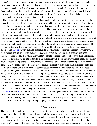nothing" contest. And so does the contest between any global sense of belonging we may have and the local loyalties that may also move us. But to see the problem in these stark and exclusive terms reflects a profound misunderstanding of the nature of human identity, in particular its inescapable plurality. Recognizing the need to consider the claims of a global identity does not eliminate the possibility of paying much attention also to local and national problems. The role of reasoning and choice in the determination of priorities need not take that either-or form.

I have tried to identify earlier a number of economic, social, and political problems that have global dimensions, and the policy issues that relate to them, which have to be urgently addressed. There is, in particular, a strong case for institutional reforms that would facilitate the kind of change that would be needed to make globalization a fairer arrangement. The adversities faced by the vulnerable and the insecure have to be addressed on different fronts. The range of necessary actions varies from national policies (for example, the urgency of expanding the reach of education and public health care) to international initiatives and institutional reforms (related, for example, to global arrangements for curbing the arms trade, expanding the access of poorer countries to the markets of the richer economies, making patent laws and incentive systems more friendly to the development and usability of medicine needed by the poor of the world, and so on). These changes would be of importance on their own, but, as was discussed in [chapter](#page-77-0) 7 , they can also contribute to greater human security and restrain easy recruitment for terrorism and training. They can contribute, furthermore, to changing the climate of tolerance of violence, which is itself a factor in allowing terrorism to be nurtured in societies with deep grievances.

There is also an issue of intellectual fairness in dealing with global history, which is important both for a fuller understanding of the past of humanity (no mean task, that) and for overcoming the false sense of comprehensive superiority of the West that contributes to identity confrontation in an entirely gratuitous way. For example, while there has been some discussion recently—and rightly so—about the need for people of immigrant backgrounds in Europe or America to learn more about Western civilization, there is still extraordinarily little recognition of the importance that should be attached to the need for the "old Brits," "old Germans," "old Americans," and others to learn about the intellectual history of the world.

Not only were there remarkable achievements in different fields, from science, mathematics, and engineering to philosophy and literature, in the history of different parts of the world, but the foundations of many of the features of what are now called "Western civilization" and "Western science" were deeply influenced by contributions coming from different countries across the globe (as was discussed in [chapters](#page-34-0) 3 through [7](#page-77-0) ). Cultural or civilizational theories that ignore the role of "other" societies not only restrict the intellectual horizons of "old Europeans" or "old Americans," leaving their education peculiarly fragmentary, but also give the anti-Western movements a spurious sense of separation and conflict that helps to divide people along a largely artificial line of "West–anti-West" confrontation.

#### A Possible World

The point is often made, with evident justice, that it is impossible to have, in the foreseeable future, a democratic global state. This is indeed so, and yet if democracy is seen (as I have argued earlier that it should be) in terms of public reasoning, particularly the need for worldwide discussion on global problems, we need not put the possibility of global democracy in indefinite cold storage. It is not an "all or nothing" choice, and there is a strong case for advancing widespread public discussion, even when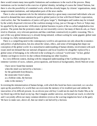there would remain many inescapable limitations and weaknesses in the reach of the process. Many institutions can be invoked in this exercise of global identity, including of course the United Nations, but there is also the possibility of committed work, which has already begun, by citizens' organizations, many nongovernment institutions, and independent parts of the news media.

There is also an important role for the initiatives taken by a great many concerned individuals who are moved to demand that more attention be paid to global justice (in line with David Hume's expectation, cited earlier, that "the boundaries of justice still grow larger"). Washington and London may be irritated by the widely dispersed criticism of the coalition strategy in Iraq, just as Chicago or Paris or Tokyo may be appalled by the spectacular vilification of global business in parts of the so-called antiglobaliza tion protests. The points that the protesters make are not invariably correct, but many of them do ask, as I have tried to illustrate, very relevant questions and thus contribute constructively to public reasoning. This is part of the way global democracy is already being initiated, without waiting for some gigantic global state to emerge in a fully institutionalized form.

There is a compelling need in the contemporary world to ask questions not only about the economics and politics of globalization, but also about the values, ethics, and sense of belonging that shape our conception of the global world. In a nonsolitarist understanding of human identity, involvement with such issues need not demand that our national allegiances and local loyalties be altogether *replaced* by a global sense of belonging, to be reflected in the working of a colossal "world state." In fact, global identity can begin to receive its due without eliminating our other loyalties.

In a very different context, dealing with his integrated understanding of the Caribbean (despite its immense varieties of races, cultures, preoccupations, and historical backgrounds), Derek Walcott wrote:

I have never found that moment when the mind was halved by a horizon for the goldsmith from Benares, the stonecutter from Canton, as a fishline sinks, the horizon sinks in the memory. [4](#page-123-3)

<span id="page-113-0"></span>In resisting the miniaturization of human beings, with which this book has been concerned, we can also open up the possibility of a world that can overcome the memory of its troubled past and subdue the insecurities of its difficult present. As an eleven-year-old boy I could not do much for Kader Mia as he lay bleed ing with his head on my lap. But I imagine another universe, not beyond our reach, in which he and I can jointly affirm our many common identities (even as the warring singularists howl at the gate). We have to make sure, above all, that our mind is not halved by a horizon.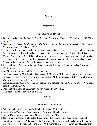# **Notes**

## *CHAPTER 1.*

#### THE VIOLENCE OF ILLUSION

- [1.](#page-14-0) Langston Hughes, *The Big Sea: An Autobiography* (New York: Thunder's Mouth Press, 1940, 1986), pp. 3–10.
- [2.](#page-14-1) See Robert D. Putnam, *Bowling Alone: The Collapse and the Revival of the American Community* (New York: Simon & Schuster, 2000).
- [3.](#page-14-2) There is considerable empirical evidence that ethnocentrism need not necessarily go with xenophobia (see, for example, Elizabeth Cashdan, "Ethnocentrism and Xenophobia: A Cross-cultural Study," *Current Anthropology* 42 (2001). And yet in many prominent cases ethnic, religious, racial, or other selective loyalties have been used in an exaggerated form to lead to violence against other groups. Vulnerability to "solitarist" instigation is the central issue here.
- 4. Jean-Paul Sartre, *Portrait of the Anti-Semite,* trans. Erik de Mauny (London: Secker & Warburg, 1968), p. 57.
- [5.](#page-17-0) *The Merchant of Venice,* act III, scene i, line 63.
- [6.](#page-18-0) See Alan Ryan, *J. S. Mill* (London: Routledge, 1974), p. 125. Mill noted that his views of woman suffrage were seen as "whims of my own" (John Stuart Mill, *Autobiography* [1874; reprint, Oxford: Oxford University Press, 1971], p. 169).
- [7.](#page-18-1) Samuel P. Huntington, *The Clash of Civilizations and the Remaking of the World Order* (New York: Simon & Schuster, 1996).
- [8.](#page-20-0) Quoted in the *International Herald Tribune,* August 27, 2004, p. 6.
- [9.](#page-20-1) This issue is discussed in chapters 4 and 8.

#### *CHAPTER 2.*

#### MAKING SENSE OF IDENTITY

- [1.](#page-23-0) V. S. Naipaul, *A Turn in the South* (London: Penguin, 1989), p. 33.
- [2.](#page-24-0) See also Leon Wieseltier, *Against Identity* (New York: Drenttel, 1996).
- [3.](#page-24-1) See my *On Ethics and Economics* (Oxford: Blackwell, 1987).
- [4.](#page-25-0) I have tried to discuss the intellectual limitations of this peculiarly imagined figure in parts of mainstream economics in "Rational Fools: A Critique of the Behavioral Foundations of Economic Theory," *Philosophy and Public Affairs* 6 (1977), reprinted in *Choice, Welfare and Measurement*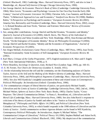(Oxford: Blackwell, 1982; Cambridge, Mass.: Harvard University Press, 1997), and also in Jane J. Mansbridge, ed., *Beyond Self-Interest* (Chicago: Chicago University Press, 1990).

- [5.](#page-25-1) See George Akerlof, *An Economic Theorist's Book of Tales* (Cambridge: Cambridge University Press, 1984); Shira Lewin, "Economics and Psychology: Lessons for Our Own Day from the Early 20th Century," *Journal of Economic Literature* 34 (1996); Christine Jolls, Cass Sunstein, and Richard Thaler, "A Behavioral Approach to Law and Economics," *Stanford Law Review* 50 (1998); Matthew Rabin, "A Perspective on Psychology and Economics," *European Economic Review* 46 (2002); Amartya Sen, *Rationality and Freedom* (Cambridge, Mass.: Harvard University Press, 2002), essays 1–5; Roland Benabou and Jean Tirole, "Intrinsic and Extrinsic Motivation," *Review of Economic Studies* 70 (2003).
- [6.](#page-25-2) See, among other contributions, George Akerlof and Rachel Kranton, "Economics and Identity," *Quarterly Journal of Economics* 63 (2000); John B. Davis, *The Theory of the Individual in Economics: Identity and Value* (London and New York: Routledge, 2003); Alan Kirman and Miriam Teschl, "On the Emergence of Economic Identity," *Revue de Philosophie Économique* 9 (2004); George Akerlof and Rachel Kranton, "Identity and the Economics of Organizations," *Journal of Economic Perspectives* 19 (2005).
- [7.](#page-25-3) See Jörgen Weibull, *Evolutionary Game Theory* (Cambridge, Mass.: MIT Press, 1995); Jean Tirole, "Rational Irrationality: Some Economics of Self-management," *European Economic Review* 46 (2002).
- [8.](#page-26-0) Karl Marx, *Critique of the Gotha Programme* , 1875; English translation in K. Marx and F. Engels (New York: International Publishers, 1938), p. 9.
- [9.](#page-27-0) Pierre Bourdieu, *Sociology in Question,* trans. Richard Nice (London: Sage, 1993), pp. 160–61.
- [10.](#page-28-0) E. M. Forster, *Two Cheers for Democracy* (London: E. Arnold, 1951).
- [11.](#page-30-0) On the relationship between the self and the community, see the illuminating analyses of Charles Taylor, *Sources of the Self and the Making of the Modern Identity* (Cambridge, Mass.: Harvard University Press, 1984), and *Philosophical Arguments* (Cambridge, Mass.: Harvard University Press, 1995). See also Will Kymlicka's insightful assessment of these and related issues in *Contemporary Political Philosophy: An Introduction* (Oxford: Clarendon Press, 1990).
- [12.](#page-30-1) For communitarian critiques of liberal theories of justice, see particularly Michael Sandel, *Liberalism and the Limits of Justice* (Cambridge: Cambridge University Press, 1982; 2nd ed., 1998); Michael Walzer, *Spheres of Justice* (New York: Basic Books, 1983); Charles Taylor, "Cross-Purposes: The Liberal-Communitarian Debate," in Nancy L. Rosenblum, ed., *Liberalism and the Moral Life* (Cambridge, Mass.: Harvard University Press, 1989). See also John Rawls's response to criticisms of his theory of justice by Sandel and others in his "Justice as Fairness: Political Not Metaphysical," *Philosophy and Public Affairs* 14 (1985), and *Political Liberalism* (New York: Columbia University Press, 1993), to which Sandel responds in the 1998 edition of *Liberalism and the Limits of Justice* . Useful commentaries on these vigorous debates can be found in Will Kymlicka, *Contemporary Political Philosophy: An Introduction,* chapter 6; Michael Walzer, "The Communitarian Critique of Liberalism," *Political Theory* 18 (1990); Stephen Mulhall and Adam Swift, *Liberals and Communitarians* (Oxford: Blackwell, 1992, 1996). My skepticism of the communitarian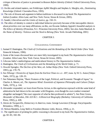critique of theories of justice is presented in *Reason Before Identity* (Oxford: Oxford University Press, 1999).

- [13.](#page-30-2) On this and related matters, see Frédérique Apffel Marglin and Stephen A. Marglin, eds., *Dominating Knowledge* (Oxford: Clarendon Press, 1993).
- [14.](#page-31-0) The role of dissent and argument in Indian traditions is discussed in my book *The Argumentative Indian* (London: Allen Lane; and New York: Farrar, Straus & Giroux, 2005).
- [15.](#page-31-1) Sandel, *Liberalism and the Limits of Justice,* pp. 150–51.
- [16.](#page-32-0) The ethics of identity is central to individual behavior precisely because of the inescapable choices about priorities over our many affiliations; on this, see Kwame Anthony Appiah's beautiful analysis in *The Ethics of Identity* (Princeton, N.J.: Princeton University Press, 2005). See also Amin Maalouf, *In the Name of Identity: Violence and the Need to Belong* (New York: Arcade Publishing, 2001)

## *CHAPTER 3.*

## CIVILIZATIONAL CONFINEMENT

- [1.](#page-35-0) Samuel P. Huntington, *The Clash of Civilizations and the Remaking of the World Order* (New York: Simon & Schuster, 1996).
- [2.](#page-38-0) Some of the issues discussed here are more fully investigated in my book *The Argumentative Indian* (London: Allen Lane; New York: Farrar, Straus & Giroux, 2005).
- [3.](#page-38-1) I discuss India's multireligious and multicultural history in *The Argumentative Indian* .
- [4.](#page-39-0) Huntington, *The Clash of Civilizations and the Remaking of the World Order,* p. 71.
- [5.](#page-39-1) Oswald Spengler, *The Decline of the West,* ed. Arthur Helps (New York: Oxford University Press, 1991), pp. 178–79.
- [6.](#page-41-0) See *Nihongi: Chronicles of Japan from the Earliest Times to* A.D . *697,* trans. by W. G. Aston (Tokyo: Tuttle, 1972), pp. 128–33.
- [7.](#page-41-1) See Nakamura Hajime, "Basic Features of the Legal, Political, and Economic Thought of Japan," in Charles A. Moore, ed., *The Japanese Mind: Essentials of Japanese Philosophy and Culture* (Tokyo: Tuttle, 1973), p. 144.
- [8.](#page-41-2) Alexander responded, we learn from Flavius Arrian, to this egalitarian reproach with the same kind of admiration he had shown in his encounter with Diogenes, even though his own conduct remained altogether unchanged ("the exact opposite of what he then professed to admire"). See Peter Green, *Alexander of Macedon, 356–323 B.C.: A Historical Biography* (Berkeley: University of California Press, 1992), p. 428.
- [9.](#page-42-0) Alexis de Tocqueville, *Democracy in America,* trans. George Lawrence (Chicago: Encyclopaedia Britannica, 1990), p. 1.
- [10.](#page-42-1) Nelson Mandela, *Long Walk to Freedom* (Boston: Little, Brown, 1994), p. 21.
- [11.](#page-43-0) The significance of printing for public reasoning is discussed in my book *The Argumentative Indian,* pp. 82–83, 182–84.

## *CHAPTER 4.*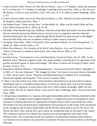- [1.](#page-46-0) *Corpus of Early Arabic Sources for West African History* , trans. J. F. P. Hopkins, edited and annotated by N. Levtzion and J. F. P. Hopkins (Cambridge: Cambridge University Press, 1981), p. 285. See also *Ibn Battuta: Travels in Asia and Africa 1325–1354,* trans. H. A. R. Gibbs (London: Routledge, 1929), p. 321.
- [2.](#page-47-0) *Corpus of Early Arabic Sources for West African History,* p. 286; "Shariah" has been substituted here for Hopkins's abbreviated form "Shar'."
- [3.](#page-47-1) See Pushpa Prasad, "Akbar and the Jains," in Irfan Habib, ed., *Akbar and His India* (Delhi and New York: Oxford University Press, 1997), pp. 97–98.
- [4.](#page-47-2) The father of the Maratha king, Raja Sambhaji, whom the young Akbar had joined, was none other than Shivaji, whom the present-day Hindu political activists treat as a superhero, and after whom the intolerant Hindu party Shiv Sena is named (though Shivaji himself was quite tolerant, as the Mughal historian Khafi Khan, who was no admirer of Shivaji in other respects, reported).
- [5.](#page-47-3) See Iqtidar Alam Khan, "Akbar's Personality Traits and World Outlook: A Critical Reappraisal," in Habib, ed., *Akbar and His India,* p. 78.
- [6.](#page-48-0) María Rosa Menocal, *The Ornament of the World: How Muslims, Jews, and Christians Created a Culture of Tolerance in Medieval Spain* (New York: Little, Brown, 2002), p. 86.
- [7.](#page-48-1) Ibid., p. 85.
- [8.](#page-49-0) See Harry Eyres, "Civilization Is a Tree with Many Roots," *Financial Times,* July 23, 2005. As Jan Reed has noted, "Moorish irrigation works, later much extended, remain the basis for agriculture in the parched and dried regions of Spain and Portugal" (*The Moors in Spain and Portugal* [London: Faber & Faber, 1974], p. 235).
- [9.](#page-51-0) Reported by Michael Vatikiotis, "Islamizing Indonesia," *International Herald Tribune,* September 3– 4, 2005, p. 5. See also Vatikiotis's "The Struggle for Islam," *Far Eastern Economic Review,* December 11, 2003, and M. Syafi'i Anwar, "Pluralism and Multiculturalism in Southeast Asia: Formulating Educational Agendas and Programs," *ICIP Journal* 2 (January 2005).
- [10.](#page-51-1) There is also the related issue of how Islam should be interpreted in social and political contexts, including the need for a breadth of interpretation, on which see Ayesha Jalal, *Self and Sovereignty: Individual and Community in South Asian Islam Since 1850* (London: Routledge, 2000). See also Gilles Kepel, *The War for Muslim Minds: Islam and the West* (Cambridge, Mass.: Harvard University Press, 2004).
- [11.](#page-51-2) The growing consolidation of a vigorous and largely independent media in Pakistan, dependent on the commitments of courageous and farsighted journalists, is a significant positive development for peace and justice in Pakistan that deserves much greater recognition than it tends to get outside the country. The tradition of reach and fearlessness established by such periodicals as the *Friday Times* (pioneered by the courageous and visionary Najam Sethi) and the *Herald,* and by dailies such as *The Dawn, The Nation,* the *Daily Times,* and the *News,* give reason for considerable hope for the future of the country. This would have pleased Faiz Ahmed Faiz, the great poet and distinguished early editor of the *Pakistan Times,* who worked hard for the development of an independent Pakistani media before it was blasted to bits by military rule and political extremism. He had to face incarceration, as did Najam Sethi later.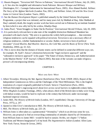- [12.](#page-51-3) Husain Haqqani, "Terrorism Still Thrives in Pakistan," *International Herald Tribune,* July 20, 2005, p. 8. See also his insightful and informative book *Pakistan: Between Mosque and Military* (Washington, D.C.: Carnegie Endowment for International Peace, 2005). Also Ahmed Rashid, *Taliban: The Story of the Afghan Warlords* (London: Pan, 2001), and *Taliban: Islam, Oil and the New Great Game in Central Asia* (London: Tauris, 2002).
- [13.](#page-52-0) See the *Human Development Report* s published annually by the United Nations Development Programme, a project that was initiated, and for many years led, by Mahbub ul Haq. After Mahbub ul Haq's untimely death, this largely secular work has been carried out in Pakistan by an institute founded by him (which is now ably led by his widow, Khadija Haq).
- [14.](#page-55-0) Judea Pearl, "Islam Struggles to Stake Out Its Position," *International Herald Tribune,* July 20, 2005.
- [15.](#page-56-0) It is particularly relevant here to take note of the insightful distinction Mahmood Mamdani has presented with much clarity: "My aim is to question the widely held presumption … that extremist religious tendencies can be equated with political terrorism. Terrorism is not a necessary effect of religious tendencies, whether fundamentalist or secular. Rather, terrorism is born of political encounter" (*Good Muslim, Bad Muslim: America, the Cold War, and the Roots of Terror* [New York: Doubleday, 2004], pp. 61–62).
- [16.](#page-56-1) This is not to deny that the domain of Islamic tenets can be defined in somewhat different ways; see, for example, M. Syafi'i Anwar's distinction between the "legal-exclusive approach" and the "substantive-inclusive approach" in his paper "The Future of Islam, Democracy, and Authoritarianism in the Muslim World," *ICIP Journal* 2 (March 2005). But none of the variants can make religion a person's all-encompassing identity.

## *CHAPTER 5.*

## WEST AND ANTI -WEST

- [1.](#page-59-0) Albert Tevoedjre, *Winning the War Against Humiliation* (New York: UNDP, 2002), Report of the Independent Commission on Africa and the Challenges of the Third Millennium. This is the English translation of a report originally published in French: *Vaincre l'humiliation* (Paris, 2002).
- [2.](#page-59-1) William Dalrymple's engrossing novel about love across racial barriers in eighteenth-century India, *White Mughals* (London: Flamingo, 2002), when about a third of the British men in India were living with Indian women, would be hard to replicate in the century that followed, under increasingly hardened imperial relations.
- [3.](#page-59-2) James Mill, *The History of British India* (London, 1817; republished, Chicago: University of Chicago Press, 1975), p. 247.
- [4.](#page-59-3) Quoted in John Clive's introduction to Mill, *The History of British India,* p. viii.
- [5.](#page-59-4) Mill, *The History of British India,* pp. 225–26.
- [6.](#page-59-5) William Jones is often taken as a quintessential "Orientalist," which in an obvious sense he was. However, any proposal to find an overarching commonality of attitudes shared by all Orientalists from William Jones to James Mill—would be hard to sustain. On this, see chapter 7 ("Indian Traditions and Western Imagination") of my book *The Argumentative Indian* (London: Allen Lane; New York: Farrar, Straus & Giroux, 2005).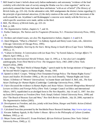- [7.](#page-59-6) Mill found in Jones's beliefs about early Indian mathematics and astronomy "evidence of the fond credulity with which the state of society among the Hindus was for a time regarded," and he was particularly amused that Jones had made these attributions "with an air of belief" (*The History of British India,* pp. 223–24). On the substantive side, Mill amalgamates the distinct claims regarding (1) the principle of gravitational attraction, (2) the daily rotation of the earth, and (3) the movement of the earth around the sun. Aryabhata's and Brahmagupta's concerns were mainly with the first two, on which specific assertions were made, unlike on the third.
- [8.](#page-59-7) Mill, *The History of British India,* pp. 223–24.
- [9.](#page-60-0) Ibid., p. 248.
- [10.](#page-60-1) *The Argumentative Indian,* chapters 6, 7, and 16.
- [11.](#page-61-0) Partha Chatterjee, *The Nation and Its Fragments* (Princeton, N.J.: Princeton University Press, 1993), p. 6.
- [12.](#page-61-1) On these and related issues, see also *The Argumentative Indian,* chapters 1–[4](#page-44-0) and 6–8.
- [13.](#page-61-2) Akeel Bilgrami, "What Is a Muslim?," in Anthony Appiah and Henry Louis Gates, eds., *Identities* (Chicago: University of Chicago Press, 1995).
- [14.](#page-62-0) Mamphela Ramphele, *Steering by the Stars: Being Young in South Africa* (Cape Town: Tafelberg, 2002), p. 15.
- [15.](#page-62-1) "Culture Is Destiny: A Conversation with Lee Kuan Yew," by Fareed Zakaria, *Foreign Affairs* 73 (March–April 1994), p. 113.
- [16.](#page-62-2) Quoted in the *International Herald Tribune,* June 13, 1995, p. 4. See also Lee's insightful autobiography, *From Third World to First: The Singapore Story, 1965–2000* ) (New York: HarperCollins, 2000).
- [17.](#page-62-3) W. S. Wong, "The Real World of Human Rights," speech made by the foreign minister of Singapore at the Second World Congress on Human Rights, Vienna, 1993.
- [18.](#page-62-4) Quoted in John F. Cooper, "Peking's Post-Tienanmen Foreign Policy: The Human Rights Factor," *Issues and Studies* 30 (October 1994), p. 69; see also Jack Donnelly, "Human Rights and Asian Values: A Defence of 'Western' Universalism," in Joanne Bauer and Daniel A. Bell, eds., *The East Asian Challenge for Human Rights* (Cambridge: Cambridge University Press, 1999).
- [19.](#page-63-0) I have discussed the evidence in *Human Rights and Asian Values: Sixteenth Morgenthau Memorial Lecture on Ethics and Foreign Policy* (New York: Carnegie Council on Ethics and International Affairs, 1997), republished in an abridged form in *The New Republic,* July 14 and 21, 1997. See also my book *Development as Freedom* (New York: Knopf; Oxford: Oxford University Press, 1999) and also "The Reach of Reason: East and West," *New York Review of Books* , July 20, 2000, reprinted in *The Argumentative Indian* (2005).
- [20.](#page-63-1) *Development as Freedom,* and also, jointly with Jean Drèze, *Hunger and Public Action* (Oxford: Clarendon Press, 1989).
- [21.](#page-64-0) Calculated from data presented by the Stockholm Peace Research Institute, <http://www.sipri.org> .
- [22.](#page-65-0) Kwame Anthony Appiah, *In My Father's House: Africa in the Philosophy of Culture* (London: Methuen, 1992), p. xii.
- [23.](#page-65-1) Meyer Fortes and Edward E. Evans-Pritchard, *African Political Systems* (New York: Oxford University Press, 1940), p. 12.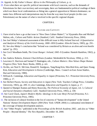- [24.](#page-65-2) Appiah, *In My Father's House: Africa in the Philosophy of Culture,* p. xi.
- [25.](#page-66-0) Even when there are specific political movements with local concerns, such as the demands of Palestinians for their own territory and sovereignty, there are fundamentalist political readings of them which see those local confrontations as fitting into a general opposition to Western dominance, no matter how different such interpretations may be from the way most local people (in this case Palestinians) see the nature of what is involved in the specific regional dispute.

## *CHAPTER 6.*

## CULTURE AND CAPTIVITY

- [1.](#page-68-0) I have tried to have a go at that issue in "How Does Culture Matter?," in Vijayendra Rao and Michael Walton, eds., *Culture and Public Action* (Stanford, Calif.: Stanford University Press, 2004).
- [2.](#page-68-1) See Joel Mokyr's balanced assessment of this difficult issue in *Why Ireland Starved: A Quantitative and Analytical History of the Irish Economy, 1800–1850* (London: Allen & Unwin, 1983), pp. 291– 92. See also Mokyr's conclusion that "Ireland was considered by Britain as an alien and even hostile nation" (p. 291).
- [3.](#page-69-0) See Cecil Woodham-Smith, *The Great Hunger: Ireland, 1845–9* (London: Hamish Hamilton, 1962), p. 76.
- [4.](#page-69-1) See Andrew Roberts, *Eminent Churchillians* (London: Weidenfeld & Nicolson, 1994), p. 213.
- [5.](#page-69-2) Lawrence E. Harrison and Samuel P. Huntington, eds., *Culture Matters: How Values Shape Human Progress* (New York: Basic Books, 2000), p. xiii.
- [6.](#page-70-0) On this, see Noel E. McGinn, Donald R. Snodgrass, Yung Bong Kim, Shin-Bok Kim, and Quee-Young Kim, *Education and Development in Korea* (Cambridge, Mass.: Council on East Asian Studies, Harvard University, 1980).
- [7.](#page-71-0) William K. Cummings, *Education and Equality in Japan* (Princeton, N.J.: Princeton University Press, 1980), p. 17.
- [8.](#page-71-1) See Herbert Passin, *Society and Education in Japan* (New York: Teachers College Press, Columbia University, 1965), pp. 209–11; also Cummings, *Education and Equality in Japan,* p. 17.
- [9.](#page-71-2) Quoted in Shumpei Kumon and Henry Rosovsky, *The Political Economy of Japan,* vol. 3, *Cultural and Social Dynamics* (Stanford, Calif.: Stanford University Press, 1992), p. 330.
- [10.](#page-71-3) See Carol Gluck, *Japan's Modern Myths: Ideology in the Late Meiji Period* (Princeton, N.J.: Princeton University Press, 1985).
- [11.](#page-73-0) The inclusion of cultural freedom in the list of concerns of "human development" in the United Nations' *Human Development Report 2004* (New York: UNDP, 2004) is a substantial enrichment of the coverage of human development analysis.
- [12.](#page-75-0) See "Other People," published in the *Proceedings of the British Academy 2002* , and also as "Other People—Beyond Identity," *The New Republic,* December 18, 2000.

# *CHAPTER 7.*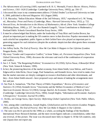- [1.](#page-78-0) *The Advancement of Learning* (1605; reprinted in B. H. G. Wormald, *Francis Bacon: History, Politics and Science, 1561–1626* [Cambridge: Cambridge University Press, 1993]), pp. 356–57.
- [2.](#page-79-0) I discussed this issue in my commencement address ("Global Doubts") at Harvard University on June 8, 2000, published in *Harvard Magazine* 102 (August 2000).
- [3.](#page-82-0) T. B. Macaulay, "Indian Education: Minute of the 2nd February, 1835," reproduced in G. M. Young, ed., *Macaulay: Prose and Poetry* (Cambridge, Mass.: Harvard University Press, 1952), p. 722.
- [4.](#page-82-1) Howard Eves, *An Introduction to the History of Mathematics,* 6th ed. (New York: Saunders College Publishing House, 1990), p. 237. See also Ramesh Gangolli, "Asian Contributions to Mathematics," Portland Public Schools Geocultural Baseline Essay Series, 1999.
- [5.](#page-84-0) It must be acknowledged that Britain, under the leadership of Tony Blair and Gordon Brown, has played an important part in making the G8 countries move in that direction. Popular movements led by such colorful but sympathetic public figures as Bob Geldorf have also played an important part in generating support for such initiatives (despite the academic skepticism that often greets these resonant movements).
- [6.](#page-84-1) See Jeffrey Sachs, *The End of Poverty: How We Can Make It Happen in Our Lifetime* (London: Penguin Books, 2005).
- [7.](#page-85-0) My essay "Gender and Cooperative Conflict," in Irene Tinker, ed., *Persistent Inequalities* (New York: Oxford University Press, 1990), discusses the relevance and reach of the combination of cooperation and conflict.
- [8.](#page-85-1) See J. F. Nash, "The Bargaining Problem," *Econometrica* 18 (1950); Sylvia Nasar, *A Beautiful Mind* (New York: Simon & Schuster, 1999).
- [9.](#page-86-0) In fact, the pioneering theorists of the market economy, from Adam Smith, Leon Walras, and Francis Edgeworth to John Hicks, Oscar Lange, Paul Samuelson, and Kenneth Arrow, have tried to make clear that the market outcomes are deeply contingent on resource distribution and other determinants, and they—from Adam Smith onward—have proposed ways and means of making the arrangements more fair and just.
- [10.](#page-86-1) See Paul A. Samuelson, "The Pure Theory of Public Expenditure," *Review of Economics and Statistics* 35 (1954); Kenneth Arrow "Uncertainty and the Welfare Economics of Medical Care," *American Economic Review* 53 (1963); George Akerlof, *An Economic Theorist's Book of Tales* (Cambridge: Cambridge University Press, 1984); Joseph Stiglitz, "Information and Economic Analysis: A Perspective," *Economic Journal* 95 (1985).
- [11.](#page-87-0) On this, see George Soros, *Open Society: Reforming Global Capitalism* (New York: Public Affairs, 2000).
- [12.](#page-87-1) See, among other contributions, Joseph Stiglitz, *Globalization and Its Discontents* (London: Penguin, 2003), and Sachs, *The End of Poverty: How We Can Make It Happen in Our Lifetime* .
- [13.](#page-87-2) The ratio was 84.31 percent for the 1990s as a whole, according the findings of the Stockholm International Peace Research Institute, and the more recent figures indicate a consolidation, rather than any reversal, of this picture. The issue was discussed more fully in chapter 6. Of the G8 countries, only one (Japan) does not export any.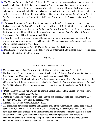- [14.](#page-88-0) The Vaccine Board and the Global Alliance for Vaccines and Immunization have done much to make vaccines widely available in the poorer countries. A good example of an innovative proposal to increase the incentives for the development of such drugs is the possibility of offering preguaranteed bulk purchase through global NGOs and other international institutions that can be offered as a lure for medical research; see Michael Kremer and Rachel Glennerster, *Strong Medicine: Creating Incentives for Pharmaceutical Research on Neglected Diseases* (Princeton, N.J.: Princeton University Press, 2004).
- [15.](#page-88-1) The general problem of "global frontlines of modern medicine" is illuminatingly addressed by Richard Horton, *Health Wars* (New York: New York Review of Books, 2003). See also Paul Farmer, *Pathologies of Power: Health, Human Rights, and the New War on the Poor* (Berkeley: University of California Press, 2003), and Michael Marmot, *Social Determinants of Health: The Solid Facts* (Copenhagen: World Health Organization, 2003).
- [16.](#page-88-2) The role of public services in the equitable operation of market processes is discussed, with many illustrations, in my joint book with Jean Drèze, *India: Development and Participation* (Delhi and Oxford: Oxford University Press, 2002).
- [17.](#page-88-3) On this, see my "Sharing the World," *The Little Magazine* (Delhi) 5 (2004).
- [18.](#page-91-0) David Hume, *An Enquiry Concerning the Principles of Morals* (first published in 1777; republished, La Salle, Ill.: Open Court, 1966), p. 25.

## *CHAPTER 8.*

#### MULTICULTURALISM AND FREEDOM

- [1.](#page-94-0) *Development as Freedom* (New York: Knopf; Oxford: Oxford University Press, 1999).
- [2.](#page-94-1) On shared U.S.-European problems, see also Timothy Garton Ash, *Free World: Why a Crisis of the West Reveals the Opportunity of Our Time* (London: Allen Lane, 2004).
- [3.](#page-95-0) James A. Goldston, "Multiculturalism Is Not the Culprit," *International Herald Tribune* , August 30, 2005, p. 6. For a different perspective, see also Gilles Kepel, *The War for Muslim Minds: Islam and the West* (Cambridge, Mass.: Harvard University Press, 2004), particularly chapter 7 ("Battle for Europe").
- [4.](#page-96-0) "Dumbed-Down GCSEs Are a 'Scam' to Improve League Tables, Claim Critics," by Julie Henry, *Daily Telegraph,* August 28, 2005, p. 1.
- [5.](#page-96-1) On the far-reaching relevance of hybridization in the contemporary world, see Homi Bhabha, *The Location of Culture* (New York: Routledge, 1994).
- [6.](#page-96-2) Agence France-Presse report, August 18, 2005.
- [7.](#page-98-0) The description here comes from the distinguished chair of the "Commission on the Future of Multiethnic Britain," Lord Parekh, in "A Britain We All Belong To," *Guardian,* October 11, 2000. There have been many other expressions of a similar kind, often demanding a "federal" system in a much cruder form. However, Bhikhu Parekh himself has insightfully presented other visions of multiculturalism in his own writings; see particularly *Re-thinking Multi-culturalism: Cultural Diversity and Political Theory* (Basingstoke: Palgrave, 2000).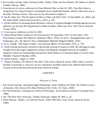- [8.](#page-99-0) See Cornelia Sorabji, *India Calling* (London: Nisbet, 1934), and Vera Brittain, *The Women at Oxford* (London: Harrap, 1960).
- [9.](#page-99-1) From the text of a press conference by Prime Minister Blair on July 26, 2005. Tony Blair shows a strong desire for cultural fairness in treating the newly established Islamic schools in the same way as the older Christian schools. That issue too was discussed in chapter 6.
- [10.](#page-100-0) See M. Athar Ali, "The Perception of India in Akbar and Abu'l Fazl," in Irfan Habib, ed., *Akbar and His India* (Delhi: Oxford University Press, 1997), p. 220.
- [11.](#page-100-1) On the tradition of reasoning about alternative schools of religious thought (including agnosticism and atheism), see my book *The Argumentative Indian* (London: Allen Lane; New York: Farrar, Straus & Giroux, 2005).
- [12.](#page-101-0) From a press conference on July 26, 2005.
- [13.](#page-102-0) *Indian Round Table Conference (Second Session) 7th September, 1931–1st December, 1931: Proceedings* (London: Her Majesty's Stationery Office, 1932); see also C. Rajagopalachari and J. C. Kumarappa, eds., *The Nation's Voice* (Ahmedabad: Mohanlal Maganlal Bhatta, 1932).
- [14.](#page-102-1) M. K. Gandhi, "The Future of India," *International Affairs* 10 (November 1931), p. 739.
- [15.](#page-102-2) Aside from the barbarities involved in that terrible episode in Gujarat in 2002, the ideological issues brought out by that largely engineered violence (including the attempted rejection of Gandhiji's integrative ideas) are illuminatingly discussed by Rafiq Zakaria in *Communal Rage in Secular India* (Mumbai: Popular Prakashan, 2002).
- [16.](#page-103-0) *Indian Express* , August 13, 2005.
- [17.](#page-103-1) Thomas Friedman, *The World Is Flat* (New York: Farrar, Straus & Giroux, 2005). India's record in Kashmir in particular is, however, far less satisfactory. Kashmiri politics has suffered both from the invasion of terrorism from abroad and from rebellion at home.

#### *CHAPTER 9.*

#### FREEDOM TO THINK

- <span id="page-123-0"></span>[1.](#page-108-0) See also his moving—and depressingly illuminating—book: Shaharyar M. Khan, *The Shallow Graves of Rwanda,* with a foreword by Mary Robinson (New York: I. B. Tauris, 2000).
- <span id="page-123-1"></span>[2.](#page-109-0) See Will Kymlicka, *Contemporary Political Philosophy: An Introduction* (Oxford: Clarendon Press, 1990).
- <span id="page-123-2"></span>[3.](#page-111-0) See "The Real News from Iraq," *Sunday Telegraph,* August 28, 2005, p. 24.
- <span id="page-123-3"></span>[4.](#page-113-0) Derek Walcott, "Names," in *Collected Poems: 1948–1984* (New York: Farrar, Straus & Giroux, 1986).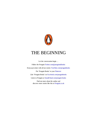

# THE BEGINNING

Let the conversation begin … Follow the Penguin [Twitter.com@penguinukbooks](http://www.twitter.com/penguinukbooks) Keep up-to-date with all our stories [YouTube.com/penguinbooks](http://www.youtube.com/penguinbooks) Pin 'Penguin Books' to your [Pinterest](http://www.pinterest.com/penguinukbooks/) Like 'Penguin Books' on [Facebook.com/penguinbooks](http://www.facebook.com/penguinbooks) Listen to Penguin at [SoundCloud.com/penguin-books](http://www.SoundCloud.com/penguin-books) Find out more about the author and discover more stories like this at [Penguin.co.uk](http://www.penguin.co.uk)